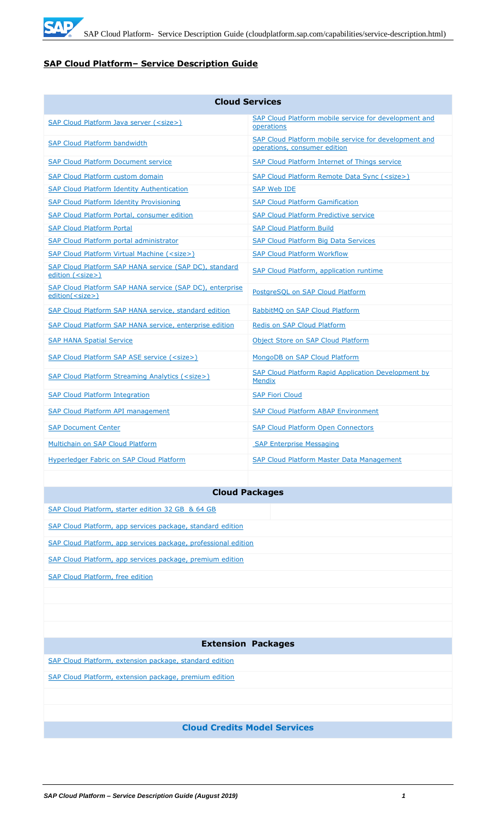

# **SAP Cloud Platform– Service Description Guide**

| <b>Cloud Services</b>                                                               |                                                                                       |  |  |
|-------------------------------------------------------------------------------------|---------------------------------------------------------------------------------------|--|--|
| SAP Cloud Platform Java server ( <size>)</size>                                     | SAP Cloud Platform mobile service for development and<br>operations                   |  |  |
| <b>SAP Cloud Platform bandwidth</b>                                                 | SAP Cloud Platform mobile service for development and<br>operations, consumer edition |  |  |
| <b>SAP Cloud Platform Document service</b>                                          | SAP Cloud Platform Internet of Things service                                         |  |  |
| <b>SAP Cloud Platform custom domain</b>                                             | SAP Cloud Platform Remote Data Sync ( <size>)</size>                                  |  |  |
| <b>SAP Cloud Platform Identity Authentication</b>                                   | <b>SAP Web IDE</b>                                                                    |  |  |
| <b>SAP Cloud Platform Identity Provisioning</b>                                     | <b>SAP Cloud Platform Gamification</b>                                                |  |  |
| SAP Cloud Platform Portal, consumer edition                                         | <b>SAP Cloud Platform Predictive service</b>                                          |  |  |
| <b>SAP Cloud Platform Portal</b>                                                    | <b>SAP Cloud Platform Build</b>                                                       |  |  |
| SAP Cloud Platform portal administrator                                             | <b>SAP Cloud Platform Big Data Services</b>                                           |  |  |
| SAP Cloud Platform Virtual Machine ( <size>)</size>                                 | <b>SAP Cloud Platform Workflow</b>                                                    |  |  |
| SAP Cloud Platform SAP HANA service (SAP DC), standard<br>edition ( <size>)</size>  | SAP Cloud Platform, application runtime                                               |  |  |
| SAP Cloud Platform SAP HANA service (SAP DC), enterprise<br>edition( <size>)</size> | PostgreSQL on SAP Cloud Platform                                                      |  |  |
| SAP Cloud Platform SAP HANA service, standard edition                               | RabbitMQ on SAP Cloud Platform                                                        |  |  |
| SAP Cloud Platform SAP HANA service, enterprise edition                             | Redis on SAP Cloud Platform                                                           |  |  |
| <b>SAP HANA Spatial Service</b>                                                     | Object Store on SAP Cloud Platform                                                    |  |  |
| SAP Cloud Platform SAP ASE service ( <size>)</size>                                 | MongoDB on SAP Cloud Platform                                                         |  |  |
| SAP Cloud Platform Streaming Analytics ( <size>)</size>                             | <b>SAP Cloud Platform Rapid Application Development by</b><br><b>Mendix</b>           |  |  |
| <b>SAP Cloud Platform Integration</b>                                               | <b>SAP Fiori Cloud</b>                                                                |  |  |
| <b>SAP Cloud Platform API management</b>                                            | <b>SAP Cloud Platform ABAP Environment</b>                                            |  |  |
| <b>SAP Document Center</b>                                                          | <b>SAP Cloud Platform Open Connectors</b>                                             |  |  |
| Multichain on SAP Cloud Platform                                                    | <b>SAP Enterprise Messaging</b>                                                       |  |  |
| Hyperledger Fabric on SAP Cloud Platform                                            | <b>SAP Cloud Platform Master Data Management</b>                                      |  |  |

# **Cloud Packages**

| SAP Cloud Platform, starter edition 32 GB & 64 GB              |
|----------------------------------------------------------------|
| SAP Cloud Platform, app services package, standard edition     |
| SAP Cloud Platform, app services package, professional edition |
| SAP Cloud Platform, app services package, premium edition      |
| <b>SAP Cloud Platform, free edition</b>                        |
|                                                                |
|                                                                |
|                                                                |
| <b>Extension Packages</b>                                      |
| SAP Cloud Platform, extension package, standard edition        |
| SAP Cloud Platform, extension package, premium edition         |
|                                                                |
|                                                                |
| <b>Cloud Credits Model Services</b>                            |
|                                                                |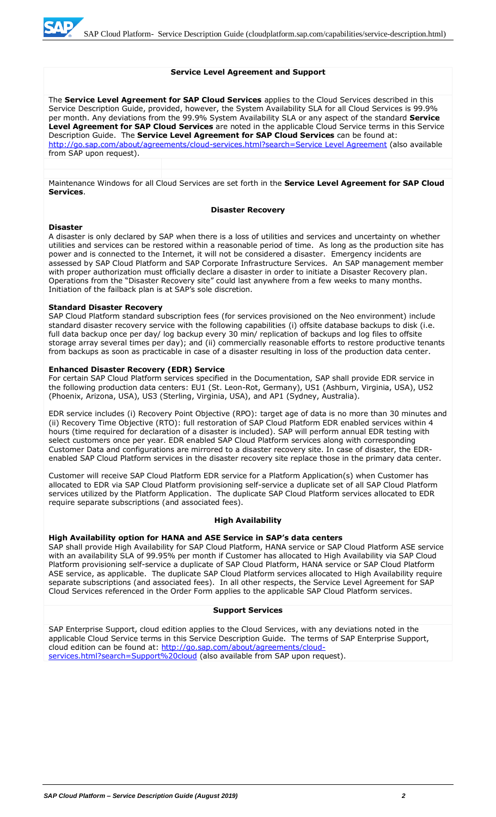#### **Service Level Agreement and Support**

The **Service Level Agreement for SAP Cloud Services** applies to the Cloud Services described in this Service Description Guide, provided, however, the System Availability SLA for all Cloud Services is 99.9% per month. Any deviations from the 99.9% System Availability SLA or any aspect of the standard **Service Level Agreement for SAP Cloud Services** are noted in the applicable Cloud Service terms in this Service Description Guide. The **Service Level Agreement for SAP Cloud Services** can be found at: [http://go.sap.com/about/agreements/cloud-services.html?search=Service Level Agreement](http://go.sap.com/about/agreements/cloud-services.html?search=Service%20Level%20Agreement) (also available from SAP upon request).

Maintenance Windows for all Cloud Services are set forth in the **Service Level Agreement for SAP Cloud Services**.

#### **Disaster Recovery**

#### **Disaster**

A disaster is only declared by SAP when there is a loss of utilities and services and uncertainty on whether utilities and services can be restored within a reasonable period of time. As long as the production site has power and is connected to the Internet, it will not be considered a disaster. Emergency incidents are assessed by SAP Cloud Platform and SAP Corporate Infrastructure Services. An SAP management member with proper authorization must officially declare a disaster in order to initiate a Disaster Recovery plan. Operations from the "Disaster Recovery site" could last anywhere from a few weeks to many months. Initiation of the failback plan is at SAP's sole discretion.

#### **Standard Disaster Recovery**

SAP Cloud Platform standard subscription fees (for services provisioned on the Neo environment) include standard disaster recovery service with the following capabilities (i) offsite database backups to disk (i.e. full data backup once per day/ log backup every 30 min/ replication of backups and log files to offsite storage array several times per day); and (ii) commercially reasonable efforts to restore productive tenants from backups as soon as practicable in case of a disaster resulting in loss of the production data center.

#### **Enhanced Disaster Recovery (EDR) Service**

For certain SAP Cloud Platform services specified in the Documentation, SAP shall provide EDR service in the following production data centers: EU1 (St. Leon-Rot, Germany), US1 (Ashburn, Virginia, USA), US2 (Phoenix, Arizona, USA), US3 (Sterling, Virginia, USA), and AP1 (Sydney, Australia).

EDR service includes (i) Recovery Point Objective (RPO): target age of data is no more than 30 minutes and (ii) Recovery Time Objective (RTO): full restoration of SAP Cloud Platform EDR enabled services within 4 hours (time required for declaration of a disaster is included). SAP will perform annual EDR testing with select customers once per year. EDR enabled SAP Cloud Platform services along with corresponding Customer Data and configurations are mirrored to a disaster recovery site. In case of disaster, the EDRenabled SAP Cloud Platform services in the disaster recovery site replace those in the primary data center.

Customer will receive SAP Cloud Platform EDR service for a Platform Application(s) when Customer has allocated to EDR via SAP Cloud Platform provisioning self-service a duplicate set of all SAP Cloud Platform services utilized by the Platform Application. The duplicate SAP Cloud Platform services allocated to EDR require separate subscriptions (and associated fees).

#### **High Availability**

#### **High Availability option for HANA and ASE Service in SAP's data centers**

SAP shall provide High Availability for SAP Cloud Platform, HANA service or SAP Cloud Platform ASE service with an availability SLA of 99.95% per month if Customer has allocated to High Availability via SAP Cloud Platform provisioning self-service a duplicate of SAP Cloud Platform, HANA service or SAP Cloud Platform ASE service, as applicable. The duplicate SAP Cloud Platform services allocated to High Availability require separate subscriptions (and associated fees). In all other respects, the Service Level Agreement for SAP Cloud Services referenced in the Order Form applies to the applicable SAP Cloud Platform services.

#### **Support Services**

SAP Enterprise Support, cloud edition applies to the Cloud Services, with any deviations noted in the applicable Cloud Service terms in this Service Description Guide. The terms of SAP Enterprise Support, cloud edition can be found at: [http://go.sap.com/about/agreements/cloud](http://go.sap.com/about/agreements/cloud-services.html?search=Support%20cloud)[services.html?search=Support%20cloud](http://go.sap.com/about/agreements/cloud-services.html?search=Support%20cloud) (also available from SAP upon request).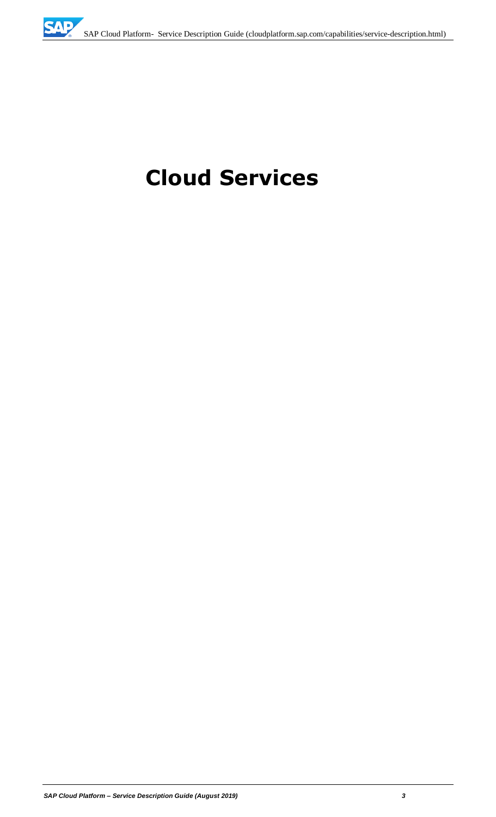# **Cloud Services**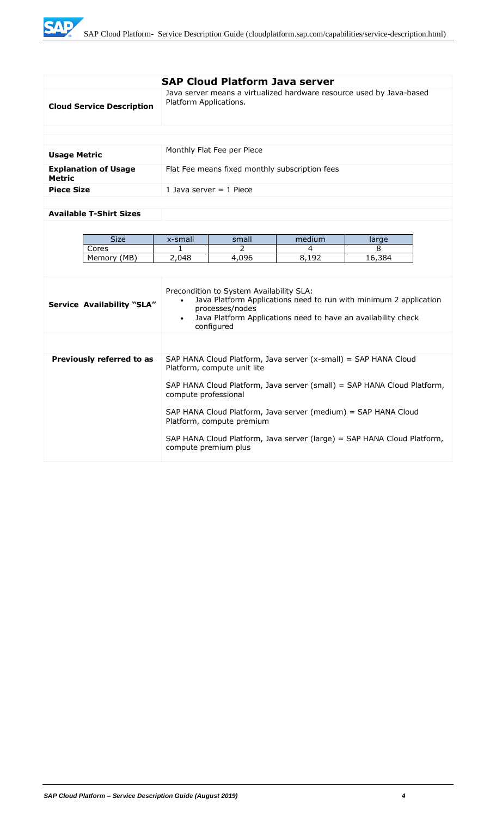WE

|                                              |                        | <b>SAP Cloud Platform Java server</b>                                                                                                                                                                           |                                                                 |        |  |
|----------------------------------------------|------------------------|-----------------------------------------------------------------------------------------------------------------------------------------------------------------------------------------------------------------|-----------------------------------------------------------------|--------|--|
| <b>Cloud Service Description</b>             |                        | Java server means a virtualized hardware resource used by Java-based<br>Platform Applications.                                                                                                                  |                                                                 |        |  |
|                                              |                        |                                                                                                                                                                                                                 |                                                                 |        |  |
|                                              |                        |                                                                                                                                                                                                                 |                                                                 |        |  |
| <b>Usage Metric</b>                          |                        | Monthly Flat Fee per Piece                                                                                                                                                                                      |                                                                 |        |  |
| <b>Explanation of Usage</b><br><b>Metric</b> |                        | Flat Fee means fixed monthly subscription fees                                                                                                                                                                  |                                                                 |        |  |
| <b>Piece Size</b>                            |                        | 1 Java server $=$ 1 Piece                                                                                                                                                                                       |                                                                 |        |  |
|                                              |                        |                                                                                                                                                                                                                 |                                                                 |        |  |
| <b>Available T-Shirt Sizes</b>               |                        |                                                                                                                                                                                                                 |                                                                 |        |  |
|                                              |                        |                                                                                                                                                                                                                 |                                                                 |        |  |
| <b>Size</b>                                  | x-small                | small                                                                                                                                                                                                           | medium                                                          | large  |  |
| Cores                                        | 1                      | $\mathcal{P}$                                                                                                                                                                                                   | 4                                                               | 8      |  |
| Memory (MB)                                  | 2,048                  | 4,096                                                                                                                                                                                                           | 8,192                                                           | 16,384 |  |
|                                              |                        |                                                                                                                                                                                                                 |                                                                 |        |  |
| <b>Service Availability "SLA"</b>            | $\bullet$<br>$\bullet$ | Precondition to System Availability SLA:<br>Java Platform Applications need to run with minimum 2 application<br>processes/nodes<br>Java Platform Applications need to have an availability check<br>configured |                                                                 |        |  |
|                                              |                        |                                                                                                                                                                                                                 |                                                                 |        |  |
| Previously referred to as                    |                        | Platform, compute unit lite                                                                                                                                                                                     | SAP HANA Cloud Platform, Java server (x-small) = SAP HANA Cloud |        |  |
|                                              |                        | SAP HANA Cloud Platform, Java server (small) = SAP HANA Cloud Platform,<br>compute professional                                                                                                                 |                                                                 |        |  |
|                                              |                        | SAP HANA Cloud Platform, Java server (medium) = SAP HANA Cloud<br>Platform, compute premium                                                                                                                     |                                                                 |        |  |
|                                              |                        | SAP HANA Cloud Platform, Java server (large) = SAP HANA Cloud Platform,<br>compute premium plus                                                                                                                 |                                                                 |        |  |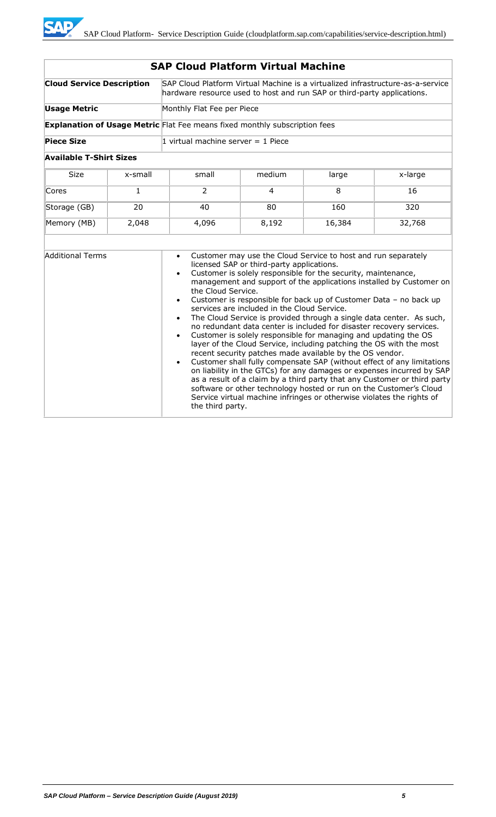| <b>SAP Cloud Platform Virtual Machine</b> |              |                                                                                                                                                            |                                                                                          |                                                                                                                                                                                                                                                                                                                                        |                                                                                                                                                                                                                                                                                                                                                                                                                                                                                                                                                                                                                                                                      |
|-------------------------------------------|--------------|------------------------------------------------------------------------------------------------------------------------------------------------------------|------------------------------------------------------------------------------------------|----------------------------------------------------------------------------------------------------------------------------------------------------------------------------------------------------------------------------------------------------------------------------------------------------------------------------------------|----------------------------------------------------------------------------------------------------------------------------------------------------------------------------------------------------------------------------------------------------------------------------------------------------------------------------------------------------------------------------------------------------------------------------------------------------------------------------------------------------------------------------------------------------------------------------------------------------------------------------------------------------------------------|
| <b>Cloud Service Description</b>          |              | SAP Cloud Platform Virtual Machine is a virtualized infrastructure-as-a-service<br>hardware resource used to host and run SAP or third-party applications. |                                                                                          |                                                                                                                                                                                                                                                                                                                                        |                                                                                                                                                                                                                                                                                                                                                                                                                                                                                                                                                                                                                                                                      |
| <b>Usage Metric</b>                       |              | Monthly Flat Fee per Piece                                                                                                                                 |                                                                                          |                                                                                                                                                                                                                                                                                                                                        |                                                                                                                                                                                                                                                                                                                                                                                                                                                                                                                                                                                                                                                                      |
|                                           |              | <b>Explanation of Usage Metric</b> Flat Fee means fixed monthly subscription fees                                                                          |                                                                                          |                                                                                                                                                                                                                                                                                                                                        |                                                                                                                                                                                                                                                                                                                                                                                                                                                                                                                                                                                                                                                                      |
| <b>Piece Size</b>                         |              | 1 virtual machine server $=$ 1 Piece                                                                                                                       |                                                                                          |                                                                                                                                                                                                                                                                                                                                        |                                                                                                                                                                                                                                                                                                                                                                                                                                                                                                                                                                                                                                                                      |
| <b>Available T-Shirt Sizes</b>            |              |                                                                                                                                                            |                                                                                          |                                                                                                                                                                                                                                                                                                                                        |                                                                                                                                                                                                                                                                                                                                                                                                                                                                                                                                                                                                                                                                      |
| <b>Size</b>                               | x-small      | small                                                                                                                                                      | medium                                                                                   | large                                                                                                                                                                                                                                                                                                                                  | x-large                                                                                                                                                                                                                                                                                                                                                                                                                                                                                                                                                                                                                                                              |
| Cores                                     | $\mathbf{1}$ | 2                                                                                                                                                          | 4                                                                                        | 8                                                                                                                                                                                                                                                                                                                                      | 16                                                                                                                                                                                                                                                                                                                                                                                                                                                                                                                                                                                                                                                                   |
| Storage (GB)                              | 20           | 40                                                                                                                                                         | 80                                                                                       | 160                                                                                                                                                                                                                                                                                                                                    | 320                                                                                                                                                                                                                                                                                                                                                                                                                                                                                                                                                                                                                                                                  |
| Memory (MB)<br>2,048                      |              | 4,096                                                                                                                                                      | 8,192                                                                                    | 16,384                                                                                                                                                                                                                                                                                                                                 | 32,768                                                                                                                                                                                                                                                                                                                                                                                                                                                                                                                                                                                                                                                               |
|                                           |              |                                                                                                                                                            |                                                                                          |                                                                                                                                                                                                                                                                                                                                        |                                                                                                                                                                                                                                                                                                                                                                                                                                                                                                                                                                                                                                                                      |
| <b>Additional Terms</b>                   |              | $\bullet$<br>$\bullet$<br>the Cloud Service.<br>$\bullet$<br>$\bullet$<br>$\bullet$<br>$\bullet$<br>the third party.                                       | licensed SAP or third-party applications.<br>services are included in the Cloud Service. | Customer may use the Cloud Service to host and run separately<br>Customer is solely responsible for the security, maintenance,<br>Customer is solely responsible for managing and updating the OS<br>recent security patches made available by the OS vendor.<br>Service virtual machine infringes or otherwise violates the rights of | management and support of the applications installed by Customer on<br>Customer is responsible for back up of Customer Data - no back up<br>The Cloud Service is provided through a single data center. As such,<br>no redundant data center is included for disaster recovery services.<br>layer of the Cloud Service, including patching the OS with the most<br>Customer shall fully compensate SAP (without effect of any limitations<br>on liability in the GTCs) for any damages or expenses incurred by SAP<br>as a result of a claim by a third party that any Customer or third party<br>software or other technology hosted or run on the Customer's Cloud |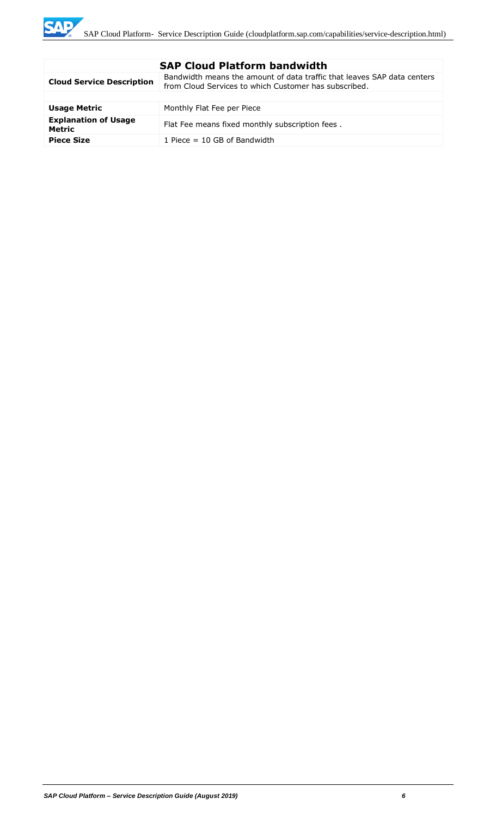| <b>SAP Cloud Platform bandwidth</b>          |                                                                                                                                  |  |
|----------------------------------------------|----------------------------------------------------------------------------------------------------------------------------------|--|
| <b>Cloud Service Description</b>             | Bandwidth means the amount of data traffic that leaves SAP data centers<br>from Cloud Services to which Customer has subscribed. |  |
|                                              |                                                                                                                                  |  |
| <b>Usage Metric</b>                          | Monthly Flat Fee per Piece                                                                                                       |  |
| <b>Explanation of Usage</b><br><b>Metric</b> | Flat Fee means fixed monthly subscription fees.                                                                                  |  |
| <b>Piece Size</b>                            | 1 Piece $=$ 10 GB of Bandwidth                                                                                                   |  |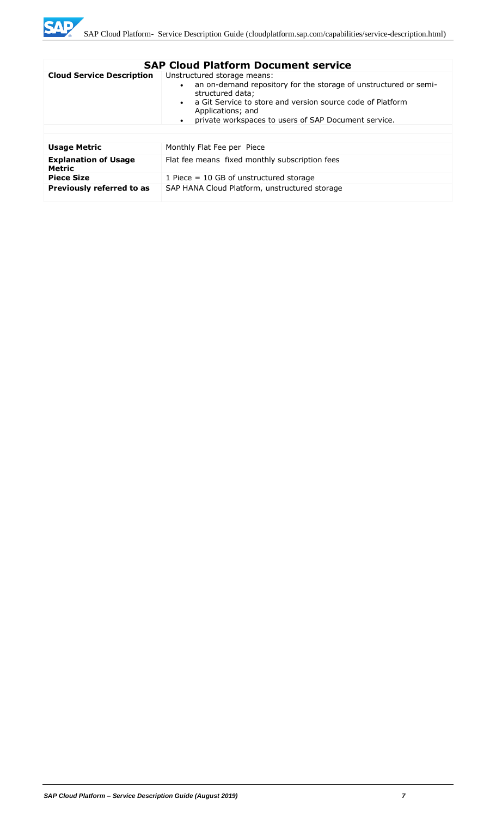

|                                       | <b>SAP Cloud Platform Document service</b>                                                                                                                                                                                                                                  |
|---------------------------------------|-----------------------------------------------------------------------------------------------------------------------------------------------------------------------------------------------------------------------------------------------------------------------------|
| <b>Cloud Service Description</b>      | Unstructured storage means:<br>an on-demand repository for the storage of unstructured or semi-<br>structured data;<br>a Git Service to store and version source code of Platform<br>Applications; and<br>private workspaces to users of SAP Document service.<br>$\bullet$ |
| <b>Usage Metric</b>                   | Monthly Flat Fee per Piece                                                                                                                                                                                                                                                  |
| <b>Explanation of Usage</b><br>Metric | Flat fee means fixed monthly subscription fees                                                                                                                                                                                                                              |
| <b>Piece Size</b>                     | 1 Piece $= 10$ GB of unstructured storage                                                                                                                                                                                                                                   |
| Previously referred to as             | SAP HANA Cloud Platform, unstructured storage                                                                                                                                                                                                                               |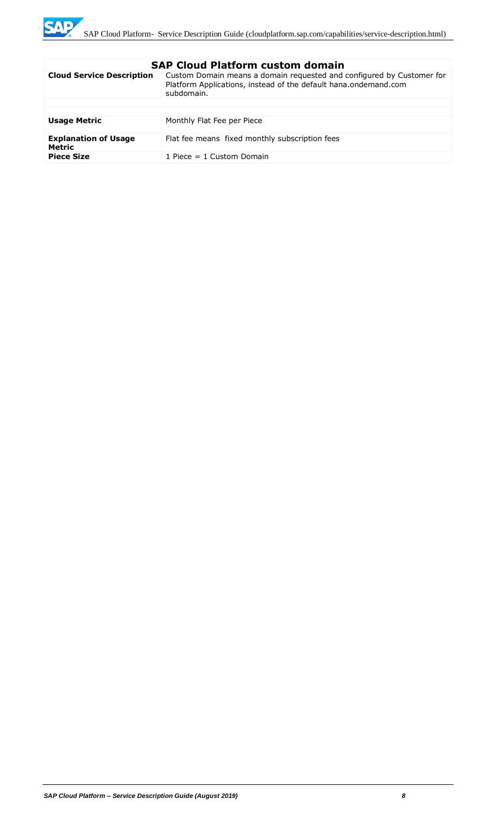

| <b>Cloud Service Description</b><br>Custom Domain means a domain requested and configured by Customer for<br>Platform Applications, instead of the default hana.ondemand.com<br>subdomain.<br><b>Usage Metric</b><br>Monthly Flat Fee per Piece<br><b>Explanation of Usage</b><br>Flat fee means fixed monthly subscription fees<br>Metric<br><b>Piece Size</b><br>1 Piece $= 1$ Custom Domain | элг сючч гасгонн счэсэн чэнгэш |  |  |
|------------------------------------------------------------------------------------------------------------------------------------------------------------------------------------------------------------------------------------------------------------------------------------------------------------------------------------------------------------------------------------------------|--------------------------------|--|--|
|                                                                                                                                                                                                                                                                                                                                                                                                |                                |  |  |
|                                                                                                                                                                                                                                                                                                                                                                                                |                                |  |  |
|                                                                                                                                                                                                                                                                                                                                                                                                |                                |  |  |
|                                                                                                                                                                                                                                                                                                                                                                                                |                                |  |  |
|                                                                                                                                                                                                                                                                                                                                                                                                |                                |  |  |
|                                                                                                                                                                                                                                                                                                                                                                                                |                                |  |  |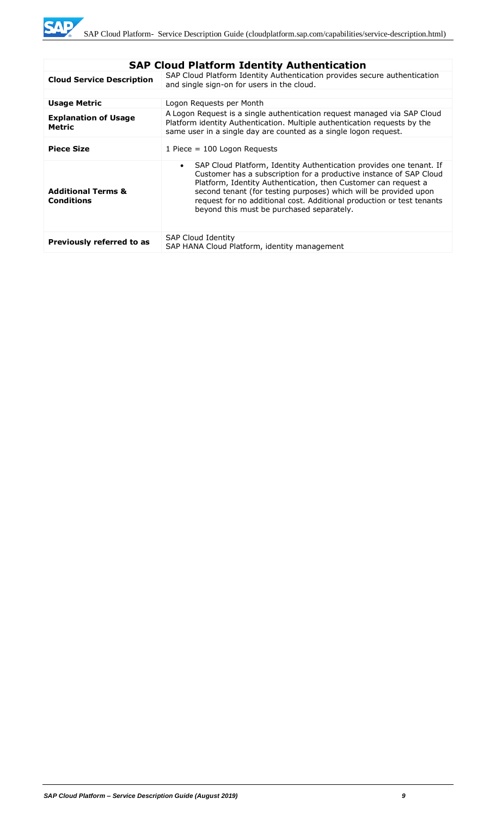| SAP Cloud Platform Identity Authentication         |                                                                                                                                                                                                                                                                                                                                                                                                                    |  |
|----------------------------------------------------|--------------------------------------------------------------------------------------------------------------------------------------------------------------------------------------------------------------------------------------------------------------------------------------------------------------------------------------------------------------------------------------------------------------------|--|
| <b>Cloud Service Description</b>                   | SAP Cloud Platform Identity Authentication provides secure authentication<br>and single sign-on for users in the cloud.                                                                                                                                                                                                                                                                                            |  |
|                                                    |                                                                                                                                                                                                                                                                                                                                                                                                                    |  |
| <b>Usage Metric</b>                                | Logon Reguests per Month                                                                                                                                                                                                                                                                                                                                                                                           |  |
| <b>Explanation of Usage</b><br>Metric              | A Logon Request is a single authentication request managed via SAP Cloud<br>Platform identity Authentication. Multiple authentication requests by the<br>same user in a single day are counted as a single logon request.                                                                                                                                                                                          |  |
| <b>Piece Size</b>                                  | 1 Piece = $100$ Logon Requests                                                                                                                                                                                                                                                                                                                                                                                     |  |
| <b>Additional Terms &amp;</b><br><b>Conditions</b> | SAP Cloud Platform, Identity Authentication provides one tenant. If<br>$\bullet$<br>Customer has a subscription for a productive instance of SAP Cloud<br>Platform, Identity Authentication, then Customer can request a<br>second tenant (for testing purposes) which will be provided upon<br>request for no additional cost. Additional production or test tenants<br>beyond this must be purchased separately. |  |
| Previously referred to as                          | <b>SAP Cloud Identity</b><br>SAP HANA Cloud Platform, identity management                                                                                                                                                                                                                                                                                                                                          |  |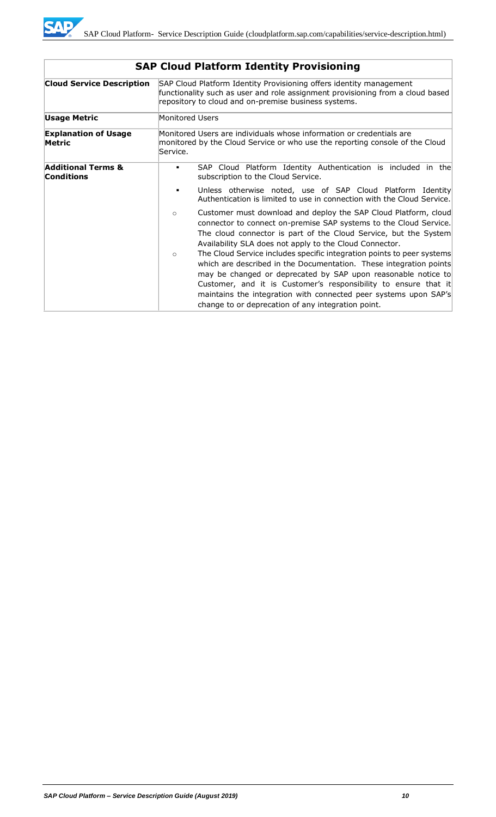

| <b>Cloud Service Description</b>                   |                 | SAP Cloud Platform Identity Provisioning offers identity management<br>functionality such as user and role assignment provisioning from a cloud based<br>repository to cloud and on-premise business systems.                                                                                                                                                                                              |
|----------------------------------------------------|-----------------|------------------------------------------------------------------------------------------------------------------------------------------------------------------------------------------------------------------------------------------------------------------------------------------------------------------------------------------------------------------------------------------------------------|
| <b>Usage Metric</b>                                | Monitored Users |                                                                                                                                                                                                                                                                                                                                                                                                            |
| <b>Explanation of Usage</b><br>Metric              | Service.        | Monitored Users are individuals whose information or credentials are<br>monitored by the Cloud Service or who use the reporting console of the Cloud                                                                                                                                                                                                                                                       |
| <b>Additional Terms &amp;</b><br><b>Conditions</b> | ٠               | SAP Cloud Platform Identity Authentication is included in the<br>subscription to the Cloud Service.                                                                                                                                                                                                                                                                                                        |
|                                                    | п               | Unless otherwise noted, use of SAP Cloud Platform Identity<br>Authentication is limited to use in connection with the Cloud Service.                                                                                                                                                                                                                                                                       |
|                                                    | $\circ$         | Customer must download and deploy the SAP Cloud Platform, cloud<br>connector to connect on-premise SAP systems to the Cloud Service.<br>The cloud connector is part of the Cloud Service, but the System<br>Availability SLA does not apply to the Cloud Connector.                                                                                                                                        |
|                                                    | $\circ$         | The Cloud Service includes specific integration points to peer systems<br>which are described in the Documentation. These integration points<br>may be changed or deprecated by SAP upon reasonable notice to<br>Customer, and it is Customer's responsibility to ensure that it<br>maintains the integration with connected peer systems upon SAP's<br>change to or deprecation of any integration point. |

# **SAP Cloud Platform Identity Provisioning**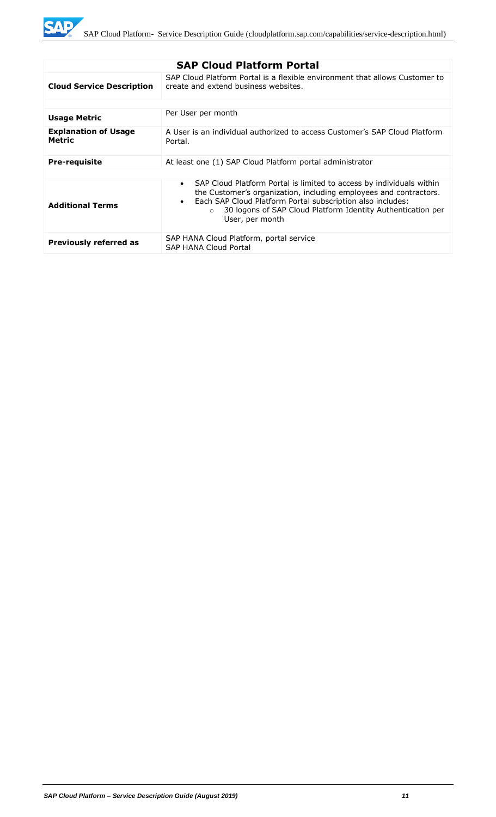| <b>SAP Cloud Platform Portal</b>             |                                                                                                                                                                                                                                                                                                                                 |  |
|----------------------------------------------|---------------------------------------------------------------------------------------------------------------------------------------------------------------------------------------------------------------------------------------------------------------------------------------------------------------------------------|--|
| <b>Cloud Service Description</b>             | SAP Cloud Platform Portal is a flexible environment that allows Customer to<br>create and extend business websites.                                                                                                                                                                                                             |  |
|                                              |                                                                                                                                                                                                                                                                                                                                 |  |
| <b>Usage Metric</b>                          | Per User per month                                                                                                                                                                                                                                                                                                              |  |
| <b>Explanation of Usage</b><br><b>Metric</b> | A User is an individual authorized to access Customer's SAP Cloud Platform<br>Portal.                                                                                                                                                                                                                                           |  |
| <b>Pre-requisite</b>                         | At least one (1) SAP Cloud Platform portal administrator                                                                                                                                                                                                                                                                        |  |
|                                              |                                                                                                                                                                                                                                                                                                                                 |  |
| <b>Additional Terms</b>                      | SAP Cloud Platform Portal is limited to access by individuals within<br>$\bullet$<br>the Customer's organization, including employees and contractors.<br>Each SAP Cloud Platform Portal subscription also includes:<br>$\bullet$<br>30 logons of SAP Cloud Platform Identity Authentication per<br>$\Omega$<br>User, per month |  |
| <b>Previously referred as</b>                | SAP HANA Cloud Platform, portal service<br><b>SAP HANA Cloud Portal</b>                                                                                                                                                                                                                                                         |  |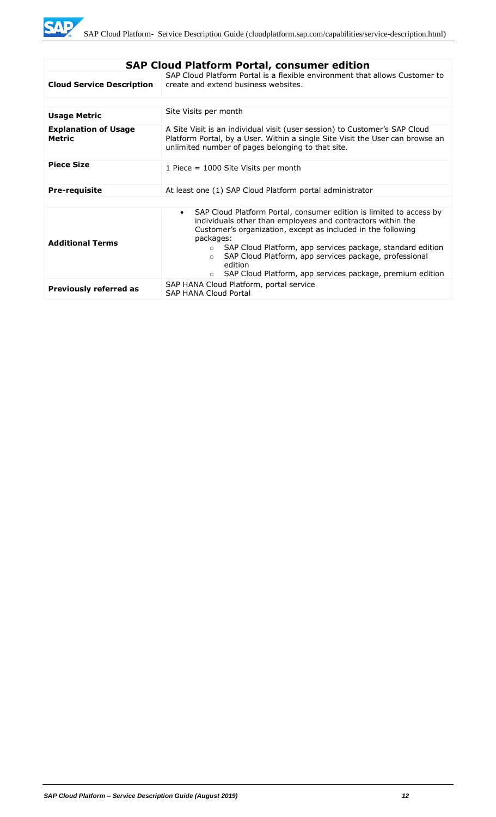| <b>SAP Cloud Platform Portal, consumer edition</b> |                                                                                                                                                                                                                                                                                                                                                                                                                                                                |  |
|----------------------------------------------------|----------------------------------------------------------------------------------------------------------------------------------------------------------------------------------------------------------------------------------------------------------------------------------------------------------------------------------------------------------------------------------------------------------------------------------------------------------------|--|
| <b>Cloud Service Description</b>                   | SAP Cloud Platform Portal is a flexible environment that allows Customer to<br>create and extend business websites.                                                                                                                                                                                                                                                                                                                                            |  |
|                                                    |                                                                                                                                                                                                                                                                                                                                                                                                                                                                |  |
| <b>Usage Metric</b>                                | Site Visits per month                                                                                                                                                                                                                                                                                                                                                                                                                                          |  |
| <b>Explanation of Usage</b><br><b>Metric</b>       | A Site Visit is an individual visit (user session) to Customer's SAP Cloud<br>Platform Portal, by a User. Within a single Site Visit the User can browse an<br>unlimited number of pages belonging to that site.                                                                                                                                                                                                                                               |  |
| <b>Piece Size</b>                                  | 1 Piece = 1000 Site Visits per month                                                                                                                                                                                                                                                                                                                                                                                                                           |  |
| <b>Pre-requisite</b>                               | At least one (1) SAP Cloud Platform portal administrator                                                                                                                                                                                                                                                                                                                                                                                                       |  |
|                                                    |                                                                                                                                                                                                                                                                                                                                                                                                                                                                |  |
| <b>Additional Terms</b>                            | SAP Cloud Platform Portal, consumer edition is limited to access by<br>$\bullet$<br>individuals other than employees and contractors within the<br>Customer's organization, except as included in the following<br>packages:<br>SAP Cloud Platform, app services package, standard edition<br>$\circ$<br>SAP Cloud Platform, app services package, professional<br>$\Omega$<br>edition<br>SAP Cloud Platform, app services package, premium edition<br>$\circ$ |  |
| <b>Previously referred as</b>                      | SAP HANA Cloud Platform, portal service<br><b>SAP HANA Cloud Portal</b>                                                                                                                                                                                                                                                                                                                                                                                        |  |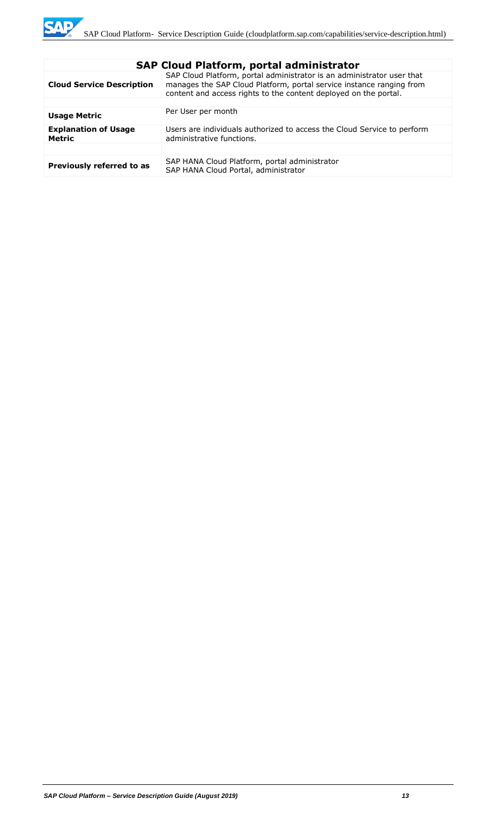| <b>SAP Cloud Platform, portal administrator</b> |                                                                                                                                                                                                                    |  |
|-------------------------------------------------|--------------------------------------------------------------------------------------------------------------------------------------------------------------------------------------------------------------------|--|
| <b>Cloud Service Description</b>                | SAP Cloud Platform, portal administrator is an administrator user that<br>manages the SAP Cloud Platform, portal service instance ranging from<br>content and access rights to the content deployed on the portal. |  |
|                                                 |                                                                                                                                                                                                                    |  |
| <b>Usage Metric</b>                             | Per User per month                                                                                                                                                                                                 |  |
| <b>Explanation of Usage</b><br><b>Metric</b>    | Users are individuals authorized to access the Cloud Service to perform<br>administrative functions.                                                                                                               |  |
|                                                 |                                                                                                                                                                                                                    |  |
| Previously referred to as                       | SAP HANA Cloud Platform, portal administrator<br>SAP HANA Cloud Portal, administrator                                                                                                                              |  |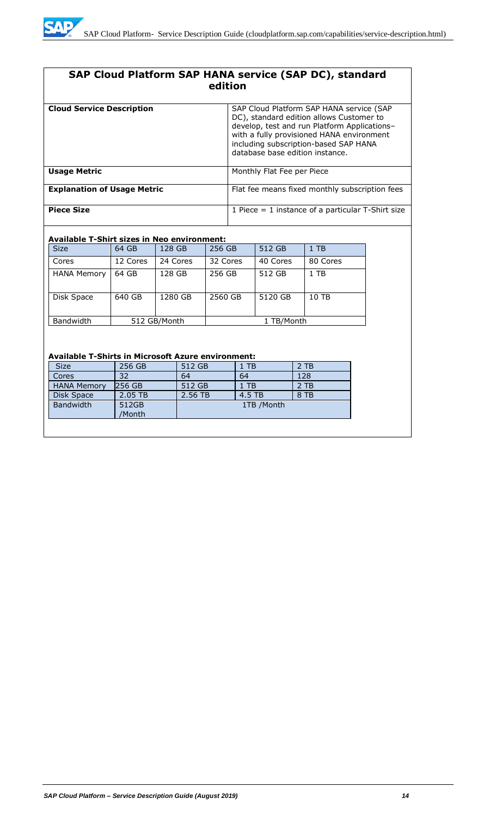

# **SAP Cloud Platform SAP HANA service (SAP DC), standard edition**

| <b>Cloud Service Description</b>   | SAP Cloud Platform SAP HANA service (SAP<br>DC), standard edition allows Customer to<br>develop, test and run Platform Applications-<br>with a fully provisioned HANA environment<br>including subscription-based SAP HANA<br>database base edition instance. |
|------------------------------------|---------------------------------------------------------------------------------------------------------------------------------------------------------------------------------------------------------------------------------------------------------------|
| <b>Usage Metric</b>                | Monthly Flat Fee per Piece                                                                                                                                                                                                                                    |
| <b>Explanation of Usage Metric</b> | Flat fee means fixed monthly subscription fees                                                                                                                                                                                                                |
| <b>Piece Size</b>                  | 1 Piece $=$ 1 instance of a particular T-Shirt size                                                                                                                                                                                                           |

#### **Available T-Shirt sizes in Neo environment:**

| <b>Size</b>        | 64 GB    | 128 GB       | 256 GB   | 512 GB     | $1$ TB   |
|--------------------|----------|--------------|----------|------------|----------|
| Cores              | 12 Cores | 24 Cores     | 32 Cores | 40 Cores   | 80 Cores |
| <b>HANA Memory</b> | 64 GB    | 128 GB       | 256 GB   | 512 GB     | 1 TB     |
| Disk Space         | 640 GB   | 1280 GB      | 2560 GB  | 5120 GB    | 10 TB    |
| <b>Bandwidth</b>   |          | 512 GB/Month |          | 1 TB/Month |          |

### **Available T-Shirts in Microsoft Azure environment:**

| <b>Size</b>        | 256 GB          | 512 GB  | 1 TB        | 2 TB |
|--------------------|-----------------|---------|-------------|------|
| Cores              | 32              | 64      | 64          | 128  |
| <b>HANA Memory</b> | 256 GB          | 512 GB  | 1 TB        | 2 TB |
| Disk Space         | 2.05 TB         | 2.56 TB | 4.5 TB      | 8 TB |
| <b>Bandwidth</b>   | 512GB<br>/Month |         | 1TB / Month |      |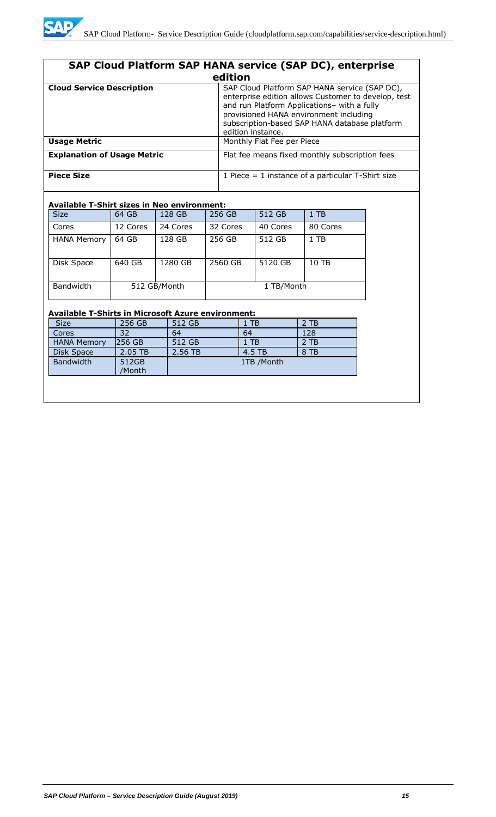| SAP Cloud Platform SAP HANA service (SAP DC), enterprise |                                                                                                                                                                                                                                                                     |  |  |
|----------------------------------------------------------|---------------------------------------------------------------------------------------------------------------------------------------------------------------------------------------------------------------------------------------------------------------------|--|--|
|                                                          | edition                                                                                                                                                                                                                                                             |  |  |
| <b>Cloud Service Description</b>                         | SAP Cloud Platform SAP HANA service (SAP DC),<br>enterprise edition allows Customer to develop, test<br>and run Platform Applications- with a fully<br>provisioned HANA environment including<br>subscription-based SAP HANA database platform<br>edition instance. |  |  |
| <b>Usage Metric</b>                                      | Monthly Flat Fee per Piece                                                                                                                                                                                                                                          |  |  |
| <b>Explanation of Usage Metric</b>                       | Flat fee means fixed monthly subscription fees                                                                                                                                                                                                                      |  |  |
| <b>Piece Size</b>                                        | 1 Piece $=$ 1 instance of a particular T-Shirt size                                                                                                                                                                                                                 |  |  |

## **Available T-Shirt sizes in Neo environment:**

| <b>Size</b>        | 64 GB    | 128 GB       | 256 GB   | 512 GB     | $1$ TB   |
|--------------------|----------|--------------|----------|------------|----------|
| Cores              | 12 Cores | 24 Cores     | 32 Cores | 40 Cores   | 80 Cores |
| <b>HANA Memory</b> | 64 GB    | 128 GB       | 256 GB   | 512 GB     | 1 TB     |
| Disk Space         | 640 GB   | 1280 GB      | 2560 GB  | 5120 GB    | 10 TB    |
| Bandwidth          |          | 512 GB/Month |          | 1 TB/Month |          |

## **Available T-Shirts in Microsoft Azure environment:**

| <b>Size</b>        | 256 GB          | 512 GB  | $1$ TB     | 2 TB |
|--------------------|-----------------|---------|------------|------|
| Cores              | 32              | 64      | 64         | 128  |
| <b>HANA Memory</b> | 256 GB          | 512 GB  | $1$ TB     | 2 TB |
| Disk Space         | 2.05 TB         | 2.56 TB | 4.5 TB     | 8 TB |
| Bandwidth          | 512GB<br>/Month |         | 1TB /Month |      |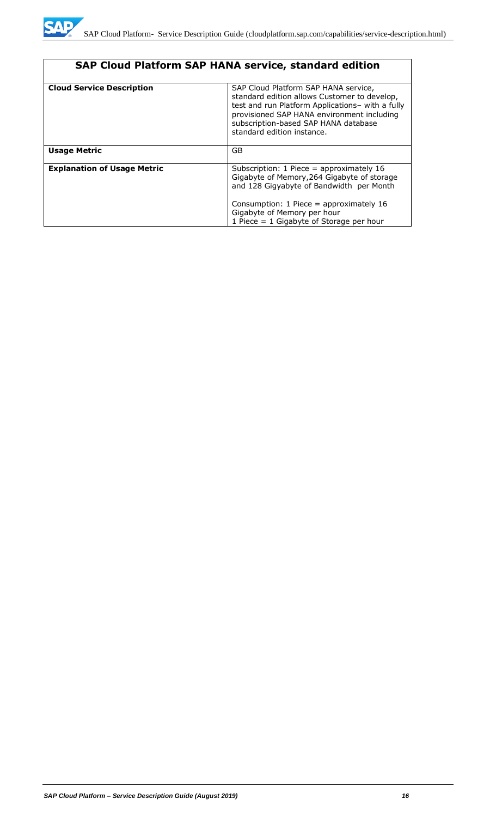|                                    | <b>SAP Cloud Platform SAP HANA service, standard edition</b>                                                                                                                                                                                                 |
|------------------------------------|--------------------------------------------------------------------------------------------------------------------------------------------------------------------------------------------------------------------------------------------------------------|
| <b>Cloud Service Description</b>   | SAP Cloud Platform SAP HANA service,<br>standard edition allows Customer to develop,<br>test and run Platform Applications- with a fully<br>provisioned SAP HANA environment including<br>subscription-based SAP HANA database<br>standard edition instance. |
| <b>Usage Metric</b>                | GB                                                                                                                                                                                                                                                           |
| <b>Explanation of Usage Metric</b> | Subscription: 1 Piece = approximately 16<br>Gigabyte of Memory, 264 Gigabyte of storage<br>and 128 Gigyabyte of Bandwidth per Month<br>Consumption: 1 Piece = approximately 16<br>Gigabyte of Memory per hour<br>1 Piece = $1$ Gigabyte of Storage per hour  |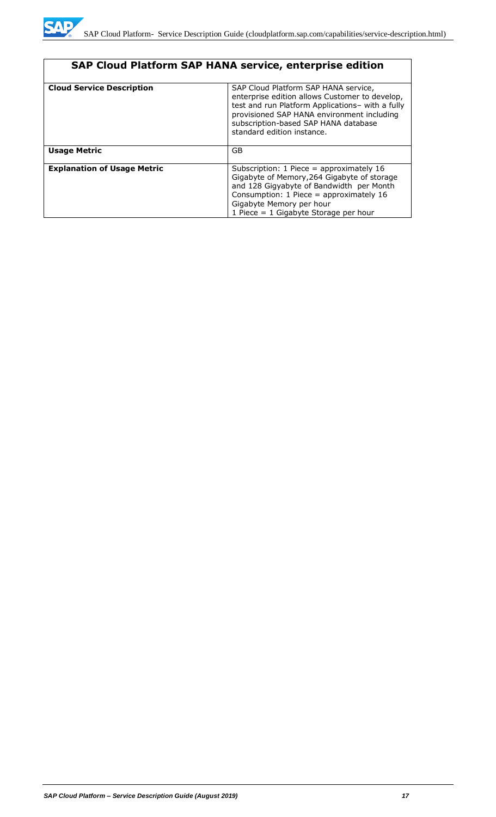

| SAP Cloud Platform SAP HANA service, enterprise edition |                                                                                                                                                                                                                                                                |
|---------------------------------------------------------|----------------------------------------------------------------------------------------------------------------------------------------------------------------------------------------------------------------------------------------------------------------|
| <b>Cloud Service Description</b>                        | SAP Cloud Platform SAP HANA service,<br>enterprise edition allows Customer to develop,<br>test and run Platform Applications- with a fully<br>provisioned SAP HANA environment including<br>subscription-based SAP HANA database<br>standard edition instance. |
| <b>Usage Metric</b>                                     | GB                                                                                                                                                                                                                                                             |
| <b>Explanation of Usage Metric</b>                      | Subscription: $1$ Piece = approximately $16$<br>Gigabyte of Memory, 264 Gigabyte of storage<br>and 128 Gigyabyte of Bandwidth per Month<br>Consumption: $1$ Piece = approximately $16$<br>Gigabyte Memory per hour<br>1 Piece $= 1$ Gigabyte Storage per hour  |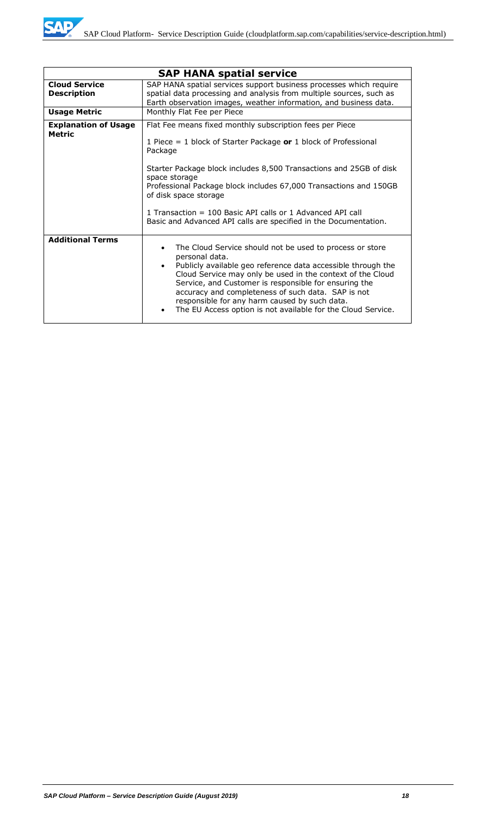|                                            | <b>SAP HANA spatial service</b>                                                                                                                                                                                                                                                                                                                                                                                                                               |
|--------------------------------------------|---------------------------------------------------------------------------------------------------------------------------------------------------------------------------------------------------------------------------------------------------------------------------------------------------------------------------------------------------------------------------------------------------------------------------------------------------------------|
| <b>Cloud Service</b><br><b>Description</b> | SAP HANA spatial services support business processes which require<br>spatial data processing and analysis from multiple sources, such as<br>Earth observation images, weather information, and business data.                                                                                                                                                                                                                                                |
| <b>Usage Metric</b>                        | Monthly Flat Fee per Piece                                                                                                                                                                                                                                                                                                                                                                                                                                    |
| <b>Explanation of Usage</b><br>Metric      | Flat Fee means fixed monthly subscription fees per Piece<br>1 Piece = 1 block of Starter Package or 1 block of Professional<br>Package<br>Starter Package block includes 8,500 Transactions and 25GB of disk<br>space storage<br>Professional Package block includes 67,000 Transactions and 150GB<br>of disk space storage<br>1 Transaction = 100 Basic API calls or 1 Advanced API call<br>Basic and Advanced API calls are specified in the Documentation. |
|                                            |                                                                                                                                                                                                                                                                                                                                                                                                                                                               |
| <b>Additional Terms</b>                    | The Cloud Service should not be used to process or store<br>personal data.<br>Publicly available geo reference data accessible through the<br>Cloud Service may only be used in the context of the Cloud<br>Service, and Customer is responsible for ensuring the<br>accuracy and completeness of such data. SAP is not<br>responsible for any harm caused by such data.<br>The EU Access option is not available for the Cloud Service.                      |

MD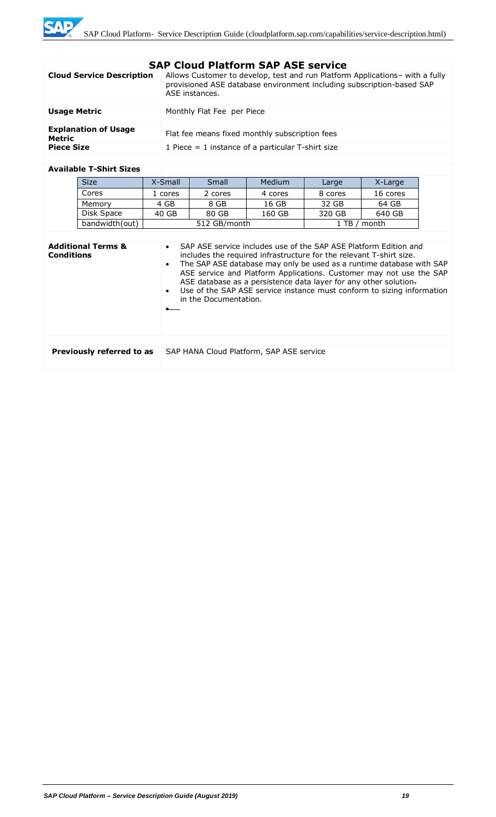# **SAP Cloud Platform SAP ASE service**

| <b>Cloud Service Description</b>      | Allows Customer to develop, test and run Platform Applications- with a fully<br>provisioned ASE database environment including subscription-based SAP<br>ASE instances. |
|---------------------------------------|-------------------------------------------------------------------------------------------------------------------------------------------------------------------------|
|                                       |                                                                                                                                                                         |
| <b>Usage Metric</b>                   | Monthly Flat Fee per Piece                                                                                                                                              |
| <b>Explanation of Usage</b><br>Metric | Flat fee means fixed monthly subscription fees                                                                                                                          |
| <b>Piece Size</b>                     | 1 Piece $=$ 1 instance of a particular T-shirt size                                                                                                                     |

#### **Available T-Shirt Sizes**

| <b>Size</b>    | X-Small | Small        | <b>Medium</b> | Large   | X-Large  |
|----------------|---------|--------------|---------------|---------|----------|
| Cores          | 1 cores | 2 cores      | 4 cores       | 8 cores | 16 cores |
| Memory         | 4 GB    | 8 GB         | 16 GB         | 32 GB   | 64 GB    |
| Disk Space     | 40 GB   | 80 GB        | 160 GB        | 320 GB  | 640 GB   |
| bandwidth(out) |         | 512 GB/month |               |         | month    |

| <b>Additional Terms &amp;</b><br><b>Conditions</b> | SAP ASE service includes use of the SAP ASE Platform Edition and<br>$\bullet$<br>includes the required infrastructure for the relevant T-shirt size.<br>The SAP ASE database may only be used as a runtime database with SAP<br>$\bullet$<br>ASE service and Platform Applications. Customer may not use the SAP<br>ASE database as a persistence data layer for any other solution.<br>Use of the SAP ASE service instance must conform to sizing information<br>$\bullet$<br>in the Documentation. |
|----------------------------------------------------|------------------------------------------------------------------------------------------------------------------------------------------------------------------------------------------------------------------------------------------------------------------------------------------------------------------------------------------------------------------------------------------------------------------------------------------------------------------------------------------------------|
|                                                    |                                                                                                                                                                                                                                                                                                                                                                                                                                                                                                      |
| Previously referred to as                          | SAP HANA Cloud Platform, SAP ASE service                                                                                                                                                                                                                                                                                                                                                                                                                                                             |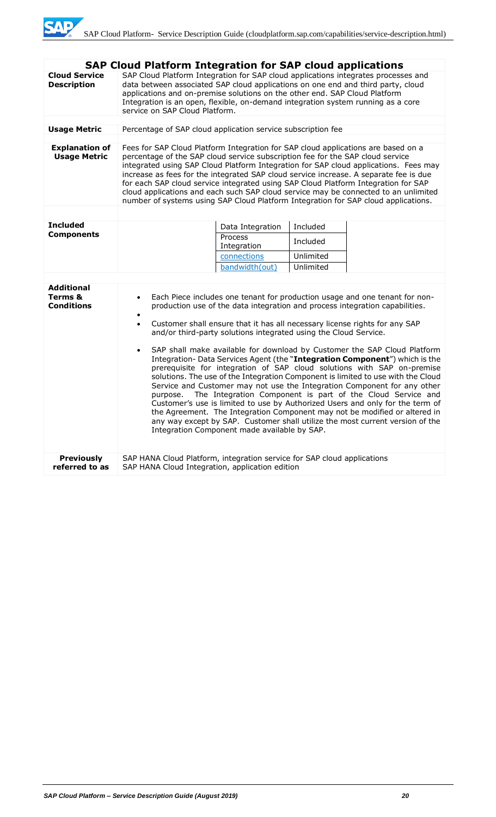|                                                   | <b>SAP Cloud Platform Integration for SAP cloud applications</b>                                                                                                                                                                                                                                                                                                                                                                                                                                                                                                                                                                                                                                                                                                                                                                                                                                                                                                                                                                                                                                                                          |  |  |
|---------------------------------------------------|-------------------------------------------------------------------------------------------------------------------------------------------------------------------------------------------------------------------------------------------------------------------------------------------------------------------------------------------------------------------------------------------------------------------------------------------------------------------------------------------------------------------------------------------------------------------------------------------------------------------------------------------------------------------------------------------------------------------------------------------------------------------------------------------------------------------------------------------------------------------------------------------------------------------------------------------------------------------------------------------------------------------------------------------------------------------------------------------------------------------------------------------|--|--|
| <b>Cloud Service</b><br><b>Description</b>        | SAP Cloud Platform Integration for SAP cloud applications integrates processes and<br>data between associated SAP cloud applications on one end and third party, cloud<br>applications and on-premise solutions on the other end. SAP Cloud Platform<br>Integration is an open, flexible, on-demand integration system running as a core<br>service on SAP Cloud Platform.                                                                                                                                                                                                                                                                                                                                                                                                                                                                                                                                                                                                                                                                                                                                                                |  |  |
|                                                   |                                                                                                                                                                                                                                                                                                                                                                                                                                                                                                                                                                                                                                                                                                                                                                                                                                                                                                                                                                                                                                                                                                                                           |  |  |
| <b>Usage Metric</b>                               | Percentage of SAP cloud application service subscription fee                                                                                                                                                                                                                                                                                                                                                                                                                                                                                                                                                                                                                                                                                                                                                                                                                                                                                                                                                                                                                                                                              |  |  |
| <b>Explanation of</b><br><b>Usage Metric</b>      | Fees for SAP Cloud Platform Integration for SAP cloud applications are based on a<br>percentage of the SAP cloud service subscription fee for the SAP cloud service<br>integrated using SAP Cloud Platform Integration for SAP cloud applications. Fees may<br>increase as fees for the integrated SAP cloud service increase. A separate fee is due<br>for each SAP cloud service integrated using SAP Cloud Platform Integration for SAP<br>cloud applications and each such SAP cloud service may be connected to an unlimited<br>number of systems using SAP Cloud Platform Integration for SAP cloud applications.                                                                                                                                                                                                                                                                                                                                                                                                                                                                                                                   |  |  |
|                                                   |                                                                                                                                                                                                                                                                                                                                                                                                                                                                                                                                                                                                                                                                                                                                                                                                                                                                                                                                                                                                                                                                                                                                           |  |  |
| <b>Included</b>                                   | Included<br>Data Integration                                                                                                                                                                                                                                                                                                                                                                                                                                                                                                                                                                                                                                                                                                                                                                                                                                                                                                                                                                                                                                                                                                              |  |  |
| <b>Components</b>                                 | Process<br>Included<br>Integration                                                                                                                                                                                                                                                                                                                                                                                                                                                                                                                                                                                                                                                                                                                                                                                                                                                                                                                                                                                                                                                                                                        |  |  |
|                                                   | connections<br>Unlimited                                                                                                                                                                                                                                                                                                                                                                                                                                                                                                                                                                                                                                                                                                                                                                                                                                                                                                                                                                                                                                                                                                                  |  |  |
|                                                   | bandwidth(out)<br>Unlimited                                                                                                                                                                                                                                                                                                                                                                                                                                                                                                                                                                                                                                                                                                                                                                                                                                                                                                                                                                                                                                                                                                               |  |  |
| <b>Additional</b><br>Terms &<br><b>Conditions</b> | Each Piece includes one tenant for production usage and one tenant for non-<br>$\bullet$<br>production use of the data integration and process integration capabilities.<br>٠<br>Customer shall ensure that it has all necessary license rights for any SAP<br>$\bullet$<br>and/or third-party solutions integrated using the Cloud Service.<br>SAP shall make available for download by Customer the SAP Cloud Platform<br>$\bullet$<br>Integration- Data Services Agent (the "Integration Component") which is the<br>prerequisite for integration of SAP cloud solutions with SAP on-premise<br>solutions. The use of the Integration Component is limited to use with the Cloud<br>Service and Customer may not use the Integration Component for any other<br>The Integration Component is part of the Cloud Service and<br>purpose.<br>Customer's use is limited to use by Authorized Users and only for the term of<br>the Agreement. The Integration Component may not be modified or altered in<br>any way except by SAP. Customer shall utilize the most current version of the<br>Integration Component made available by SAP. |  |  |
| <b>Previously</b><br>referred to as               | SAP HANA Cloud Platform, integration service for SAP cloud applications<br>SAP HANA Cloud Integration, application edition                                                                                                                                                                                                                                                                                                                                                                                                                                                                                                                                                                                                                                                                                                                                                                                                                                                                                                                                                                                                                |  |  |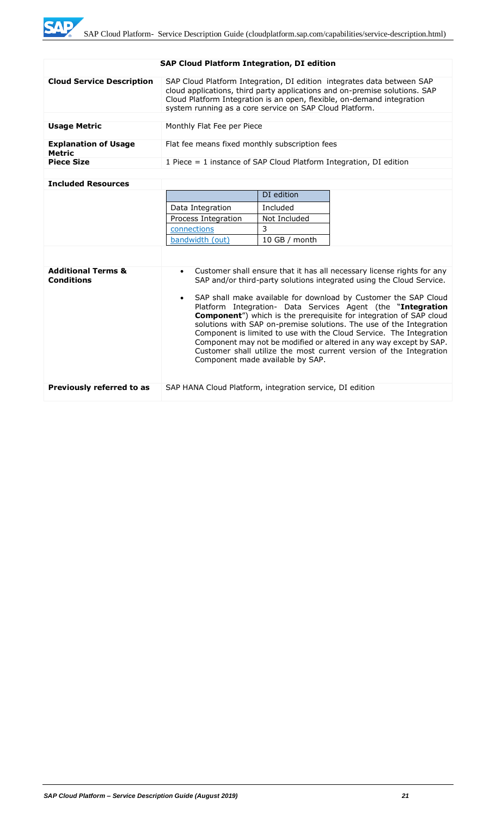ZЕ

| <b>SAP Cloud Platform Integration, DI edition</b> |                                                                                                                                                                                                                                                                                           |            |  |  |
|---------------------------------------------------|-------------------------------------------------------------------------------------------------------------------------------------------------------------------------------------------------------------------------------------------------------------------------------------------|------------|--|--|
| <b>Cloud Service Description</b>                  | SAP Cloud Platform Integration, DI edition integrates data between SAP<br>cloud applications, third party applications and on-premise solutions. SAP<br>Cloud Platform Integration is an open, flexible, on-demand integration<br>system running as a core service on SAP Cloud Platform. |            |  |  |
|                                                   |                                                                                                                                                                                                                                                                                           |            |  |  |
| <b>Usage Metric</b>                               | Monthly Flat Fee per Piece                                                                                                                                                                                                                                                                |            |  |  |
| <b>Explanation of Usage</b><br>Metric             | Flat fee means fixed monthly subscription fees                                                                                                                                                                                                                                            |            |  |  |
| <b>Piece Size</b>                                 | 1 Piece $=$ 1 instance of SAP Cloud Platform Integration, DI edition                                                                                                                                                                                                                      |            |  |  |
|                                                   |                                                                                                                                                                                                                                                                                           |            |  |  |
| <b>Included Resources</b>                         |                                                                                                                                                                                                                                                                                           |            |  |  |
|                                                   |                                                                                                                                                                                                                                                                                           | DI edition |  |  |
|                                                   | Data Integration                                                                                                                                                                                                                                                                          | Included   |  |  |
|                                                   | Not Included<br>Process Integration                                                                                                                                                                                                                                                       |            |  |  |
|                                                   | connoctions                                                                                                                                                                                                                                                                               | ∍          |  |  |

|                                                    | connections                                              | 3                                |                                                                                                                                                                                                                                                                                                                                                                                                                                                                                                                                                                                                                                                            |
|----------------------------------------------------|----------------------------------------------------------|----------------------------------|------------------------------------------------------------------------------------------------------------------------------------------------------------------------------------------------------------------------------------------------------------------------------------------------------------------------------------------------------------------------------------------------------------------------------------------------------------------------------------------------------------------------------------------------------------------------------------------------------------------------------------------------------------|
|                                                    | bandwidth (out)                                          | 10 GB / month                    |                                                                                                                                                                                                                                                                                                                                                                                                                                                                                                                                                                                                                                                            |
|                                                    |                                                          |                                  |                                                                                                                                                                                                                                                                                                                                                                                                                                                                                                                                                                                                                                                            |
| <b>Additional Terms &amp;</b><br><b>Conditions</b> | $\bullet$                                                | Component made available by SAP. | Customer shall ensure that it has all necessary license rights for any<br>SAP and/or third-party solutions integrated using the Cloud Service.<br>• SAP shall make available for download by Customer the SAP Cloud<br>Platform Integration- Data Services Agent (the "Integration<br><b>Component</b> ") which is the prerequisite for integration of SAP cloud<br>solutions with SAP on-premise solutions. The use of the Integration<br>Component is limited to use with the Cloud Service. The Integration<br>Component may not be modified or altered in any way except by SAP.<br>Customer shall utilize the most current version of the Integration |
| Previously referred to as                          | SAP HANA Cloud Platform, integration service, DI edition |                                  |                                                                                                                                                                                                                                                                                                                                                                                                                                                                                                                                                                                                                                                            |

#### *SAP Cloud Platform – Service Description Guide (August 2019) 21*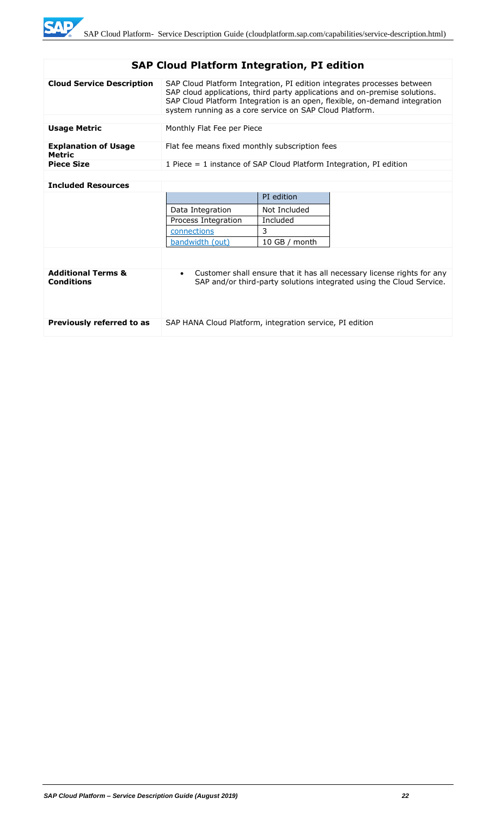# **SAP Cloud Platform Integration, PI edition**

| <b>Cloud Service Description</b>      | SAP Cloud Platform Integration, PI edition integrates processes between<br>SAP cloud applications, third party applications and on-premise solutions.<br>SAP Cloud Platform Integration is an open, flexible, on-demand integration<br>system running as a core service on SAP Cloud Platform. |
|---------------------------------------|------------------------------------------------------------------------------------------------------------------------------------------------------------------------------------------------------------------------------------------------------------------------------------------------|
|                                       |                                                                                                                                                                                                                                                                                                |
| <b>Usage Metric</b>                   | Monthly Flat Fee per Piece                                                                                                                                                                                                                                                                     |
| <b>Explanation of Usage</b><br>Metric | Flat fee means fixed monthly subscription fees                                                                                                                                                                                                                                                 |
| <b>Piece Size</b>                     | 1 Piece $=$ 1 instance of SAP Cloud Platform Integration, PI edition                                                                                                                                                                                                                           |
|                                       |                                                                                                                                                                                                                                                                                                |

# **Included Resources**

|                                                    |                                                                                                                                                             | PI edition    |  |
|----------------------------------------------------|-------------------------------------------------------------------------------------------------------------------------------------------------------------|---------------|--|
|                                                    | Data Integration                                                                                                                                            | Not Included  |  |
|                                                    | Process Integration                                                                                                                                         | Included      |  |
|                                                    | connections                                                                                                                                                 | 3             |  |
|                                                    | bandwidth (out)                                                                                                                                             | 10 GB / month |  |
|                                                    |                                                                                                                                                             |               |  |
| <b>Additional Terms &amp;</b><br><b>Conditions</b> | Customer shall ensure that it has all necessary license rights for any<br>$\bullet$<br>SAP and/or third-party solutions integrated using the Cloud Service. |               |  |
| Previously referred to as                          | SAP HANA Cloud Platform, integration service, PI edition                                                                                                    |               |  |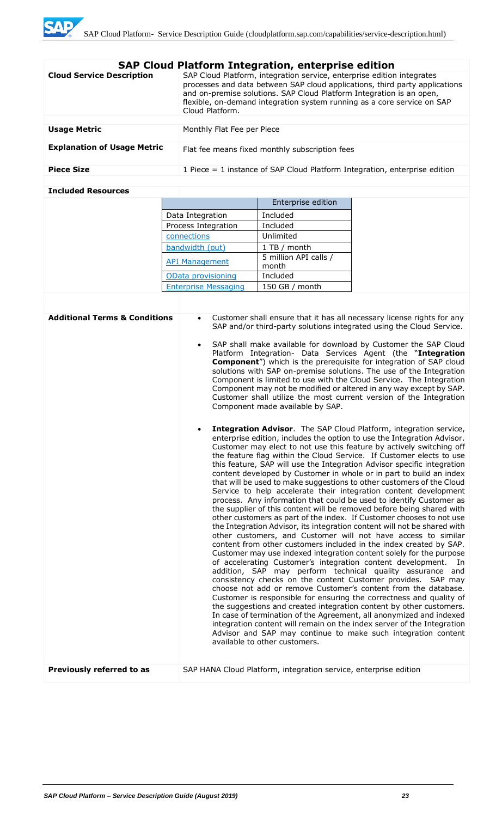|                                    | <b>SAP Cloud Platform Integration, enterprise edition</b>                                                                                                                                                                                                                                                                   |
|------------------------------------|-----------------------------------------------------------------------------------------------------------------------------------------------------------------------------------------------------------------------------------------------------------------------------------------------------------------------------|
| <b>Cloud Service Description</b>   | SAP Cloud Platform, integration service, enterprise edition integrates<br>processes and data between SAP cloud applications, third party applications<br>and on-premise solutions. SAP Cloud Platform Integration is an open,<br>flexible, on-demand integration system running as a core service on SAP<br>Cloud Platform. |
|                                    |                                                                                                                                                                                                                                                                                                                             |
| <b>Usage Metric</b>                | Monthly Flat Fee per Piece                                                                                                                                                                                                                                                                                                  |
| <b>Explanation of Usage Metric</b> | Flat fee means fixed monthly subscription fees                                                                                                                                                                                                                                                                              |
| <b>Piece Size</b>                  | 1 Piece $=$ 1 instance of SAP Cloud Platform Integration, enterprise edition                                                                                                                                                                                                                                                |
|                                    |                                                                                                                                                                                                                                                                                                                             |

# **Included Resources**

|                             | Enterprise edition             |
|-----------------------------|--------------------------------|
| Data Integration            | Included                       |
| Process Integration         | Included                       |
| connections                 | Unlimited                      |
| bandwidth (out)             | 1 TB / month                   |
| <b>API Management</b>       | 5 million API calls /<br>month |
| OData provisioning          | Included                       |
| <b>Enterprise Messaging</b> | 150 GB / month                 |

| <b>Additional Terms &amp; Conditions</b> | Customer shall ensure that it has all necessary license rights for any<br>SAP and/or third-party solutions integrated using the Cloud Service.<br>SAP shall make available for download by Customer the SAP Cloud<br>Platform Integration- Data Services Agent (the "Integration<br><b>Component</b> ") which is the prerequisite for integration of SAP cloud<br>solutions with SAP on-premise solutions. The use of the Integration<br>Component is limited to use with the Cloud Service. The Integration<br>Component may not be modified or altered in any way except by SAP.<br>Customer shall utilize the most current version of the Integration<br>Component made available by SAP.                                                                                                                                                                                                                                                                                                                                                                                                                                                                                                                                                                                                                                                                                                                                                                                                                                                                                                                                                                                                                                                                                         |
|------------------------------------------|--------------------------------------------------------------------------------------------------------------------------------------------------------------------------------------------------------------------------------------------------------------------------------------------------------------------------------------------------------------------------------------------------------------------------------------------------------------------------------------------------------------------------------------------------------------------------------------------------------------------------------------------------------------------------------------------------------------------------------------------------------------------------------------------------------------------------------------------------------------------------------------------------------------------------------------------------------------------------------------------------------------------------------------------------------------------------------------------------------------------------------------------------------------------------------------------------------------------------------------------------------------------------------------------------------------------------------------------------------------------------------------------------------------------------------------------------------------------------------------------------------------------------------------------------------------------------------------------------------------------------------------------------------------------------------------------------------------------------------------------------------------------------------------|
|                                          | Integration Advisor. The SAP Cloud Platform, integration service,<br>enterprise edition, includes the option to use the Integration Advisor.<br>Customer may elect to not use this feature by actively switching off<br>the feature flag within the Cloud Service. If Customer elects to use<br>this feature, SAP will use the Integration Advisor specific integration<br>content developed by Customer in whole or in part to build an index<br>that will be used to make suggestions to other customers of the Cloud<br>Service to help accelerate their integration content development<br>process. Any information that could be used to identify Customer as<br>the supplier of this content will be removed before being shared with<br>other customers as part of the index. If Customer chooses to not use<br>the Integration Advisor, its integration content will not be shared with<br>other customers, and Customer will not have access to similar<br>content from other customers included in the index created by SAP.<br>Customer may use indexed integration content solely for the purpose<br>of accelerating Customer's integration content development.<br>- In<br>addition, SAP may perform technical quality assurance and<br>consistency checks on the content Customer provides. SAP may<br>choose not add or remove Customer's content from the database.<br>Customer is responsible for ensuring the correctness and quality of<br>the suggestions and created integration content by other customers.<br>In case of termination of the Agreement, all anonymized and indexed<br>integration content will remain on the index server of the Integration<br>Advisor and SAP may continue to make such integration content<br>available to other customers. |
| Previously referred to as                | SAP HANA Cloud Platform, integration service, enterprise edition                                                                                                                                                                                                                                                                                                                                                                                                                                                                                                                                                                                                                                                                                                                                                                                                                                                                                                                                                                                                                                                                                                                                                                                                                                                                                                                                                                                                                                                                                                                                                                                                                                                                                                                     |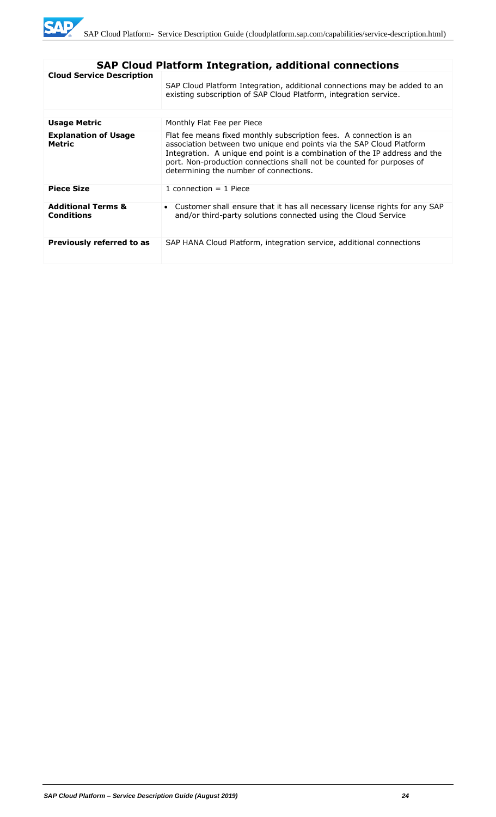

|                                                    | <b>SAP Cloud Platform Integration, additional connections</b>                                                                                                                                                                                                                                                                               |  |  |  |  |
|----------------------------------------------------|---------------------------------------------------------------------------------------------------------------------------------------------------------------------------------------------------------------------------------------------------------------------------------------------------------------------------------------------|--|--|--|--|
| <b>Cloud Service Description</b>                   | SAP Cloud Platform Integration, additional connections may be added to an<br>existing subscription of SAP Cloud Platform, integration service.                                                                                                                                                                                              |  |  |  |  |
| <b>Usage Metric</b>                                | Monthly Flat Fee per Piece                                                                                                                                                                                                                                                                                                                  |  |  |  |  |
|                                                    |                                                                                                                                                                                                                                                                                                                                             |  |  |  |  |
| <b>Explanation of Usage</b><br><b>Metric</b>       | Flat fee means fixed monthly subscription fees. A connection is an<br>association between two unique end points via the SAP Cloud Platform<br>Integration. A unique end point is a combination of the IP address and the<br>port. Non-production connections shall not be counted for purposes of<br>determining the number of connections. |  |  |  |  |
| <b>Piece Size</b>                                  | 1 connection $=$ 1 Piece                                                                                                                                                                                                                                                                                                                    |  |  |  |  |
| <b>Additional Terms &amp;</b><br><b>Conditions</b> | • Customer shall ensure that it has all necessary license rights for any SAP<br>and/or third-party solutions connected using the Cloud Service                                                                                                                                                                                              |  |  |  |  |
| Previously referred to as                          | SAP HANA Cloud Platform, integration service, additional connections                                                                                                                                                                                                                                                                        |  |  |  |  |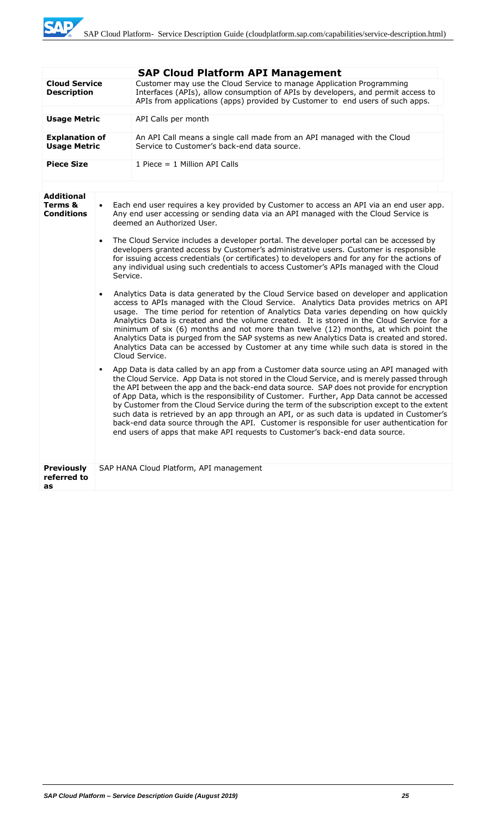|                                                                                                                                                                        |                       | <b>SAP Cloud Platform API Management</b>                                                                                                                                                                                                                                                                                                                                                                                                                                                                                                                                                                                                                                                                                                                    |  |  |
|------------------------------------------------------------------------------------------------------------------------------------------------------------------------|-----------------------|-------------------------------------------------------------------------------------------------------------------------------------------------------------------------------------------------------------------------------------------------------------------------------------------------------------------------------------------------------------------------------------------------------------------------------------------------------------------------------------------------------------------------------------------------------------------------------------------------------------------------------------------------------------------------------------------------------------------------------------------------------------|--|--|
| <b>Cloud Service</b><br><b>Description</b>                                                                                                                             |                       | Customer may use the Cloud Service to manage Application Programming<br>Interfaces (APIs), allow consumption of APIs by developers, and permit access to<br>APIs from applications (apps) provided by Customer to end users of such apps.                                                                                                                                                                                                                                                                                                                                                                                                                                                                                                                   |  |  |
| <b>Usage Metric</b><br>API Calls per month                                                                                                                             |                       |                                                                                                                                                                                                                                                                                                                                                                                                                                                                                                                                                                                                                                                                                                                                                             |  |  |
| An API Call means a single call made from an API managed with the Cloud<br><b>Explanation of</b><br>Service to Customer's back-end data source.<br><b>Usage Metric</b> |                       |                                                                                                                                                                                                                                                                                                                                                                                                                                                                                                                                                                                                                                                                                                                                                             |  |  |
| <b>Piece Size</b>                                                                                                                                                      |                       | 1 Piece $= 1$ Million API Calls                                                                                                                                                                                                                                                                                                                                                                                                                                                                                                                                                                                                                                                                                                                             |  |  |
|                                                                                                                                                                        |                       |                                                                                                                                                                                                                                                                                                                                                                                                                                                                                                                                                                                                                                                                                                                                                             |  |  |
| <b>Additional</b><br>Terms &<br><b>Conditions</b>                                                                                                                      | $\bullet$             | Each end user requires a key provided by Customer to access an API via an end user app.<br>Any end user accessing or sending data via an API managed with the Cloud Service is<br>deemed an Authorized User.                                                                                                                                                                                                                                                                                                                                                                                                                                                                                                                                                |  |  |
|                                                                                                                                                                        | $\bullet$<br>Service. | The Cloud Service includes a developer portal. The developer portal can be accessed by<br>developers granted access by Customer's administrative users. Customer is responsible<br>for issuing access credentials (or certificates) to developers and for any for the actions of<br>any individual using such credentials to access Customer's APIs managed with the Cloud                                                                                                                                                                                                                                                                                                                                                                                  |  |  |
|                                                                                                                                                                        |                       | Analytics Data is data generated by the Cloud Service based on developer and application<br>access to APIs managed with the Cloud Service. Analytics Data provides metrics on API<br>usage. The time period for retention of Analytics Data varies depending on how quickly<br>Analytics Data is created and the volume created. It is stored in the Cloud Service for a<br>minimum of six (6) months and not more than twelve (12) months, at which point the<br>Analytics Data is purged from the SAP systems as new Analytics Data is created and stored.<br>Analytics Data can be accessed by Customer at any time while such data is stored in the<br>Cloud Service.                                                                                   |  |  |
|                                                                                                                                                                        |                       | App Data is data called by an app from a Customer data source using an API managed with<br>the Cloud Service. App Data is not stored in the Cloud Service, and is merely passed through<br>the API between the app and the back-end data source. SAP does not provide for encryption<br>of App Data, which is the responsibility of Customer. Further, App Data cannot be accessed<br>by Customer from the Cloud Service during the term of the subscription except to the extent<br>such data is retrieved by an app through an API, or as such data is updated in Customer's<br>back-end data source through the API. Customer is responsible for user authentication for<br>end users of apps that make API requests to Customer's back-end data source. |  |  |
| <b>Previously</b><br>referred to<br>as                                                                                                                                 |                       | SAP HANA Cloud Platform, API management                                                                                                                                                                                                                                                                                                                                                                                                                                                                                                                                                                                                                                                                                                                     |  |  |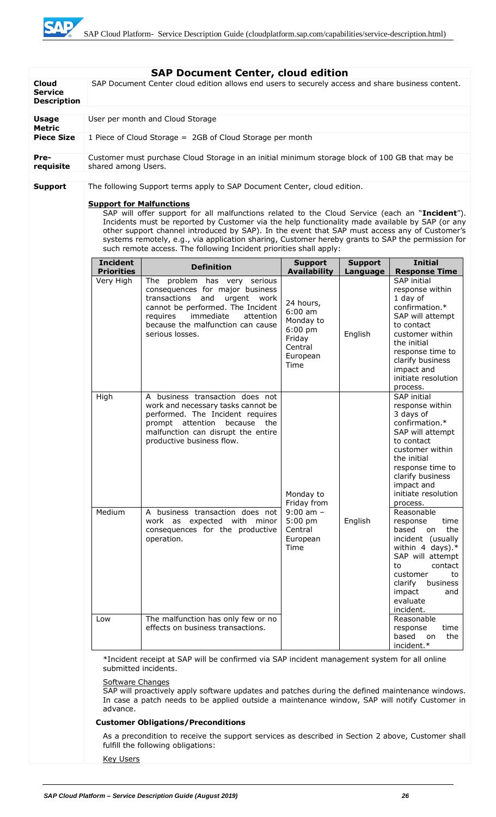| <b>Cloud</b>                         |                                                                                                                                          | <b>SAP Document Center, cloud edition</b><br>SAP Document Center cloud edition allows end users to securely access and share business content.                                                                                                                                                                                                                                                                                                                                |                                                                                                                  |                                                                                                                                                                                                             |                                                                                                                                                                                                                                                                  |
|--------------------------------------|------------------------------------------------------------------------------------------------------------------------------------------|-------------------------------------------------------------------------------------------------------------------------------------------------------------------------------------------------------------------------------------------------------------------------------------------------------------------------------------------------------------------------------------------------------------------------------------------------------------------------------|------------------------------------------------------------------------------------------------------------------|-------------------------------------------------------------------------------------------------------------------------------------------------------------------------------------------------------------|------------------------------------------------------------------------------------------------------------------------------------------------------------------------------------------------------------------------------------------------------------------|
| <b>Service</b><br><b>Description</b> |                                                                                                                                          |                                                                                                                                                                                                                                                                                                                                                                                                                                                                               |                                                                                                                  |                                                                                                                                                                                                             |                                                                                                                                                                                                                                                                  |
| <b>Usage</b><br><b>Metric</b>        |                                                                                                                                          | User per month and Cloud Storage                                                                                                                                                                                                                                                                                                                                                                                                                                              |                                                                                                                  |                                                                                                                                                                                                             |                                                                                                                                                                                                                                                                  |
| <b>Piece Size</b>                    |                                                                                                                                          | 1 Piece of Cloud Storage = 2GB of Cloud Storage per month                                                                                                                                                                                                                                                                                                                                                                                                                     |                                                                                                                  |                                                                                                                                                                                                             |                                                                                                                                                                                                                                                                  |
| Pre-<br>requisite                    | shared among Users.                                                                                                                      | Customer must purchase Cloud Storage in an initial minimum storage block of 100 GB that may be                                                                                                                                                                                                                                                                                                                                                                                |                                                                                                                  |                                                                                                                                                                                                             |                                                                                                                                                                                                                                                                  |
| <b>Support</b>                       |                                                                                                                                          | The following Support terms apply to SAP Document Center, cloud edition.                                                                                                                                                                                                                                                                                                                                                                                                      |                                                                                                                  |                                                                                                                                                                                                             |                                                                                                                                                                                                                                                                  |
|                                      | <b>Support for Malfunctions</b>                                                                                                          | SAP will offer support for all malfunctions related to the Cloud Service (each an "Incident").<br>Incidents must be reported by Customer via the help functionality made available by SAP (or any<br>other support channel introduced by SAP). In the event that SAP must access any of Customer's<br>systems remotely, e.g., via application sharing, Customer hereby grants to SAP the permission for<br>such remote access. The following Incident priorities shall apply: |                                                                                                                  |                                                                                                                                                                                                             |                                                                                                                                                                                                                                                                  |
|                                      | <b>Incident</b>                                                                                                                          | <b>Definition</b>                                                                                                                                                                                                                                                                                                                                                                                                                                                             | <b>Support</b>                                                                                                   | <b>Support</b>                                                                                                                                                                                              | <b>Initial</b>                                                                                                                                                                                                                                                   |
|                                      | <b>Priorities</b><br>Very High<br>High                                                                                                   | The problem has very serious<br>consequences for major business<br>transactions and<br>urgent work<br>cannot be performed. The Incident<br>immediate<br>requires<br>attention<br>because the malfunction can cause<br>serious losses.<br>A business transaction does not                                                                                                                                                                                                      | <b>Availability</b><br>24 hours,<br>$6:00$ am<br>Monday to<br>$6:00$ pm<br>Friday<br>Central<br>European<br>Time | Language<br>English                                                                                                                                                                                         | <b>Response Time</b><br>SAP initial<br>response within<br>1 day of<br>confirmation.*<br>SAP will attempt<br>to contact<br>customer within<br>the initial<br>response time to<br>clarify business<br>impact and<br>initiate resolution<br>process.<br>SAP initial |
|                                      |                                                                                                                                          | work and necessary tasks cannot be<br>performed. The Incident requires<br>prompt attention because<br>the<br>malfunction can disrupt the entire<br>productive business flow.                                                                                                                                                                                                                                                                                                  | Monday to<br>Friday from<br>$9:00$ am $-$<br>$5:00$ pm<br>English<br>Central<br>European<br>Time                 | response within<br>3 days of<br>confirmation.*<br>SAP will attempt<br>to contact<br>customer within<br>the initial<br>response time to<br>clarify business<br>impact and<br>initiate resolution<br>process. |                                                                                                                                                                                                                                                                  |
|                                      | Medium                                                                                                                                   | A business transaction does not<br>work as expected with minor<br>consequences for the productive<br>operation.                                                                                                                                                                                                                                                                                                                                                               |                                                                                                                  |                                                                                                                                                                                                             | Reasonable<br>response<br>time<br>based<br>the<br>on<br>incident (usually<br>within 4 days). $*$<br>SAP will attempt<br>contact<br>to<br>customer<br>to<br>business<br>clarify<br>impact<br>and<br>evaluate<br>incident.                                         |
|                                      | Low                                                                                                                                      | The malfunction has only few or no<br>effects on business transactions.                                                                                                                                                                                                                                                                                                                                                                                                       |                                                                                                                  |                                                                                                                                                                                                             | Reasonable<br>response<br>time<br>based on<br>the<br>incident.*                                                                                                                                                                                                  |
|                                      | *Incident receipt at SAP will be confirmed via SAP incident management system for all online<br>submitted incidents.<br>Software Changes |                                                                                                                                                                                                                                                                                                                                                                                                                                                                               |                                                                                                                  |                                                                                                                                                                                                             |                                                                                                                                                                                                                                                                  |
|                                      | advance.                                                                                                                                 | SAP will proactively apply software updates and patches during the defined maintenance windows.<br>In case a patch needs to be applied outside a maintenance window, SAP will notify Customer in                                                                                                                                                                                                                                                                              |                                                                                                                  |                                                                                                                                                                                                             |                                                                                                                                                                                                                                                                  |
|                                      |                                                                                                                                          | <b>Customer Obligations/Preconditions</b>                                                                                                                                                                                                                                                                                                                                                                                                                                     |                                                                                                                  |                                                                                                                                                                                                             |                                                                                                                                                                                                                                                                  |
|                                      |                                                                                                                                          | As a precondition to receive the support services as described in Section 2 above, Customer shall<br>fulfill the following obligations:                                                                                                                                                                                                                                                                                                                                       |                                                                                                                  |                                                                                                                                                                                                             |                                                                                                                                                                                                                                                                  |
|                                      | <b>Key Users</b>                                                                                                                         |                                                                                                                                                                                                                                                                                                                                                                                                                                                                               |                                                                                                                  |                                                                                                                                                                                                             |                                                                                                                                                                                                                                                                  |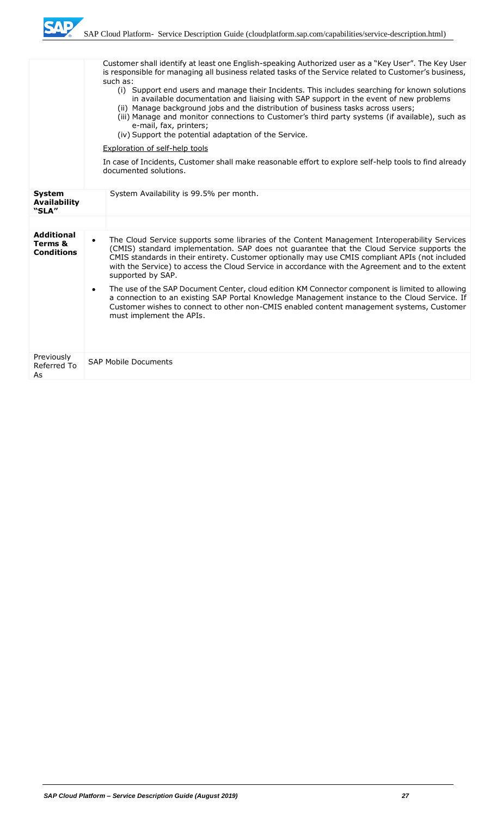

|                                                   |           | Customer shall identify at least one English-speaking Authorized user as a "Key User". The Key User<br>is responsible for managing all business related tasks of the Service related to Customer's business,<br>such as:<br>(i) Support end users and manage their Incidents. This includes searching for known solutions<br>in available documentation and liaising with SAP support in the event of new problems<br>(ii) Manage background jobs and the distribution of business tasks across users;<br>(iii) Manage and monitor connections to Customer's third party systems (if available), such as<br>e-mail, fax, printers;<br>(iv) Support the potential adaptation of the Service.<br><b>Exploration of self-help tools</b> |
|---------------------------------------------------|-----------|--------------------------------------------------------------------------------------------------------------------------------------------------------------------------------------------------------------------------------------------------------------------------------------------------------------------------------------------------------------------------------------------------------------------------------------------------------------------------------------------------------------------------------------------------------------------------------------------------------------------------------------------------------------------------------------------------------------------------------------|
|                                                   |           | In case of Incidents, Customer shall make reasonable effort to explore self-help tools to find already<br>documented solutions.                                                                                                                                                                                                                                                                                                                                                                                                                                                                                                                                                                                                      |
| <b>System</b><br><b>Availability</b><br>"SLA"     |           | System Availability is 99.5% per month.                                                                                                                                                                                                                                                                                                                                                                                                                                                                                                                                                                                                                                                                                              |
|                                                   |           |                                                                                                                                                                                                                                                                                                                                                                                                                                                                                                                                                                                                                                                                                                                                      |
| <b>Additional</b><br>Terms &<br><b>Conditions</b> | $\bullet$ | The Cloud Service supports some libraries of the Content Management Interoperability Services<br>(CMIS) standard implementation. SAP does not guarantee that the Cloud Service supports the<br>CMIS standards in their entirety. Customer optionally may use CMIS compliant APIs (not included<br>with the Service) to access the Cloud Service in accordance with the Agreement and to the extent<br>supported by SAP.                                                                                                                                                                                                                                                                                                              |
|                                                   |           | The use of the SAP Document Center, cloud edition KM Connector component is limited to allowing<br>a connection to an existing SAP Portal Knowledge Management instance to the Cloud Service. If<br>Customer wishes to connect to other non-CMIS enabled content management systems, Customer<br>must implement the APIs.                                                                                                                                                                                                                                                                                                                                                                                                            |
| Previously<br>Referred To<br>As                   |           | <b>SAP Mobile Documents</b>                                                                                                                                                                                                                                                                                                                                                                                                                                                                                                                                                                                                                                                                                                          |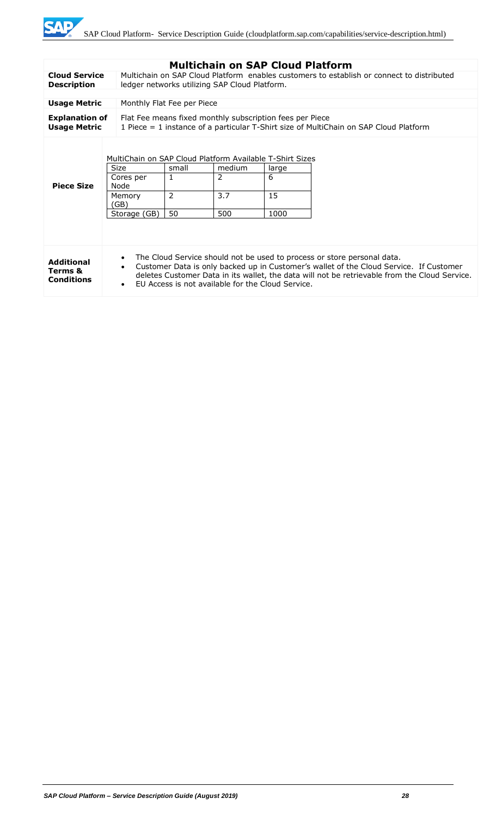

|                                                              |                                                                                                                                                                                                                                                                                                                                                                |                                                                                                                                                   | <b>Multichain on SAP Cloud Platform</b> |                          |  |
|--------------------------------------------------------------|----------------------------------------------------------------------------------------------------------------------------------------------------------------------------------------------------------------------------------------------------------------------------------------------------------------------------------------------------------------|---------------------------------------------------------------------------------------------------------------------------------------------------|-----------------------------------------|--------------------------|--|
| <b>Cloud Service</b><br><b>Description</b>                   | Multichain on SAP Cloud Platform enables customers to establish or connect to distributed<br>ledger networks utilizing SAP Cloud Platform.                                                                                                                                                                                                                     |                                                                                                                                                   |                                         |                          |  |
|                                                              |                                                                                                                                                                                                                                                                                                                                                                |                                                                                                                                                   |                                         |                          |  |
| <b>Usage Metric</b>                                          |                                                                                                                                                                                                                                                                                                                                                                | Monthly Flat Fee per Piece                                                                                                                        |                                         |                          |  |
| <b>Explanation of</b><br><b>Usage Metric</b>                 |                                                                                                                                                                                                                                                                                                                                                                | Flat Fee means fixed monthly subscription fees per Piece<br>1 Piece = 1 instance of a particular T-Shirt size of MultiChain on SAP Cloud Platform |                                         |                          |  |
| <b>Piece Size</b>                                            | MultiChain on SAP Cloud Platform Available T-Shirt Sizes<br><b>Size</b><br>Cores per<br>Node<br>Memory<br>(GB)<br>Storage (GB)                                                                                                                                                                                                                                 | small<br>$\mathbf{1}$<br>$\overline{2}$<br>50                                                                                                     | medium<br>2<br>3.7<br>500               | large<br>6<br>15<br>1000 |  |
| <b>Additional</b><br><b>Terms &amp;</b><br><b>Conditions</b> | The Cloud Service should not be used to process or store personal data.<br>$\bullet$<br>Customer Data is only backed up in Customer's wallet of the Cloud Service. If Customer<br>$\bullet$<br>deletes Customer Data in its wallet, the data will not be retrievable from the Cloud Service.<br>EU Access is not available for the Cloud Service.<br>$\bullet$ |                                                                                                                                                   |                                         |                          |  |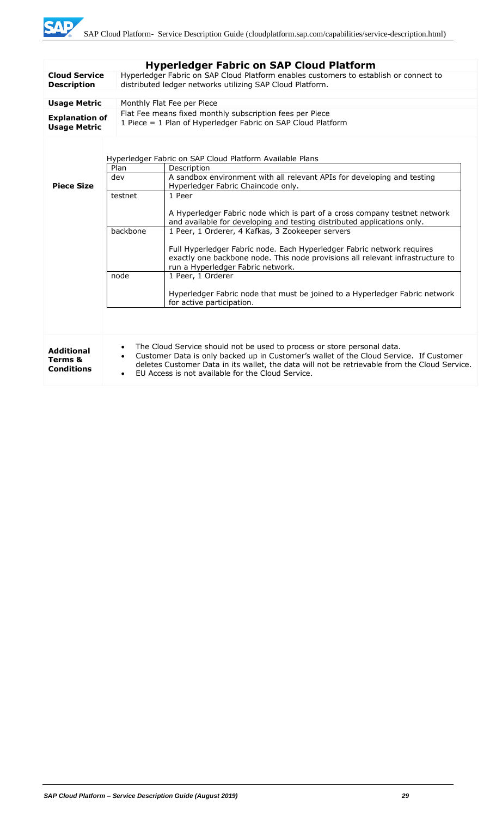|                                                   |                                                                                                                                                                                                                                                                                                                                                                                                                                                                                                                                                                 | <b>Hyperledger Fabric on SAP Cloud Platform</b>                                                                                                                                                                                                                                                                         |  |  |  |  |
|---------------------------------------------------|-----------------------------------------------------------------------------------------------------------------------------------------------------------------------------------------------------------------------------------------------------------------------------------------------------------------------------------------------------------------------------------------------------------------------------------------------------------------------------------------------------------------------------------------------------------------|-------------------------------------------------------------------------------------------------------------------------------------------------------------------------------------------------------------------------------------------------------------------------------------------------------------------------|--|--|--|--|
| <b>Cloud Service</b><br><b>Description</b>        | Hyperledger Fabric on SAP Cloud Platform enables customers to establish or connect to<br>distributed ledger networks utilizing SAP Cloud Platform.                                                                                                                                                                                                                                                                                                                                                                                                              |                                                                                                                                                                                                                                                                                                                         |  |  |  |  |
|                                                   |                                                                                                                                                                                                                                                                                                                                                                                                                                                                                                                                                                 |                                                                                                                                                                                                                                                                                                                         |  |  |  |  |
| <b>Usage Metric</b>                               |                                                                                                                                                                                                                                                                                                                                                                                                                                                                                                                                                                 | Monthly Flat Fee per Piece                                                                                                                                                                                                                                                                                              |  |  |  |  |
| <b>Explanation of</b><br><b>Usage Metric</b>      | Flat Fee means fixed monthly subscription fees per Piece<br>1 Piece = 1 Plan of Hyperledger Fabric on SAP Cloud Platform                                                                                                                                                                                                                                                                                                                                                                                                                                        |                                                                                                                                                                                                                                                                                                                         |  |  |  |  |
| <b>Piece Size</b>                                 | Plan<br>dev<br>testnet                                                                                                                                                                                                                                                                                                                                                                                                                                                                                                                                          | Hyperledger Fabric on SAP Cloud Platform Available Plans<br>Description<br>A sandbox environment with all relevant APIs for developing and testing<br>Hyperledger Fabric Chaincode only.<br>1 Peer                                                                                                                      |  |  |  |  |
|                                                   | A Hyperledger Fabric node which is part of a cross company testnet network<br>and available for developing and testing distributed applications only.<br>backbone<br>1 Peer, 1 Orderer, 4 Kafkas, 3 Zookeeper servers<br>Full Hyperledger Fabric node. Each Hyperledger Fabric network requires<br>exactly one backbone node. This node provisions all relevant infrastructure to<br>run a Hyperledger Fabric network.<br>1 Peer, 1 Orderer<br>node<br>Hyperledger Fabric node that must be joined to a Hyperledger Fabric network<br>for active participation. |                                                                                                                                                                                                                                                                                                                         |  |  |  |  |
| <b>Additional</b><br>Terms &<br><b>Conditions</b> | $\bullet$<br>$\bullet$                                                                                                                                                                                                                                                                                                                                                                                                                                                                                                                                          | The Cloud Service should not be used to process or store personal data.<br>Customer Data is only backed up in Customer's wallet of the Cloud Service. If Customer<br>deletes Customer Data in its wallet, the data will not be retrievable from the Cloud Service.<br>EU Access is not available for the Cloud Service. |  |  |  |  |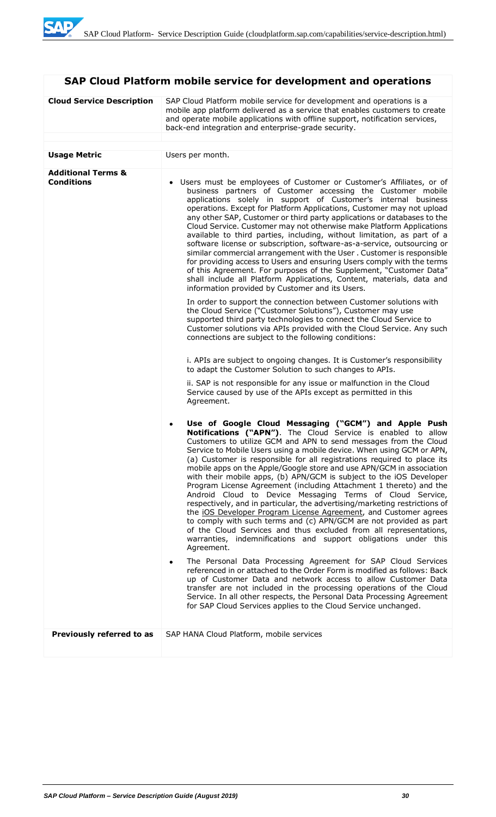# **SAP Cloud Platform mobile service for development and operations**

| <b>Cloud Service Description</b>                   | SAP Cloud Platform mobile service for development and operations is a<br>mobile app platform delivered as a service that enables customers to create<br>and operate mobile applications with offline support, notification services,<br>back-end integration and enterprise-grade security.                                                                                                                                                                                                                                                                                                                                                                                                                                                                                                                                                                                                                                                                                                                                                                                       |  |
|----------------------------------------------------|-----------------------------------------------------------------------------------------------------------------------------------------------------------------------------------------------------------------------------------------------------------------------------------------------------------------------------------------------------------------------------------------------------------------------------------------------------------------------------------------------------------------------------------------------------------------------------------------------------------------------------------------------------------------------------------------------------------------------------------------------------------------------------------------------------------------------------------------------------------------------------------------------------------------------------------------------------------------------------------------------------------------------------------------------------------------------------------|--|
|                                                    |                                                                                                                                                                                                                                                                                                                                                                                                                                                                                                                                                                                                                                                                                                                                                                                                                                                                                                                                                                                                                                                                                   |  |
| <b>Usage Metric</b>                                | Users per month.                                                                                                                                                                                                                                                                                                                                                                                                                                                                                                                                                                                                                                                                                                                                                                                                                                                                                                                                                                                                                                                                  |  |
| <b>Additional Terms &amp;</b><br><b>Conditions</b> | • Users must be employees of Customer or Customer's Affiliates, or of<br>business partners of Customer accessing the Customer mobile<br>applications solely in support of Customer's internal business<br>operations. Except for Platform Applications, Customer may not upload<br>any other SAP, Customer or third party applications or databases to the<br>Cloud Service. Customer may not otherwise make Platform Applications<br>available to third parties, including, without limitation, as part of a<br>software license or subscription, software-as-a-service, outsourcing or<br>similar commercial arrangement with the User. Customer is responsible<br>for providing access to Users and ensuring Users comply with the terms<br>of this Agreement. For purposes of the Supplement, "Customer Data"<br>shall include all Platform Applications, Content, materials, data and<br>information provided by Customer and its Users.<br>In order to support the connection between Customer solutions with<br>the Cloud Service ("Customer Solutions"), Customer may use |  |
|                                                    | supported third party technologies to connect the Cloud Service to<br>Customer solutions via APIs provided with the Cloud Service. Any such<br>connections are subject to the following conditions:                                                                                                                                                                                                                                                                                                                                                                                                                                                                                                                                                                                                                                                                                                                                                                                                                                                                               |  |
|                                                    | i. APIs are subject to ongoing changes. It is Customer's responsibility<br>to adapt the Customer Solution to such changes to APIs.                                                                                                                                                                                                                                                                                                                                                                                                                                                                                                                                                                                                                                                                                                                                                                                                                                                                                                                                                |  |
|                                                    | ii. SAP is not responsible for any issue or malfunction in the Cloud<br>Service caused by use of the APIs except as permitted in this<br>Agreement.                                                                                                                                                                                                                                                                                                                                                                                                                                                                                                                                                                                                                                                                                                                                                                                                                                                                                                                               |  |
|                                                    | Use of Google Cloud Messaging ("GCM") and Apple Push<br>۰<br>Notifications ("APN"). The Cloud Service is enabled to allow<br>Customers to utilize GCM and APN to send messages from the Cloud<br>Service to Mobile Users using a mobile device. When using GCM or APN,<br>(a) Customer is responsible for all registrations required to place its<br>mobile apps on the Apple/Google store and use APN/GCM in association<br>with their mobile apps, (b) APN/GCM is subject to the iOS Developer<br>Program License Agreement (including Attachment 1 thereto) and the<br>Android Cloud to Device Messaging Terms of Cloud Service,<br>respectively, and in particular, the advertising/marketing restrictions of<br>the iOS Developer Program License Agreement, and Customer agrees<br>to comply with such terms and (c) APN/GCM are not provided as part<br>of the Cloud Services and thus excluded from all representations,<br>warranties, indemnifications and support obligations under this<br>Agreement.                                                                 |  |
|                                                    | The Personal Data Processing Agreement for SAP Cloud Services<br>٠<br>referenced in or attached to the Order Form is modified as follows: Back<br>up of Customer Data and network access to allow Customer Data<br>transfer are not included in the processing operations of the Cloud<br>Service. In all other respects, the Personal Data Processing Agreement<br>for SAP Cloud Services applies to the Cloud Service unchanged.                                                                                                                                                                                                                                                                                                                                                                                                                                                                                                                                                                                                                                                |  |
| Previously referred to as                          | SAP HANA Cloud Platform, mobile services                                                                                                                                                                                                                                                                                                                                                                                                                                                                                                                                                                                                                                                                                                                                                                                                                                                                                                                                                                                                                                          |  |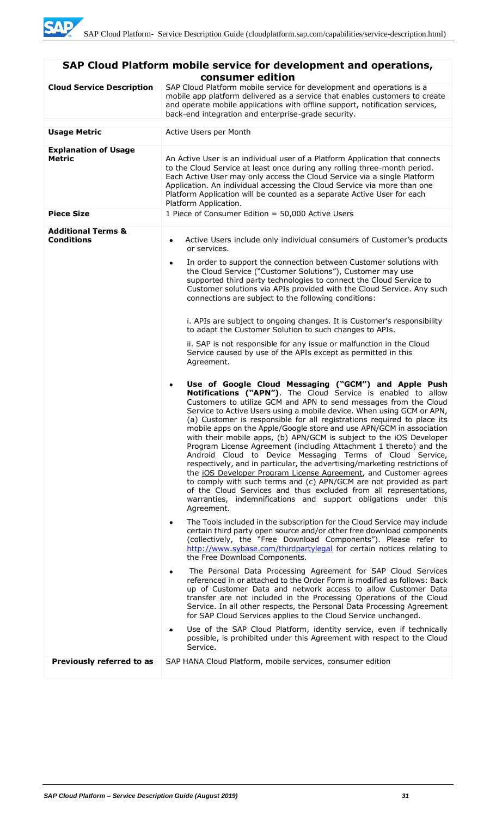| SAP Cloud Platform mobile service for development and operations,<br>consumer edition |                                                                                                                                                                                                                                                                                                                                                                                                                                                                                                                                                                                                                                                                                                                                                                                                                                                                                                                                                                                                                                                                                                                                                                                                                                                                                                                                                                                                                                                                                                                                                                                                                                                                                                                                                                                                                                                                                                                                                                                                                                                                                                                                                                                                                                                                                                                                                                                                                                                                                                                                                                   |  |
|---------------------------------------------------------------------------------------|-------------------------------------------------------------------------------------------------------------------------------------------------------------------------------------------------------------------------------------------------------------------------------------------------------------------------------------------------------------------------------------------------------------------------------------------------------------------------------------------------------------------------------------------------------------------------------------------------------------------------------------------------------------------------------------------------------------------------------------------------------------------------------------------------------------------------------------------------------------------------------------------------------------------------------------------------------------------------------------------------------------------------------------------------------------------------------------------------------------------------------------------------------------------------------------------------------------------------------------------------------------------------------------------------------------------------------------------------------------------------------------------------------------------------------------------------------------------------------------------------------------------------------------------------------------------------------------------------------------------------------------------------------------------------------------------------------------------------------------------------------------------------------------------------------------------------------------------------------------------------------------------------------------------------------------------------------------------------------------------------------------------------------------------------------------------------------------------------------------------------------------------------------------------------------------------------------------------------------------------------------------------------------------------------------------------------------------------------------------------------------------------------------------------------------------------------------------------------------------------------------------------------------------------------------------------|--|
| <b>Cloud Service Description</b>                                                      | SAP Cloud Platform mobile service for development and operations is a<br>mobile app platform delivered as a service that enables customers to create<br>and operate mobile applications with offline support, notification services,<br>back-end integration and enterprise-grade security.                                                                                                                                                                                                                                                                                                                                                                                                                                                                                                                                                                                                                                                                                                                                                                                                                                                                                                                                                                                                                                                                                                                                                                                                                                                                                                                                                                                                                                                                                                                                                                                                                                                                                                                                                                                                                                                                                                                                                                                                                                                                                                                                                                                                                                                                       |  |
| <b>Usage Metric</b>                                                                   | Active Users per Month                                                                                                                                                                                                                                                                                                                                                                                                                                                                                                                                                                                                                                                                                                                                                                                                                                                                                                                                                                                                                                                                                                                                                                                                                                                                                                                                                                                                                                                                                                                                                                                                                                                                                                                                                                                                                                                                                                                                                                                                                                                                                                                                                                                                                                                                                                                                                                                                                                                                                                                                            |  |
| <b>Explanation of Usage</b><br>Metric<br><b>Piece Size</b>                            | An Active User is an individual user of a Platform Application that connects<br>to the Cloud Service at least once during any rolling three-month period.<br>Each Active User may only access the Cloud Service via a single Platform<br>Application. An individual accessing the Cloud Service via more than one<br>Platform Application will be counted as a separate Active User for each<br>Platform Application.<br>1 Piece of Consumer Edition = 50,000 Active Users                                                                                                                                                                                                                                                                                                                                                                                                                                                                                                                                                                                                                                                                                                                                                                                                                                                                                                                                                                                                                                                                                                                                                                                                                                                                                                                                                                                                                                                                                                                                                                                                                                                                                                                                                                                                                                                                                                                                                                                                                                                                                        |  |
|                                                                                       |                                                                                                                                                                                                                                                                                                                                                                                                                                                                                                                                                                                                                                                                                                                                                                                                                                                                                                                                                                                                                                                                                                                                                                                                                                                                                                                                                                                                                                                                                                                                                                                                                                                                                                                                                                                                                                                                                                                                                                                                                                                                                                                                                                                                                                                                                                                                                                                                                                                                                                                                                                   |  |
| <b>Additional Terms &amp;</b><br><b>Conditions</b>                                    | Active Users include only individual consumers of Customer's products<br>٠<br>or services.<br>In order to support the connection between Customer solutions with<br>$\bullet$<br>the Cloud Service ("Customer Solutions"), Customer may use<br>supported third party technologies to connect the Cloud Service to<br>Customer solutions via APIs provided with the Cloud Service. Any such<br>connections are subject to the following conditions:<br>i. APIs are subject to ongoing changes. It is Customer's responsibility<br>to adapt the Customer Solution to such changes to APIs.<br>ii. SAP is not responsible for any issue or malfunction in the Cloud<br>Service caused by use of the APIs except as permitted in this<br>Agreement.<br>Use of Google Cloud Messaging ("GCM") and Apple Push<br>$\bullet$<br>Notifications ("APN"). The Cloud Service is enabled to allow<br>Customers to utilize GCM and APN to send messages from the Cloud<br>Service to Active Users using a mobile device. When using GCM or APN,<br>(a) Customer is responsible for all registrations required to place its<br>mobile apps on the Apple/Google store and use APN/GCM in association<br>with their mobile apps, (b) APN/GCM is subject to the iOS Developer<br>Program License Agreement (including Attachment 1 thereto) and the<br>Android Cloud to Device Messaging Terms of Cloud Service,<br>respectively, and in particular, the advertising/marketing restrictions of<br>the iOS Developer Program License Agreement, and Customer agrees<br>to comply with such terms and (c) APN/GCM are not provided as part<br>of the Cloud Services and thus excluded from all representations,<br>warranties, indemnifications and support obligations under this<br>Agreement.<br>The Tools included in the subscription for the Cloud Service may include<br>٠<br>certain third party open source and/or other free download components<br>(collectively, the "Free Download Components"). Please refer to<br>http://www.sybase.com/thirdpartylegal for certain notices relating to<br>the Free Download Components.<br>The Personal Data Processing Agreement for SAP Cloud Services<br>$\bullet$<br>referenced in or attached to the Order Form is modified as follows: Back<br>up of Customer Data and network access to allow Customer Data<br>transfer are not included in the Processing Operations of the Cloud<br>Service. In all other respects, the Personal Data Processing Agreement<br>for SAP Cloud Services applies to the Cloud Service unchanged. |  |
|                                                                                       | Use of the SAP Cloud Platform, identity service, even if technically<br>٠<br>possible, is prohibited under this Agreement with respect to the Cloud<br>Service.                                                                                                                                                                                                                                                                                                                                                                                                                                                                                                                                                                                                                                                                                                                                                                                                                                                                                                                                                                                                                                                                                                                                                                                                                                                                                                                                                                                                                                                                                                                                                                                                                                                                                                                                                                                                                                                                                                                                                                                                                                                                                                                                                                                                                                                                                                                                                                                                   |  |
| Previously referred to as                                                             | SAP HANA Cloud Platform, mobile services, consumer edition                                                                                                                                                                                                                                                                                                                                                                                                                                                                                                                                                                                                                                                                                                                                                                                                                                                                                                                                                                                                                                                                                                                                                                                                                                                                                                                                                                                                                                                                                                                                                                                                                                                                                                                                                                                                                                                                                                                                                                                                                                                                                                                                                                                                                                                                                                                                                                                                                                                                                                        |  |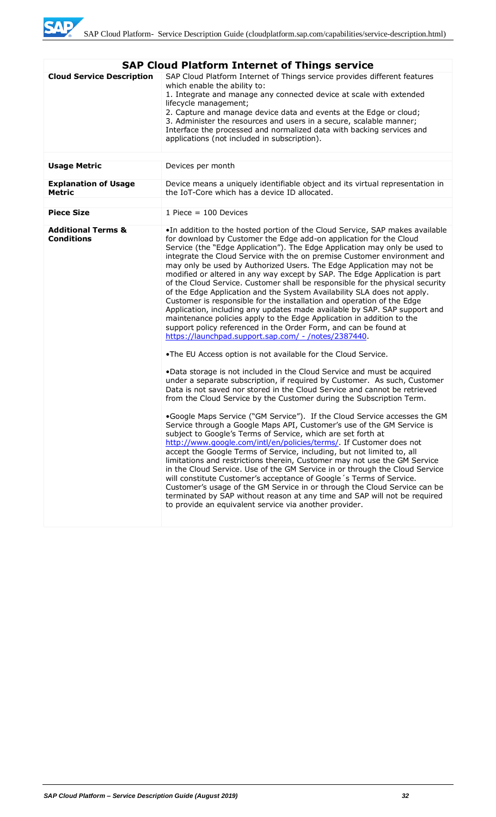

| <b>SAP Cloud Platform Internet of Things service</b> |                                                                                                                                                                                                                                                                                                                                                                                                                                                                                                                                                                                                                                                                                                                                                                                                                                                                                                                                                                                                                                                                                                                                           |  |
|------------------------------------------------------|-------------------------------------------------------------------------------------------------------------------------------------------------------------------------------------------------------------------------------------------------------------------------------------------------------------------------------------------------------------------------------------------------------------------------------------------------------------------------------------------------------------------------------------------------------------------------------------------------------------------------------------------------------------------------------------------------------------------------------------------------------------------------------------------------------------------------------------------------------------------------------------------------------------------------------------------------------------------------------------------------------------------------------------------------------------------------------------------------------------------------------------------|--|
| <b>Cloud Service Description</b>                     | SAP Cloud Platform Internet of Things service provides different features<br>which enable the ability to:<br>1. Integrate and manage any connected device at scale with extended<br>lifecycle management;<br>2. Capture and manage device data and events at the Edge or cloud;<br>3. Administer the resources and users in a secure, scalable manner;<br>Interface the processed and normalized data with backing services and<br>applications (not included in subscription).                                                                                                                                                                                                                                                                                                                                                                                                                                                                                                                                                                                                                                                           |  |
| <b>Usage Metric</b>                                  | Devices per month                                                                                                                                                                                                                                                                                                                                                                                                                                                                                                                                                                                                                                                                                                                                                                                                                                                                                                                                                                                                                                                                                                                         |  |
| <b>Explanation of Usage</b><br><b>Metric</b>         | Device means a uniquely identifiable object and its virtual representation in<br>the IoT-Core which has a device ID allocated.                                                                                                                                                                                                                                                                                                                                                                                                                                                                                                                                                                                                                                                                                                                                                                                                                                                                                                                                                                                                            |  |
|                                                      |                                                                                                                                                                                                                                                                                                                                                                                                                                                                                                                                                                                                                                                                                                                                                                                                                                                                                                                                                                                                                                                                                                                                           |  |
| <b>Piece Size</b>                                    | 1 Piece $= 100$ Devices                                                                                                                                                                                                                                                                                                                                                                                                                                                                                                                                                                                                                                                                                                                                                                                                                                                                                                                                                                                                                                                                                                                   |  |
| <b>Additional Terms &amp;</b><br><b>Conditions</b>   | . In addition to the hosted portion of the Cloud Service, SAP makes available<br>for download by Customer the Edge add-on application for the Cloud<br>Service (the "Edge Application"). The Edge Application may only be used to<br>integrate the Cloud Service with the on premise Customer environment and<br>may only be used by Authorized Users. The Edge Application may not be<br>modified or altered in any way except by SAP. The Edge Application is part<br>of the Cloud Service. Customer shall be responsible for the physical security<br>of the Edge Application and the System Availability SLA does not apply.<br>Customer is responsible for the installation and operation of the Edge<br>Application, including any updates made available by SAP. SAP support and<br>maintenance policies apply to the Edge Application in addition to the<br>support policy referenced in the Order Form, and can be found at<br>https://launchpad.support.sap.com/ - /notes/2387440.                                                                                                                                              |  |
|                                                      | .The EU Access option is not available for the Cloud Service.                                                                                                                                                                                                                                                                                                                                                                                                                                                                                                                                                                                                                                                                                                                                                                                                                                                                                                                                                                                                                                                                             |  |
|                                                      | .Data storage is not included in the Cloud Service and must be acquired<br>under a separate subscription, if required by Customer. As such, Customer<br>Data is not saved nor stored in the Cloud Service and cannot be retrieved<br>from the Cloud Service by the Customer during the Subscription Term.<br>.Google Maps Service ("GM Service"). If the Cloud Service accesses the GM<br>Service through a Google Maps API, Customer's use of the GM Service is<br>subject to Google's Terms of Service, which are set forth at<br>http://www.google.com/intl/en/policies/terms/. If Customer does not<br>accept the Google Terms of Service, including, but not limited to, all<br>limitations and restrictions therein, Customer may not use the GM Service<br>in the Cloud Service. Use of the GM Service in or through the Cloud Service<br>will constitute Customer's acceptance of Google 's Terms of Service.<br>Customer's usage of the GM Service in or through the Cloud Service can be<br>terminated by SAP without reason at any time and SAP will not be required<br>to provide an equivalent service via another provider. |  |
|                                                      |                                                                                                                                                                                                                                                                                                                                                                                                                                                                                                                                                                                                                                                                                                                                                                                                                                                                                                                                                                                                                                                                                                                                           |  |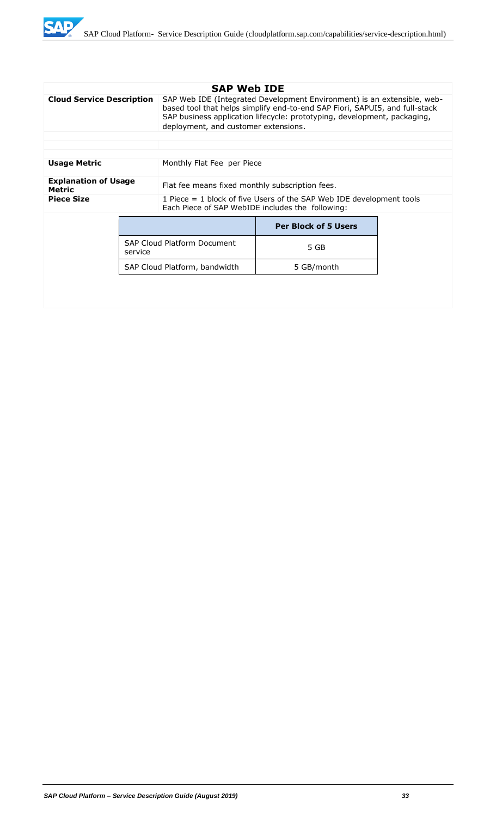

| <b>Cloud Service Description</b>      |  | <b>SAP Web IDE</b><br>SAP Web IDE (Integrated Development Environment) is an extensible, web-<br>based tool that helps simplify end-to-end SAP Fiori, SAPUI5, and full-stack<br>SAP business application lifecycle: prototyping, development, packaging,<br>deployment, and customer extensions. |                             |  |
|---------------------------------------|--|--------------------------------------------------------------------------------------------------------------------------------------------------------------------------------------------------------------------------------------------------------------------------------------------------|-----------------------------|--|
|                                       |  |                                                                                                                                                                                                                                                                                                  |                             |  |
|                                       |  |                                                                                                                                                                                                                                                                                                  |                             |  |
| <b>Usage Metric</b>                   |  | Monthly Flat Fee per Piece                                                                                                                                                                                                                                                                       |                             |  |
| <b>Explanation of Usage</b><br>Metric |  | Flat fee means fixed monthly subscription fees.                                                                                                                                                                                                                                                  |                             |  |
| <b>Piece Size</b>                     |  | 1 Piece = 1 block of five Users of the SAP Web IDE development tools<br>Each Piece of SAP WebIDE includes the following:                                                                                                                                                                         |                             |  |
|                                       |  |                                                                                                                                                                                                                                                                                                  | <b>Per Block of 5 Users</b> |  |
| service                               |  | <b>SAP Cloud Platform Document</b>                                                                                                                                                                                                                                                               | 5 GB                        |  |
|                                       |  | SAP Cloud Platform, bandwidth                                                                                                                                                                                                                                                                    | 5 GB/month                  |  |
|                                       |  |                                                                                                                                                                                                                                                                                                  |                             |  |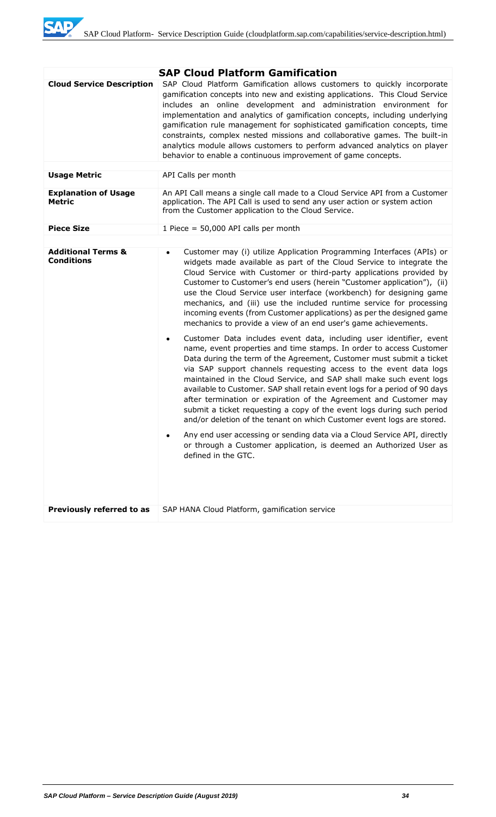

|                                                    | <b>SAP Cloud Platform Gamification</b>                                                                                                                                                                                                                                                                                                                                                                                                                                                                                                                                                                                                                                                                                                                                                                                                                                                                                                                                                                                                                                                                                                                                                                                                                                                                                                                                                                                                                                |
|----------------------------------------------------|-----------------------------------------------------------------------------------------------------------------------------------------------------------------------------------------------------------------------------------------------------------------------------------------------------------------------------------------------------------------------------------------------------------------------------------------------------------------------------------------------------------------------------------------------------------------------------------------------------------------------------------------------------------------------------------------------------------------------------------------------------------------------------------------------------------------------------------------------------------------------------------------------------------------------------------------------------------------------------------------------------------------------------------------------------------------------------------------------------------------------------------------------------------------------------------------------------------------------------------------------------------------------------------------------------------------------------------------------------------------------------------------------------------------------------------------------------------------------|
| <b>Cloud Service Description</b>                   | SAP Cloud Platform Gamification allows customers to quickly incorporate<br>gamification concepts into new and existing applications. This Cloud Service<br>includes an online development and administration environment for<br>implementation and analytics of gamification concepts, including underlying<br>gamification rule management for sophisticated gamification concepts, time<br>constraints, complex nested missions and collaborative games. The built-in<br>analytics module allows customers to perform advanced analytics on player<br>behavior to enable a continuous improvement of game concepts.                                                                                                                                                                                                                                                                                                                                                                                                                                                                                                                                                                                                                                                                                                                                                                                                                                                 |
| <b>Usage Metric</b>                                | API Calls per month                                                                                                                                                                                                                                                                                                                                                                                                                                                                                                                                                                                                                                                                                                                                                                                                                                                                                                                                                                                                                                                                                                                                                                                                                                                                                                                                                                                                                                                   |
| <b>Explanation of Usage</b><br><b>Metric</b>       | An API Call means a single call made to a Cloud Service API from a Customer<br>application. The API Call is used to send any user action or system action<br>from the Customer application to the Cloud Service.                                                                                                                                                                                                                                                                                                                                                                                                                                                                                                                                                                                                                                                                                                                                                                                                                                                                                                                                                                                                                                                                                                                                                                                                                                                      |
| <b>Piece Size</b>                                  | 1 Piece = $50,000$ API calls per month                                                                                                                                                                                                                                                                                                                                                                                                                                                                                                                                                                                                                                                                                                                                                                                                                                                                                                                                                                                                                                                                                                                                                                                                                                                                                                                                                                                                                                |
|                                                    |                                                                                                                                                                                                                                                                                                                                                                                                                                                                                                                                                                                                                                                                                                                                                                                                                                                                                                                                                                                                                                                                                                                                                                                                                                                                                                                                                                                                                                                                       |
| <b>Additional Terms &amp;</b><br><b>Conditions</b> | Customer may (i) utilize Application Programming Interfaces (APIs) or<br>$\bullet$<br>widgets made available as part of the Cloud Service to integrate the<br>Cloud Service with Customer or third-party applications provided by<br>Customer to Customer's end users (herein "Customer application"), (ii)<br>use the Cloud Service user interface (workbench) for designing game<br>mechanics, and (iii) use the included runtime service for processing<br>incoming events (from Customer applications) as per the designed game<br>mechanics to provide a view of an end user's game achievements.<br>Customer Data includes event data, including user identifier, event<br>$\bullet$<br>name, event properties and time stamps. In order to access Customer<br>Data during the term of the Agreement, Customer must submit a ticket<br>via SAP support channels requesting access to the event data logs<br>maintained in the Cloud Service, and SAP shall make such event logs<br>available to Customer. SAP shall retain event logs for a period of 90 days<br>after termination or expiration of the Agreement and Customer may<br>submit a ticket requesting a copy of the event logs during such period<br>and/or deletion of the tenant on which Customer event logs are stored.<br>Any end user accessing or sending data via a Cloud Service API, directly<br>or through a Customer application, is deemed an Authorized User as<br>defined in the GTC. |
| Previously referred to as                          | SAP HANA Cloud Platform, gamification service                                                                                                                                                                                                                                                                                                                                                                                                                                                                                                                                                                                                                                                                                                                                                                                                                                                                                                                                                                                                                                                                                                                                                                                                                                                                                                                                                                                                                         |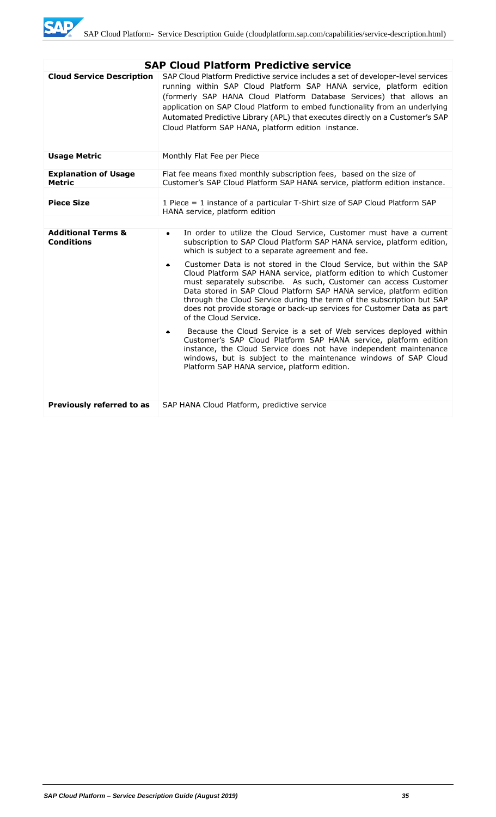

|                                                    | <b>SAP Cloud Platform Predictive service</b>                                                                                                                                                                                                                                                                                                                                                                                                                             |
|----------------------------------------------------|--------------------------------------------------------------------------------------------------------------------------------------------------------------------------------------------------------------------------------------------------------------------------------------------------------------------------------------------------------------------------------------------------------------------------------------------------------------------------|
| <b>Cloud Service Description</b>                   | SAP Cloud Platform Predictive service includes a set of developer-level services<br>running within SAP Cloud Platform SAP HANA service, platform edition<br>(formerly SAP HANA Cloud Platform Database Services) that allows an<br>application on SAP Cloud Platform to embed functionality from an underlying<br>Automated Predictive Library (APL) that executes directly on a Customer's SAP<br>Cloud Platform SAP HANA, platform edition instance.                   |
| <b>Usage Metric</b>                                | Monthly Flat Fee per Piece                                                                                                                                                                                                                                                                                                                                                                                                                                               |
| <b>Explanation of Usage</b><br><b>Metric</b>       | Flat fee means fixed monthly subscription fees, based on the size of<br>Customer's SAP Cloud Platform SAP HANA service, platform edition instance.                                                                                                                                                                                                                                                                                                                       |
|                                                    |                                                                                                                                                                                                                                                                                                                                                                                                                                                                          |
| <b>Piece Size</b>                                  | 1 Piece = 1 instance of a particular T-Shirt size of SAP Cloud Platform SAP<br>HANA service, platform edition                                                                                                                                                                                                                                                                                                                                                            |
|                                                    |                                                                                                                                                                                                                                                                                                                                                                                                                                                                          |
| <b>Additional Terms &amp;</b><br><b>Conditions</b> | In order to utilize the Cloud Service, Customer must have a current<br>$\bullet$<br>subscription to SAP Cloud Platform SAP HANA service, platform edition,<br>which is subject to a separate agreement and fee.                                                                                                                                                                                                                                                          |
|                                                    | Customer Data is not stored in the Cloud Service, but within the SAP<br>٠<br>Cloud Platform SAP HANA service, platform edition to which Customer<br>must separately subscribe. As such, Customer can access Customer<br>Data stored in SAP Cloud Platform SAP HANA service, platform edition<br>through the Cloud Service during the term of the subscription but SAP<br>does not provide storage or back-up services for Customer Data as part<br>of the Cloud Service. |
|                                                    | Because the Cloud Service is a set of Web services deployed within<br>Customer's SAP Cloud Platform SAP HANA service, platform edition<br>instance, the Cloud Service does not have independent maintenance<br>windows, but is subject to the maintenance windows of SAP Cloud<br>Platform SAP HANA service, platform edition.                                                                                                                                           |
| Previously referred to as                          | SAP HANA Cloud Platform, predictive service                                                                                                                                                                                                                                                                                                                                                                                                                              |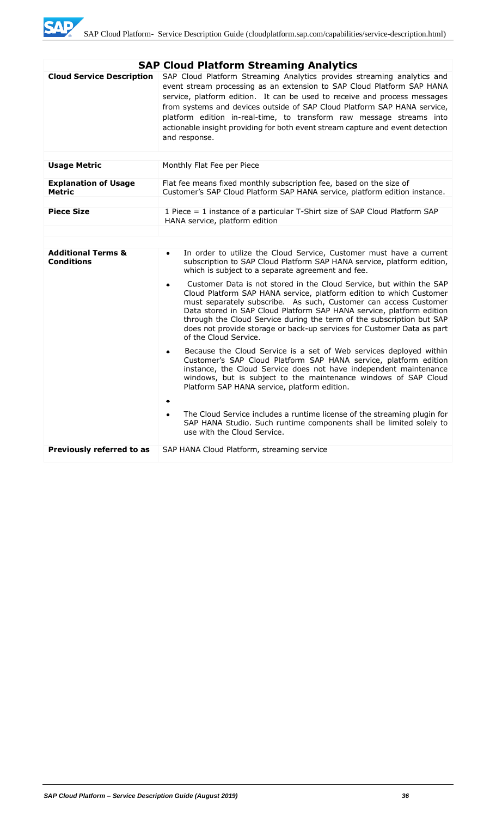

|                                                    | <b>SAP Cloud Platform Streaming Analytics</b>                                                                                                                                                                                                                                                                                                                                                                                                                                         |  |  |
|----------------------------------------------------|---------------------------------------------------------------------------------------------------------------------------------------------------------------------------------------------------------------------------------------------------------------------------------------------------------------------------------------------------------------------------------------------------------------------------------------------------------------------------------------|--|--|
| <b>Cloud Service Description</b>                   | SAP Cloud Platform Streaming Analytics provides streaming analytics and<br>event stream processing as an extension to SAP Cloud Platform SAP HANA<br>service, platform edition. It can be used to receive and process messages<br>from systems and devices outside of SAP Cloud Platform SAP HANA service,<br>platform edition in-real-time, to transform raw message streams into<br>actionable insight providing for both event stream capture and event detection<br>and response. |  |  |
| <b>Usage Metric</b>                                | Monthly Flat Fee per Piece                                                                                                                                                                                                                                                                                                                                                                                                                                                            |  |  |
|                                                    |                                                                                                                                                                                                                                                                                                                                                                                                                                                                                       |  |  |
| <b>Explanation of Usage</b><br><b>Metric</b>       | Flat fee means fixed monthly subscription fee, based on the size of<br>Customer's SAP Cloud Platform SAP HANA service, platform edition instance.                                                                                                                                                                                                                                                                                                                                     |  |  |
| <b>Piece Size</b>                                  | 1 Piece = 1 instance of a particular T-Shirt size of SAP Cloud Platform SAP                                                                                                                                                                                                                                                                                                                                                                                                           |  |  |
|                                                    | HANA service, platform edition                                                                                                                                                                                                                                                                                                                                                                                                                                                        |  |  |
|                                                    |                                                                                                                                                                                                                                                                                                                                                                                                                                                                                       |  |  |
|                                                    |                                                                                                                                                                                                                                                                                                                                                                                                                                                                                       |  |  |
| <b>Additional Terms &amp;</b><br><b>Conditions</b> | In order to utilize the Cloud Service, Customer must have a current<br>$\bullet$<br>subscription to SAP Cloud Platform SAP HANA service, platform edition,<br>which is subject to a separate agreement and fee.                                                                                                                                                                                                                                                                       |  |  |
|                                                    | Customer Data is not stored in the Cloud Service, but within the SAP<br>$\bullet$<br>Cloud Platform SAP HANA service, platform edition to which Customer<br>must separately subscribe. As such, Customer can access Customer<br>Data stored in SAP Cloud Platform SAP HANA service, platform edition<br>through the Cloud Service during the term of the subscription but SAP<br>does not provide storage or back-up services for Customer Data as part<br>of the Cloud Service.      |  |  |
|                                                    | Because the Cloud Service is a set of Web services deployed within<br>۰<br>Customer's SAP Cloud Platform SAP HANA service, platform edition<br>instance, the Cloud Service does not have independent maintenance<br>windows, but is subject to the maintenance windows of SAP Cloud<br>Platform SAP HANA service, platform edition.                                                                                                                                                   |  |  |
|                                                    | The Cloud Service includes a runtime license of the streaming plugin for<br>$\bullet$<br>SAP HANA Studio. Such runtime components shall be limited solely to<br>use with the Cloud Service.                                                                                                                                                                                                                                                                                           |  |  |
| Previously referred to as                          | SAP HANA Cloud Platform, streaming service                                                                                                                                                                                                                                                                                                                                                                                                                                            |  |  |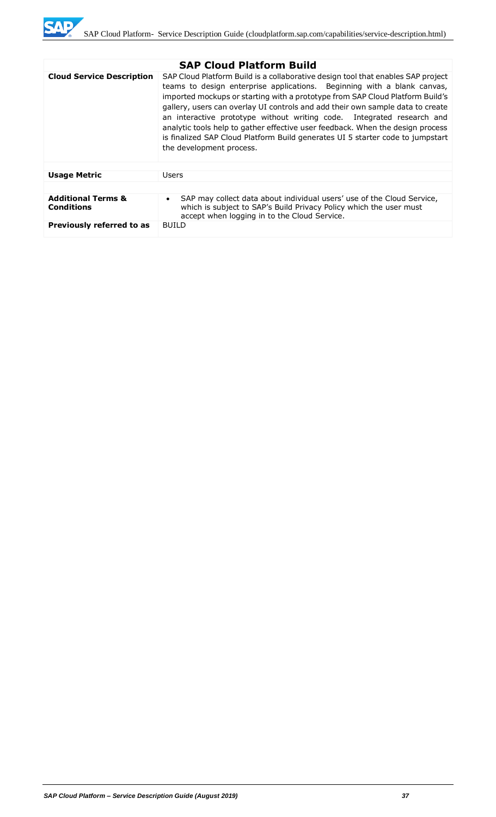

|                                                    | <b>SAP Cloud Platform Build</b>                                                                                                                                                                                                                                                                                                                                                                                                                                                                                                                                                                          |  |
|----------------------------------------------------|----------------------------------------------------------------------------------------------------------------------------------------------------------------------------------------------------------------------------------------------------------------------------------------------------------------------------------------------------------------------------------------------------------------------------------------------------------------------------------------------------------------------------------------------------------------------------------------------------------|--|
| <b>Cloud Service Description</b>                   | SAP Cloud Platform Build is a collaborative design tool that enables SAP project<br>teams to design enterprise applications. Beginning with a blank canvas,<br>imported mockups or starting with a prototype from SAP Cloud Platform Build's<br>gallery, users can overlay UI controls and add their own sample data to create<br>an interactive prototype without writing code. Integrated research and<br>analytic tools help to gather effective user feedback. When the design process<br>is finalized SAP Cloud Platform Build generates UI 5 starter code to jumpstart<br>the development process. |  |
|                                                    |                                                                                                                                                                                                                                                                                                                                                                                                                                                                                                                                                                                                          |  |
| <b>Usage Metric</b>                                | Users                                                                                                                                                                                                                                                                                                                                                                                                                                                                                                                                                                                                    |  |
|                                                    |                                                                                                                                                                                                                                                                                                                                                                                                                                                                                                                                                                                                          |  |
| <b>Additional Terms &amp;</b><br><b>Conditions</b> | SAP may collect data about individual users' use of the Cloud Service,<br>$\bullet$<br>which is subject to SAP's Build Privacy Policy which the user must<br>accept when logging in to the Cloud Service.                                                                                                                                                                                                                                                                                                                                                                                                |  |
| Previously referred to as                          | <b>BUILD</b>                                                                                                                                                                                                                                                                                                                                                                                                                                                                                                                                                                                             |  |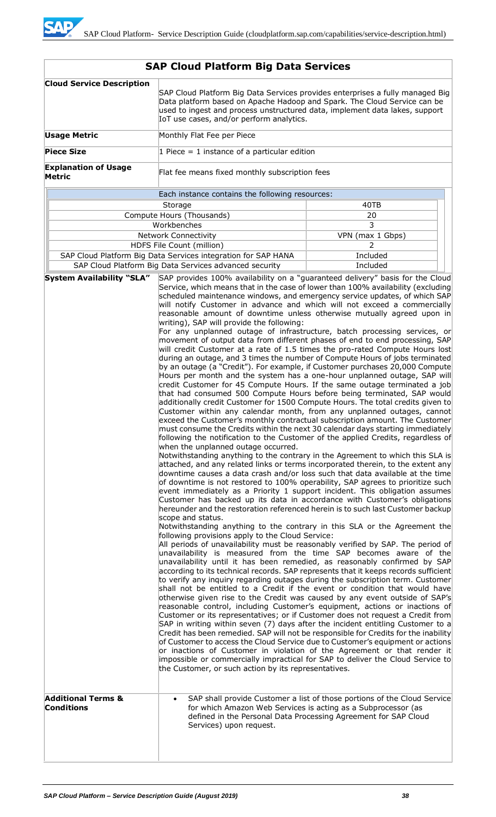| <b>Cloud Service Description</b>             | SAP Cloud Platform Big Data Services provides enterprises a fully managed Big<br>Data platform based on Apache Hadoop and Spark. The Cloud Service can be<br>used to ingest and process unstructured data, implement data lakes, support<br>IoT use cases, and/or perform analytics.                                                                                                                                                                                                                                                                                                                                                                                                                                                                                                                                                                                                                                                                                                                                                                                                                                                                                                                                                                                                                                                                                                                                                                                                                                                                                                                                                                                                                                                                                                                                                                                                                                                                                                                                                                                                                                                                                                                                                                                                                                                                                                                                                                                                                                                                                                                                                                                                                                                                                                                                                                                                                                                                                                                                                                                                                                                                                                                                                                                                                                                                                                                                                                                                                                                                                                                                                                                                       |                                                                                                                                             |  |
|----------------------------------------------|--------------------------------------------------------------------------------------------------------------------------------------------------------------------------------------------------------------------------------------------------------------------------------------------------------------------------------------------------------------------------------------------------------------------------------------------------------------------------------------------------------------------------------------------------------------------------------------------------------------------------------------------------------------------------------------------------------------------------------------------------------------------------------------------------------------------------------------------------------------------------------------------------------------------------------------------------------------------------------------------------------------------------------------------------------------------------------------------------------------------------------------------------------------------------------------------------------------------------------------------------------------------------------------------------------------------------------------------------------------------------------------------------------------------------------------------------------------------------------------------------------------------------------------------------------------------------------------------------------------------------------------------------------------------------------------------------------------------------------------------------------------------------------------------------------------------------------------------------------------------------------------------------------------------------------------------------------------------------------------------------------------------------------------------------------------------------------------------------------------------------------------------------------------------------------------------------------------------------------------------------------------------------------------------------------------------------------------------------------------------------------------------------------------------------------------------------------------------------------------------------------------------------------------------------------------------------------------------------------------------------------------------------------------------------------------------------------------------------------------------------------------------------------------------------------------------------------------------------------------------------------------------------------------------------------------------------------------------------------------------------------------------------------------------------------------------------------------------------------------------------------------------------------------------------------------------------------------------------------------------------------------------------------------------------------------------------------------------------------------------------------------------------------------------------------------------------------------------------------------------------------------------------------------------------------------------------------------------------------------------------------------------------------------------------------------------|---------------------------------------------------------------------------------------------------------------------------------------------|--|
| <b>Usage Metric</b>                          | Monthly Flat Fee per Piece                                                                                                                                                                                                                                                                                                                                                                                                                                                                                                                                                                                                                                                                                                                                                                                                                                                                                                                                                                                                                                                                                                                                                                                                                                                                                                                                                                                                                                                                                                                                                                                                                                                                                                                                                                                                                                                                                                                                                                                                                                                                                                                                                                                                                                                                                                                                                                                                                                                                                                                                                                                                                                                                                                                                                                                                                                                                                                                                                                                                                                                                                                                                                                                                                                                                                                                                                                                                                                                                                                                                                                                                                                                                 |                                                                                                                                             |  |
| <b>Piece Size</b>                            | 1 Piece = 1 instance of a particular edition                                                                                                                                                                                                                                                                                                                                                                                                                                                                                                                                                                                                                                                                                                                                                                                                                                                                                                                                                                                                                                                                                                                                                                                                                                                                                                                                                                                                                                                                                                                                                                                                                                                                                                                                                                                                                                                                                                                                                                                                                                                                                                                                                                                                                                                                                                                                                                                                                                                                                                                                                                                                                                                                                                                                                                                                                                                                                                                                                                                                                                                                                                                                                                                                                                                                                                                                                                                                                                                                                                                                                                                                                                               |                                                                                                                                             |  |
| <b>Explanation of Usage</b><br><b>Metric</b> | Flat fee means fixed monthly subscription fees                                                                                                                                                                                                                                                                                                                                                                                                                                                                                                                                                                                                                                                                                                                                                                                                                                                                                                                                                                                                                                                                                                                                                                                                                                                                                                                                                                                                                                                                                                                                                                                                                                                                                                                                                                                                                                                                                                                                                                                                                                                                                                                                                                                                                                                                                                                                                                                                                                                                                                                                                                                                                                                                                                                                                                                                                                                                                                                                                                                                                                                                                                                                                                                                                                                                                                                                                                                                                                                                                                                                                                                                                                             |                                                                                                                                             |  |
|                                              | Each instance contains the following resources:                                                                                                                                                                                                                                                                                                                                                                                                                                                                                                                                                                                                                                                                                                                                                                                                                                                                                                                                                                                                                                                                                                                                                                                                                                                                                                                                                                                                                                                                                                                                                                                                                                                                                                                                                                                                                                                                                                                                                                                                                                                                                                                                                                                                                                                                                                                                                                                                                                                                                                                                                                                                                                                                                                                                                                                                                                                                                                                                                                                                                                                                                                                                                                                                                                                                                                                                                                                                                                                                                                                                                                                                                                            |                                                                                                                                             |  |
|                                              | Storage                                                                                                                                                                                                                                                                                                                                                                                                                                                                                                                                                                                                                                                                                                                                                                                                                                                                                                                                                                                                                                                                                                                                                                                                                                                                                                                                                                                                                                                                                                                                                                                                                                                                                                                                                                                                                                                                                                                                                                                                                                                                                                                                                                                                                                                                                                                                                                                                                                                                                                                                                                                                                                                                                                                                                                                                                                                                                                                                                                                                                                                                                                                                                                                                                                                                                                                                                                                                                                                                                                                                                                                                                                                                                    | 40TB                                                                                                                                        |  |
|                                              | Compute Hours (Thousands)                                                                                                                                                                                                                                                                                                                                                                                                                                                                                                                                                                                                                                                                                                                                                                                                                                                                                                                                                                                                                                                                                                                                                                                                                                                                                                                                                                                                                                                                                                                                                                                                                                                                                                                                                                                                                                                                                                                                                                                                                                                                                                                                                                                                                                                                                                                                                                                                                                                                                                                                                                                                                                                                                                                                                                                                                                                                                                                                                                                                                                                                                                                                                                                                                                                                                                                                                                                                                                                                                                                                                                                                                                                                  | 20                                                                                                                                          |  |
|                                              | Workbenches                                                                                                                                                                                                                                                                                                                                                                                                                                                                                                                                                                                                                                                                                                                                                                                                                                                                                                                                                                                                                                                                                                                                                                                                                                                                                                                                                                                                                                                                                                                                                                                                                                                                                                                                                                                                                                                                                                                                                                                                                                                                                                                                                                                                                                                                                                                                                                                                                                                                                                                                                                                                                                                                                                                                                                                                                                                                                                                                                                                                                                                                                                                                                                                                                                                                                                                                                                                                                                                                                                                                                                                                                                                                                | 3                                                                                                                                           |  |
|                                              | <b>Network Connectivity</b>                                                                                                                                                                                                                                                                                                                                                                                                                                                                                                                                                                                                                                                                                                                                                                                                                                                                                                                                                                                                                                                                                                                                                                                                                                                                                                                                                                                                                                                                                                                                                                                                                                                                                                                                                                                                                                                                                                                                                                                                                                                                                                                                                                                                                                                                                                                                                                                                                                                                                                                                                                                                                                                                                                                                                                                                                                                                                                                                                                                                                                                                                                                                                                                                                                                                                                                                                                                                                                                                                                                                                                                                                                                                | VPN (max 1 Gbps)                                                                                                                            |  |
|                                              | HDFS File Count (million)<br>2                                                                                                                                                                                                                                                                                                                                                                                                                                                                                                                                                                                                                                                                                                                                                                                                                                                                                                                                                                                                                                                                                                                                                                                                                                                                                                                                                                                                                                                                                                                                                                                                                                                                                                                                                                                                                                                                                                                                                                                                                                                                                                                                                                                                                                                                                                                                                                                                                                                                                                                                                                                                                                                                                                                                                                                                                                                                                                                                                                                                                                                                                                                                                                                                                                                                                                                                                                                                                                                                                                                                                                                                                                                             |                                                                                                                                             |  |
|                                              |                                                                                                                                                                                                                                                                                                                                                                                                                                                                                                                                                                                                                                                                                                                                                                                                                                                                                                                                                                                                                                                                                                                                                                                                                                                                                                                                                                                                                                                                                                                                                                                                                                                                                                                                                                                                                                                                                                                                                                                                                                                                                                                                                                                                                                                                                                                                                                                                                                                                                                                                                                                                                                                                                                                                                                                                                                                                                                                                                                                                                                                                                                                                                                                                                                                                                                                                                                                                                                                                                                                                                                                                                                                                                            |                                                                                                                                             |  |
| <b>System Availability "SLA"</b>             |                                                                                                                                                                                                                                                                                                                                                                                                                                                                                                                                                                                                                                                                                                                                                                                                                                                                                                                                                                                                                                                                                                                                                                                                                                                                                                                                                                                                                                                                                                                                                                                                                                                                                                                                                                                                                                                                                                                                                                                                                                                                                                                                                                                                                                                                                                                                                                                                                                                                                                                                                                                                                                                                                                                                                                                                                                                                                                                                                                                                                                                                                                                                                                                                                                                                                                                                                                                                                                                                                                                                                                                                                                                                                            |                                                                                                                                             |  |
| <b>Additional Terms &amp;</b>                | Included<br>SAP Cloud Platform Big Data Services integration for SAP HANA<br>SAP Cloud Platform Big Data Services advanced security<br>Included<br>SAP provides 100% availability on a "guaranteed delivery" basis for the Cloud<br>Service, which means that in the case of lower than 100% availability (excluding<br>scheduled maintenance windows, and emergency service updates, of which SAP<br>will notify Customer in advance and which will not exceed a commercially<br>reasonable amount of downtime unless otherwise mutually agreed upon in<br>writing), SAP will provide the following:<br>For any unplanned outage of infrastructure, batch processing services, or<br>movement of output data from different phases of end to end processing, SAP<br>will credit Customer at a rate of 1.5 times the pro-rated Compute Hours lost<br>during an outage, and 3 times the number of Compute Hours of jobs terminated<br>by an outage (a "Credit"). For example, if Customer purchases 20,000 Compute<br>Hours per month and the system has a one-hour unplanned outage, SAP will<br>credit Customer for 45 Compute Hours. If the same outage terminated a job<br>that had consumed 500 Compute Hours before being terminated, SAP would<br>additionally credit Customer for 1500 Compute Hours. The total credits given to<br>Customer within any calendar month, from any unplanned outages, cannot<br>exceed the Customer's monthly contractual subscription amount. The Customer<br>must consume the Credits within the next 30 calendar days starting immediately<br>following the notification to the Customer of the applied Credits, regardless of<br>when the unplanned outage occurred.<br>Notwithstanding anything to the contrary in the Agreement to which this SLA is<br>attached, and any related links or terms incorporated therein, to the extent any<br>downtime causes a data crash and/or loss such that data available at the time<br>of downtime is not restored to 100% operability, SAP agrees to prioritize such<br>event immediately as a Priority 1 support incident. This obligation assumes<br>Customer has backed up its data in accordance with Customer's obligations<br>hereunder and the restoration referenced herein is to such last Customer backup<br>scope and status.<br>Notwithstanding anything to the contrary in this SLA or the Agreement the<br>following provisions apply to the Cloud Service:<br>All periods of unavailability must be reasonably verified by SAP. The period of<br>unavailability is measured from the time SAP becomes aware of the<br>unavailability until it has been remedied, as reasonably confirmed by SAP<br>according to its technical records. SAP represents that it keeps records sufficient<br>to verify any inquiry regarding outages during the subscription term. Customer<br>shall not be entitled to a Credit if the event or condition that would have<br>otherwise given rise to the Credit was caused by any event outside of SAP's<br>reasonable control, including Customer's equipment, actions or inactions of<br>Customer or its representatives; or if Customer does not request a Credit from<br>SAP in writing within seven (7) days after the incident entitling Customer to a<br>Credit has been remedied. SAP will not be responsible for Credits for the inability<br>of Customer to access the Cloud Service due to Customer's equipment or actions<br>or inactions of Customer in violation of the Agreement or that render it<br>impossible or commercially impractical for SAP to deliver the Cloud Service to<br>the Customer, or such action by its representatives. |                                                                                                                                             |  |
| <b>Conditions</b>                            | for which Amazon Web Services is acting as a Subprocessor (as<br>Services) upon request.                                                                                                                                                                                                                                                                                                                                                                                                                                                                                                                                                                                                                                                                                                                                                                                                                                                                                                                                                                                                                                                                                                                                                                                                                                                                                                                                                                                                                                                                                                                                                                                                                                                                                                                                                                                                                                                                                                                                                                                                                                                                                                                                                                                                                                                                                                                                                                                                                                                                                                                                                                                                                                                                                                                                                                                                                                                                                                                                                                                                                                                                                                                                                                                                                                                                                                                                                                                                                                                                                                                                                                                                   | SAP shall provide Customer a list of those portions of the Cloud Service<br>defined in the Personal Data Processing Agreement for SAP Cloud |  |
|                                              |                                                                                                                                                                                                                                                                                                                                                                                                                                                                                                                                                                                                                                                                                                                                                                                                                                                                                                                                                                                                                                                                                                                                                                                                                                                                                                                                                                                                                                                                                                                                                                                                                                                                                                                                                                                                                                                                                                                                                                                                                                                                                                                                                                                                                                                                                                                                                                                                                                                                                                                                                                                                                                                                                                                                                                                                                                                                                                                                                                                                                                                                                                                                                                                                                                                                                                                                                                                                                                                                                                                                                                                                                                                                                            |                                                                                                                                             |  |

# **SAP Cloud Platform Big Data Services**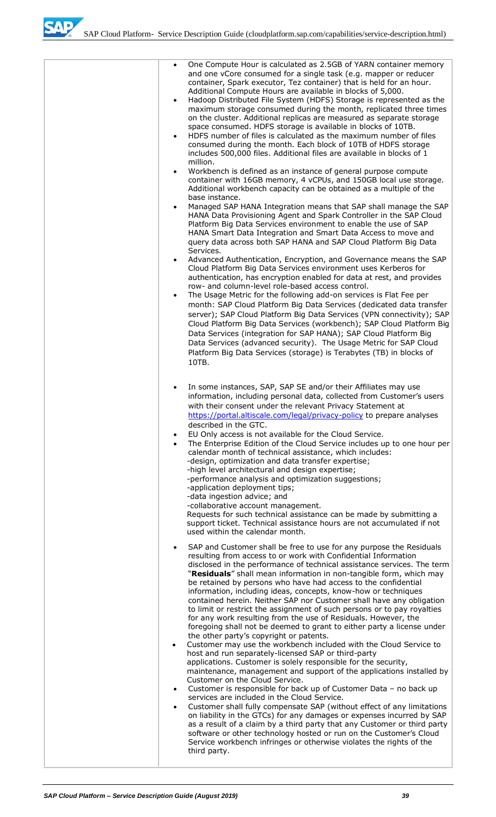SAD

| One Compute Hour is calculated as 2.5GB of YARN container memory<br>$\bullet$<br>and one vCore consumed for a single task (e.g. mapper or reducer<br>container, Spark executor, Tez container) that is held for an hour.<br>Additional Compute Hours are available in blocks of 5,000.<br>Hadoop Distributed File System (HDFS) Storage is represented as the<br>$\bullet$<br>maximum storage consumed during the month, replicated three times<br>on the cluster. Additional replicas are measured as separate storage<br>space consumed. HDFS storage is available in blocks of 10TB.<br>HDFS number of files is calculated as the maximum number of files<br>$\bullet$<br>consumed during the month. Each block of 10TB of HDFS storage<br>includes 500,000 files. Additional files are available in blocks of 1<br>million.                                                                                                                                                                                                                                                                                                                                                                                                                                                                                                                                                                                                                                                                                                                                                                                                                  |
|--------------------------------------------------------------------------------------------------------------------------------------------------------------------------------------------------------------------------------------------------------------------------------------------------------------------------------------------------------------------------------------------------------------------------------------------------------------------------------------------------------------------------------------------------------------------------------------------------------------------------------------------------------------------------------------------------------------------------------------------------------------------------------------------------------------------------------------------------------------------------------------------------------------------------------------------------------------------------------------------------------------------------------------------------------------------------------------------------------------------------------------------------------------------------------------------------------------------------------------------------------------------------------------------------------------------------------------------------------------------------------------------------------------------------------------------------------------------------------------------------------------------------------------------------------------------------------------------------------------------------------------------------|
| Workbench is defined as an instance of general purpose compute<br>$\bullet$<br>container with 16GB memory, 4 vCPUs, and 150GB local use storage.<br>Additional workbench capacity can be obtained as a multiple of the<br>base instance.<br>Managed SAP HANA Integration means that SAP shall manage the SAP<br>$\bullet$<br>HANA Data Provisioning Agent and Spark Controller in the SAP Cloud<br>Platform Big Data Services environment to enable the use of SAP<br>HANA Smart Data Integration and Smart Data Access to move and                                                                                                                                                                                                                                                                                                                                                                                                                                                                                                                                                                                                                                                                                                                                                                                                                                                                                                                                                                                                                                                                                                              |
| query data across both SAP HANA and SAP Cloud Platform Big Data<br>Services.<br>Advanced Authentication, Encryption, and Governance means the SAP<br>$\bullet$<br>Cloud Platform Big Data Services environment uses Kerberos for<br>authentication, has encryption enabled for data at rest, and provides<br>row- and column-level role-based access control.<br>The Usage Metric for the following add-on services is Flat Fee per<br>$\bullet$<br>month: SAP Cloud Platform Big Data Services (dedicated data transfer<br>server); SAP Cloud Platform Big Data Services (VPN connectivity); SAP<br>Cloud Platform Big Data Services (workbench); SAP Cloud Platform Big<br>Data Services (integration for SAP HANA); SAP Cloud Platform Big<br>Data Services (advanced security). The Usage Metric for SAP Cloud<br>Platform Big Data Services (storage) is Terabytes (TB) in blocks of<br>10TB.                                                                                                                                                                                                                                                                                                                                                                                                                                                                                                                                                                                                                                                                                                                                               |
| In some instances, SAP, SAP SE and/or their Affiliates may use<br>$\bullet$<br>information, including personal data, collected from Customer's users<br>with their consent under the relevant Privacy Statement at<br>https://portal.altiscale.com/legal/privacy-policy to prepare analyses<br>described in the GTC.<br>EU Only access is not available for the Cloud Service.<br>$\bullet$<br>The Enterprise Edition of the Cloud Service includes up to one hour per<br>$\bullet$<br>calendar month of technical assistance, which includes:<br>-design, optimization and data transfer expertise;<br>-high level architectural and design expertise;<br>-performance analysis and optimization suggestions;<br>-application deployment tips;<br>-data ingestion advice; and<br>-collaborative account management.<br>Requests for such technical assistance can be made by submitting a<br>support ticket. Technical assistance hours are not accumulated if not<br>used within the calendar month.                                                                                                                                                                                                                                                                                                                                                                                                                                                                                                                                                                                                                                           |
| SAP and Customer shall be free to use for any purpose the Residuals<br>$\bullet$<br>resulting from access to or work with Confidential Information<br>disclosed in the performance of technical assistance services. The term<br>"Residuals" shall mean information in non-tangible form, which may<br>be retained by persons who have had access to the confidential<br>information, including ideas, concepts, know-how or techniques<br>contained herein. Neither SAP nor Customer shall have any obligation<br>to limit or restrict the assignment of such persons or to pay royalties<br>for any work resulting from the use of Residuals. However, the<br>foregoing shall not be deemed to grant to either party a license under<br>the other party's copyright or patents.<br>Customer may use the workbench included with the Cloud Service to<br>$\bullet$<br>host and run separately-licensed SAP or third-party<br>applications. Customer is solely responsible for the security,<br>maintenance, management and support of the applications installed by<br>Customer on the Cloud Service.<br>Customer is responsible for back up of Customer Data - no back up<br>$\bullet$<br>services are included in the Cloud Service.<br>Customer shall fully compensate SAP (without effect of any limitations<br>$\bullet$<br>on liability in the GTCs) for any damages or expenses incurred by SAP<br>as a result of a claim by a third party that any Customer or third party<br>software or other technology hosted or run on the Customer's Cloud<br>Service workbench infringes or otherwise violates the rights of the<br>third party. |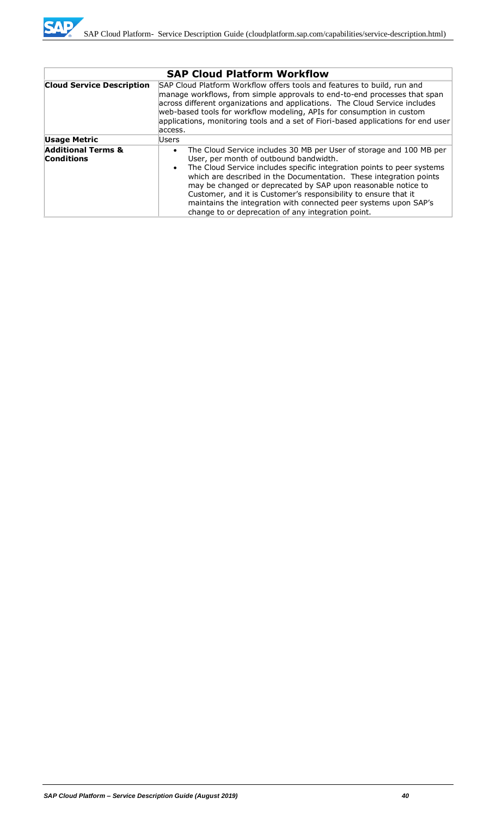

|                                                    | <b>SAP Cloud Platform Workflow</b>                                                                                                                                                                                                                                                                                                                                                                                                                                                                                                                    |  |  |  |  |
|----------------------------------------------------|-------------------------------------------------------------------------------------------------------------------------------------------------------------------------------------------------------------------------------------------------------------------------------------------------------------------------------------------------------------------------------------------------------------------------------------------------------------------------------------------------------------------------------------------------------|--|--|--|--|
| <b>Cloud Service Description</b>                   | SAP Cloud Platform Workflow offers tools and features to build, run and<br>manage workflows, from simple approvals to end-to-end processes that span<br>across different organizations and applications. The Cloud Service includes<br>web-based tools for workflow modeling, APIs for consumption in custom<br>applications, monitoring tools and a set of Fiori-based applications for end user<br>access.                                                                                                                                          |  |  |  |  |
| <b>Usage Metric</b>                                | Users                                                                                                                                                                                                                                                                                                                                                                                                                                                                                                                                                 |  |  |  |  |
| <b>Additional Terms &amp;</b><br><b>Conditions</b> | The Cloud Service includes 30 MB per User of storage and 100 MB per<br>$\bullet$<br>User, per month of outbound bandwidth.<br>The Cloud Service includes specific integration points to peer systems<br>$\bullet$<br>which are described in the Documentation. These integration points<br>may be changed or deprecated by SAP upon reasonable notice to<br>Customer, and it is Customer's responsibility to ensure that it<br>maintains the integration with connected peer systems upon SAP's<br>change to or deprecation of any integration point. |  |  |  |  |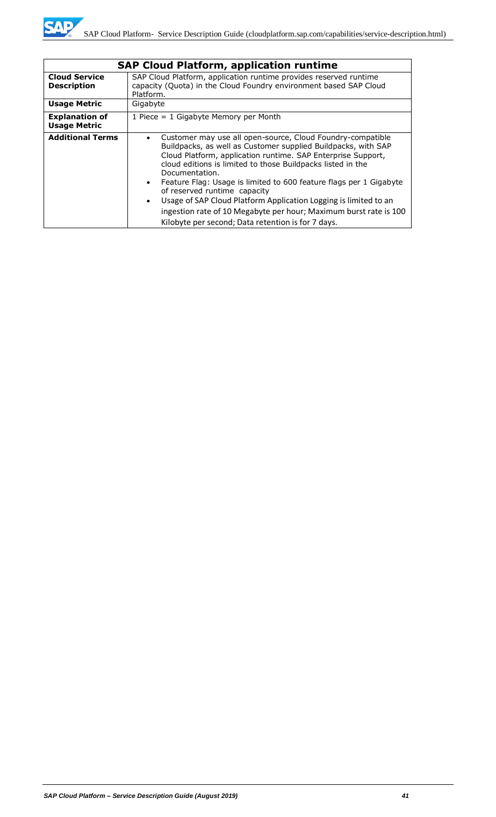|                                              | <b>SAP Cloud Platform, application runtime</b>                                                                                                                                                                                                                                                                                                                                                                                                                                                                                                                                                 |
|----------------------------------------------|------------------------------------------------------------------------------------------------------------------------------------------------------------------------------------------------------------------------------------------------------------------------------------------------------------------------------------------------------------------------------------------------------------------------------------------------------------------------------------------------------------------------------------------------------------------------------------------------|
| <b>Cloud Service</b><br><b>Description</b>   | SAP Cloud Platform, application runtime provides reserved runtime<br>capacity (Quota) in the Cloud Foundry environment based SAP Cloud<br>Platform.                                                                                                                                                                                                                                                                                                                                                                                                                                            |
| <b>Usage Metric</b>                          | Gigabyte                                                                                                                                                                                                                                                                                                                                                                                                                                                                                                                                                                                       |
| <b>Explanation of</b><br><b>Usage Metric</b> | 1 Piece = $1$ Gigabyte Memory per Month                                                                                                                                                                                                                                                                                                                                                                                                                                                                                                                                                        |
| <b>Additional Terms</b>                      | Customer may use all open-source, Cloud Foundry-compatible<br>Buildpacks, as well as Customer supplied Buildpacks, with SAP<br>Cloud Platform, application runtime. SAP Enterprise Support,<br>cloud editions is limited to those Buildpacks listed in the<br>Documentation.<br>Feature Flag: Usage is limited to 600 feature flags per 1 Gigabyte<br>$\bullet$<br>of reserved runtime capacity<br>Usage of SAP Cloud Platform Application Logging is limited to an<br>ingestion rate of 10 Megabyte per hour; Maximum burst rate is 100<br>Kilobyte per second; Data retention is for 7 days. |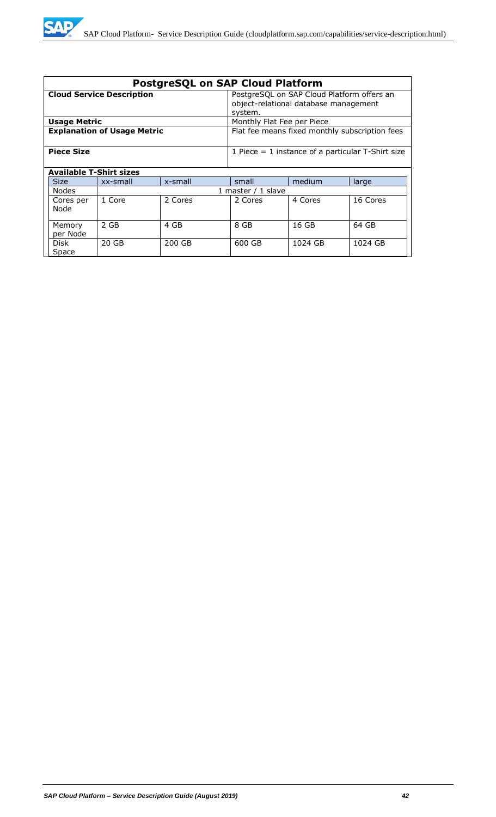| <b>PostgreSQL on SAP Cloud Platform</b> |                                                                                      |                                                                                                |                            |         |          |
|-----------------------------------------|--------------------------------------------------------------------------------------|------------------------------------------------------------------------------------------------|----------------------------|---------|----------|
| <b>Cloud Service Description</b>        |                                                                                      | PostgreSQL on SAP Cloud Platform offers an<br>object-relational database management<br>system. |                            |         |          |
| <b>Usage Metric</b>                     |                                                                                      |                                                                                                | Monthly Flat Fee per Piece |         |          |
|                                         | <b>Explanation of Usage Metric</b><br>Flat fee means fixed monthly subscription fees |                                                                                                |                            |         |          |
| <b>Piece Size</b>                       |                                                                                      | 1 Piece $=$ 1 instance of a particular T-Shirt size                                            |                            |         |          |
| Available T-Shirt sizes                 |                                                                                      |                                                                                                |                            |         |          |
| <b>Size</b>                             | xx-small                                                                             | x-small                                                                                        | small                      | medium  | large    |
| <b>Nodes</b>                            |                                                                                      |                                                                                                | 1 master / 1 slave         |         |          |
| Cores per<br>Node                       | 1 Core                                                                               | 2 Cores                                                                                        | 2 Cores                    | 4 Cores | 16 Cores |
| Memory<br>per Node                      | 2 GB                                                                                 | 4 GB                                                                                           | 8 GB                       | 16 GB   | 64 GB    |
| Disk<br>Space                           | 20 GB                                                                                | 200 GB                                                                                         | 600 GB                     | 1024 GB | 1024 GB  |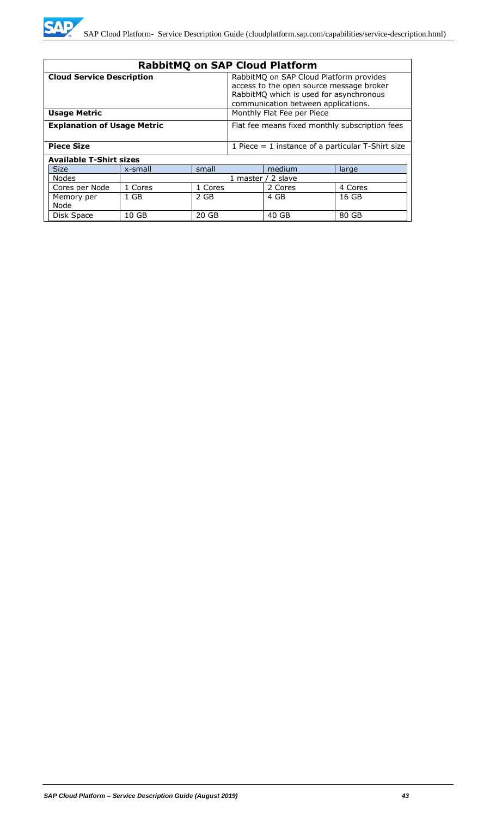

|                                                   | <b>RabbitMQ on SAP Cloud Platform</b> |                                                                                                                                                                       |                                                     |         |         |
|---------------------------------------------------|---------------------------------------|-----------------------------------------------------------------------------------------------------------------------------------------------------------------------|-----------------------------------------------------|---------|---------|
| <b>Cloud Service Description</b>                  |                                       | RabbitMQ on SAP Cloud Platform provides<br>access to the open source message broker<br>RabbitMQ which is used for asynchronous<br>communication between applications. |                                                     |         |         |
| Monthly Flat Fee per Piece<br><b>Usage Metric</b> |                                       |                                                                                                                                                                       |                                                     |         |         |
| <b>Explanation of Usage Metric</b>                |                                       |                                                                                                                                                                       | Flat fee means fixed monthly subscription fees      |         |         |
| <b>Piece Size</b>                                 |                                       |                                                                                                                                                                       | 1 Piece $=$ 1 instance of a particular T-Shirt size |         |         |
| <b>Available T-Shirt sizes</b>                    |                                       |                                                                                                                                                                       |                                                     |         |         |
| <b>Size</b>                                       | x-small                               | small                                                                                                                                                                 |                                                     | medium  | large   |
| Nodes                                             | 1 master / 2 slave                    |                                                                                                                                                                       |                                                     |         |         |
| Cores per Node                                    | 1 Cores                               | 1 Cores                                                                                                                                                               |                                                     | 2 Cores | 4 Cores |
| Memory per<br>Node                                | $1$ GB                                | 2 GB                                                                                                                                                                  |                                                     | 4 GB    | 16 GB   |
| Disk Space                                        | 10 GB                                 | 20 GB                                                                                                                                                                 |                                                     | 40 GB   | 80 GB   |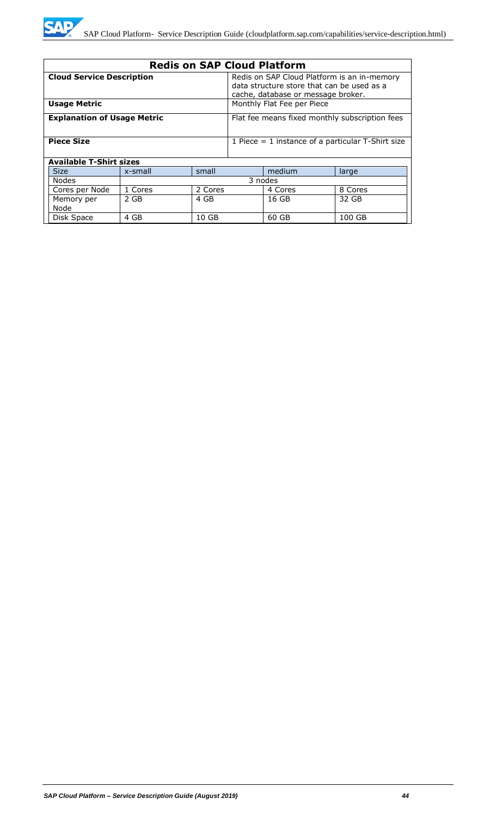

| <b>Redis on SAP Cloud Platform</b>                                                   |                                          |                                                                                                                                 |                                                     |        |        |
|--------------------------------------------------------------------------------------|------------------------------------------|---------------------------------------------------------------------------------------------------------------------------------|-----------------------------------------------------|--------|--------|
| <b>Cloud Service Description</b>                                                     |                                          | Redis on SAP Cloud Platform is an in-memory<br>data structure store that can be used as a<br>cache, database or message broker. |                                                     |        |        |
| <b>Usage Metric</b>                                                                  |                                          |                                                                                                                                 | Monthly Flat Fee per Piece                          |        |        |
| <b>Explanation of Usage Metric</b><br>Flat fee means fixed monthly subscription fees |                                          |                                                                                                                                 |                                                     |        |        |
| <b>Piece Size</b>                                                                    |                                          |                                                                                                                                 | 1 Piece $=$ 1 instance of a particular T-Shirt size |        |        |
| <b>Available T-Shirt sizes</b>                                                       |                                          |                                                                                                                                 |                                                     |        |        |
| <b>Size</b>                                                                          | x-small                                  | small                                                                                                                           |                                                     | medium | large  |
| <b>Nodes</b>                                                                         | 3 nodes                                  |                                                                                                                                 |                                                     |        |        |
| Cores per Node                                                                       | 1 Cores<br>2 Cores<br>8 Cores<br>4 Cores |                                                                                                                                 |                                                     |        |        |
| Memory per<br>Node                                                                   | 2 GB                                     | 4 GB                                                                                                                            |                                                     | 16 GB  | 32 GB  |
| Disk Space                                                                           | 4 GB                                     | 10 <sub>GB</sub>                                                                                                                |                                                     | 60 GB  | 100 GB |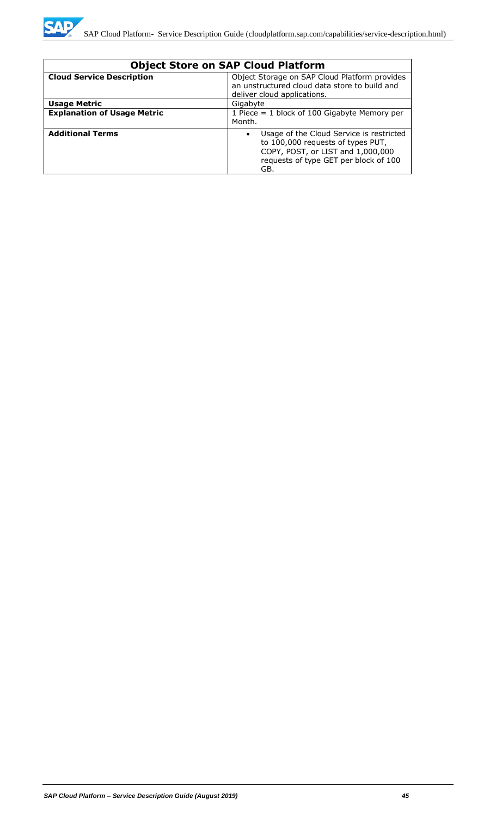

| <b>Object Store on SAP Cloud Platform</b> |                                                                                                                                                                                 |  |  |
|-------------------------------------------|---------------------------------------------------------------------------------------------------------------------------------------------------------------------------------|--|--|
| <b>Cloud Service Description</b>          | Object Storage on SAP Cloud Platform provides<br>an unstructured cloud data store to build and<br>deliver cloud applications.                                                   |  |  |
| <b>Usage Metric</b>                       | Gigabyte                                                                                                                                                                        |  |  |
| <b>Explanation of Usage Metric</b>        | 1 Piece = $1$ block of 100 Gigabyte Memory per<br>Month.                                                                                                                        |  |  |
| <b>Additional Terms</b>                   | Usage of the Cloud Service is restricted<br>$\bullet$<br>to 100,000 requests of types PUT,<br>COPY, POST, or LIST and 1,000,000<br>requests of type GET per block of 100<br>GB. |  |  |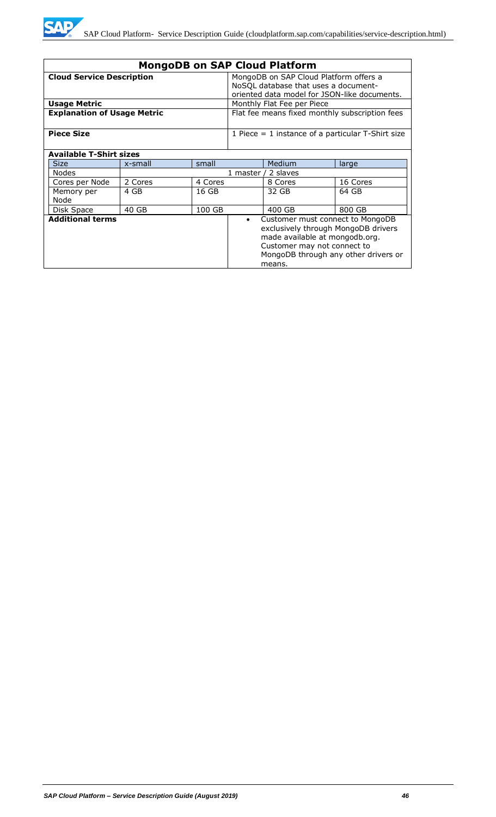

| <b>MongoDB on SAP Cloud Platform</b>                                                                                                                                                                                               |         |                                                                                |            |                                                     |          |  |
|------------------------------------------------------------------------------------------------------------------------------------------------------------------------------------------------------------------------------------|---------|--------------------------------------------------------------------------------|------------|-----------------------------------------------------|----------|--|
| <b>Cloud Service Description</b>                                                                                                                                                                                                   |         | MongoDB on SAP Cloud Platform offers a<br>NoSQL database that uses a document- |            |                                                     |          |  |
|                                                                                                                                                                                                                                    |         |                                                                                |            | oriented data model for JSON-like documents.        |          |  |
| <b>Usage Metric</b>                                                                                                                                                                                                                |         |                                                                                |            | Monthly Flat Fee per Piece                          |          |  |
| <b>Explanation of Usage Metric</b>                                                                                                                                                                                                 |         | Flat fee means fixed monthly subscription fees                                 |            |                                                     |          |  |
| <b>Piece Size</b>                                                                                                                                                                                                                  |         |                                                                                |            | 1 Piece $=$ 1 instance of a particular T-Shirt size |          |  |
| <b>Available T-Shirt sizes</b>                                                                                                                                                                                                     |         |                                                                                |            |                                                     |          |  |
| <b>Size</b>                                                                                                                                                                                                                        | x-small | small                                                                          |            | Medium                                              | large    |  |
| <b>Nodes</b>                                                                                                                                                                                                                       |         |                                                                                | 1 master / | 2 slaves                                            |          |  |
| Cores per Node                                                                                                                                                                                                                     | 2 Cores | 4 Cores                                                                        |            | 8 Cores                                             | 16 Cores |  |
| Memory per<br>Node                                                                                                                                                                                                                 | 4 GB    | 16 GB                                                                          |            | 32 GB                                               | 64 GB    |  |
| Disk Space                                                                                                                                                                                                                         | 40 GB   | 100 GB                                                                         |            | 400 GB                                              | 800 GB   |  |
| <b>Additional terms</b><br>Customer must connect to MongoDB<br>$\bullet$<br>exclusively through MongoDB drivers<br>made available at mongodb.org.<br>Customer may not connect to<br>MongoDB through any other drivers or<br>means. |         |                                                                                |            |                                                     |          |  |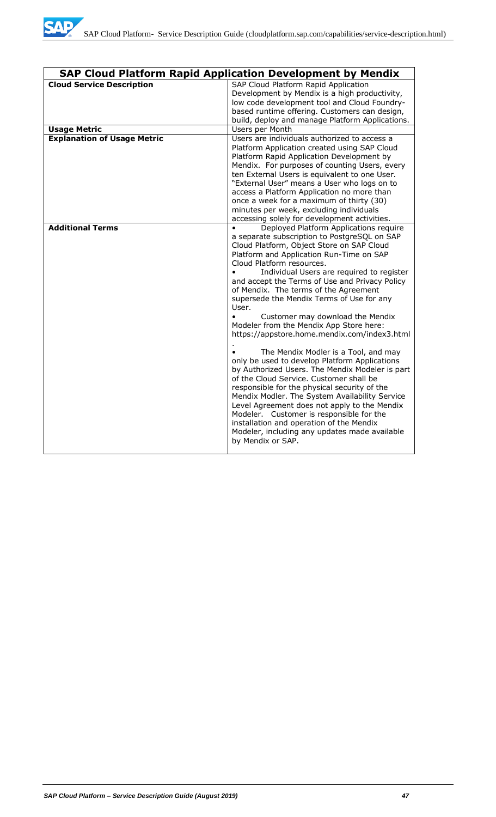

|                                    | <b>SAP Cloud Platform Rapid Application Development by Mendix</b>                                                                                                                                                                                                                                                                                                                                                                                                                                                                                                                                                                                                                                                                                                                                                                                                                                                                                                                                                                                             |
|------------------------------------|---------------------------------------------------------------------------------------------------------------------------------------------------------------------------------------------------------------------------------------------------------------------------------------------------------------------------------------------------------------------------------------------------------------------------------------------------------------------------------------------------------------------------------------------------------------------------------------------------------------------------------------------------------------------------------------------------------------------------------------------------------------------------------------------------------------------------------------------------------------------------------------------------------------------------------------------------------------------------------------------------------------------------------------------------------------|
| <b>Cloud Service Description</b>   | SAP Cloud Platform Rapid Application<br>Development by Mendix is a high productivity,<br>low code development tool and Cloud Foundry-<br>based runtime offering. Customers can design,<br>build, deploy and manage Platform Applications.                                                                                                                                                                                                                                                                                                                                                                                                                                                                                                                                                                                                                                                                                                                                                                                                                     |
| <b>Usage Metric</b>                | Users per Month                                                                                                                                                                                                                                                                                                                                                                                                                                                                                                                                                                                                                                                                                                                                                                                                                                                                                                                                                                                                                                               |
| <b>Explanation of Usage Metric</b> | Users are individuals authorized to access a<br>Platform Application created using SAP Cloud<br>Platform Rapid Application Development by<br>Mendix. For purposes of counting Users, every<br>ten External Users is equivalent to one User.<br>"External User" means a User who logs on to<br>access a Platform Application no more than<br>once a week for a maximum of thirty (30)<br>minutes per week, excluding individuals<br>accessing solely for development activities.                                                                                                                                                                                                                                                                                                                                                                                                                                                                                                                                                                               |
| <b>Additional Terms</b>            | Deployed Platform Applications require<br>a separate subscription to PostgreSQL on SAP<br>Cloud Platform, Object Store on SAP Cloud<br>Platform and Application Run-Time on SAP<br>Cloud Platform resources.<br>Individual Users are required to register<br>and accept the Terms of Use and Privacy Policy<br>of Mendix. The terms of the Agreement<br>supersede the Mendix Terms of Use for any<br>User.<br>Customer may download the Mendix<br>$\bullet$<br>Modeler from the Mendix App Store here:<br>https://appstore.home.mendix.com/index3.html<br>The Mendix Modler is a Tool, and may<br>only be used to develop Platform Applications<br>by Authorized Users. The Mendix Modeler is part<br>of the Cloud Service. Customer shall be<br>responsible for the physical security of the<br>Mendix Modler. The System Availability Service<br>Level Agreement does not apply to the Mendix<br>Modeler. Customer is responsible for the<br>installation and operation of the Mendix<br>Modeler, including any updates made available<br>by Mendix or SAP. |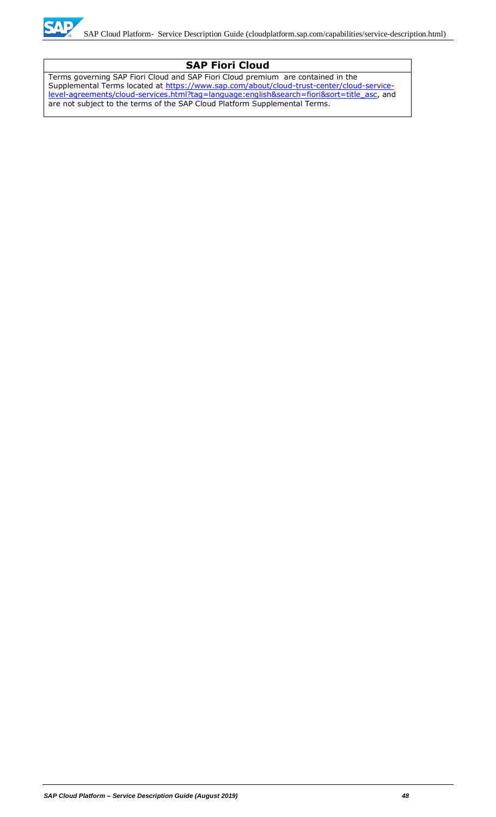

# **SAP Fiori Cloud**

Terms governing SAP Fiori Cloud and SAP Fiori Cloud premium are contained in the Supplemental Terms located at [https://www.sap.com/about/cloud-trust-center/cloud-service](https://www.sap.com/about/cloud-trust-center/cloud-service-level-agreements/cloud-services.html?tag=language:english&search=fiori&sort=title_asc)[level-agreements/cloud-services.html?tag=language:english&search=fiori&sort=title\\_asc,](https://www.sap.com/about/cloud-trust-center/cloud-service-level-agreements/cloud-services.html?tag=language:english&search=fiori&sort=title_asc) and are not subject to the terms of the SAP Cloud Platform Supplemental Terms.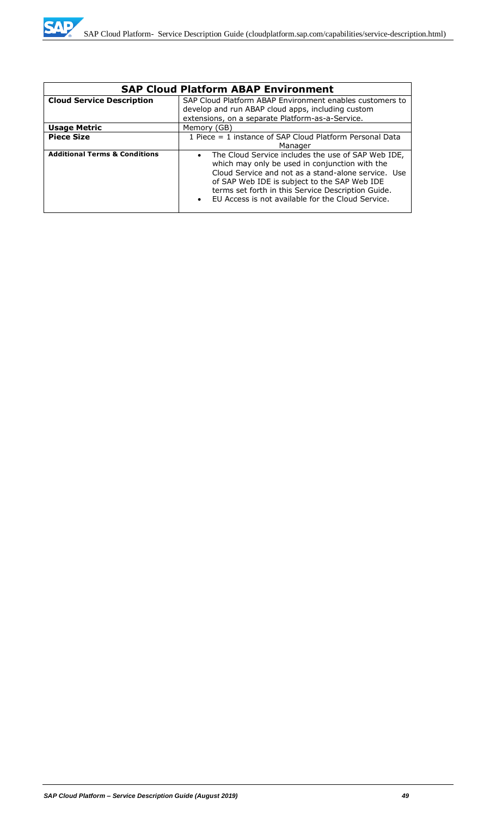| <b>SAP Cloud Platform ABAP Environment</b> |                                                                                                                                                                                                                                                                                                                                                  |  |  |  |
|--------------------------------------------|--------------------------------------------------------------------------------------------------------------------------------------------------------------------------------------------------------------------------------------------------------------------------------------------------------------------------------------------------|--|--|--|
| <b>Cloud Service Description</b>           | SAP Cloud Platform ABAP Environment enables customers to                                                                                                                                                                                                                                                                                         |  |  |  |
|                                            | develop and run ABAP cloud apps, including custom                                                                                                                                                                                                                                                                                                |  |  |  |
|                                            | extensions, on a separate Platform-as-a-Service.                                                                                                                                                                                                                                                                                                 |  |  |  |
| <b>Usage Metric</b>                        | Memory (GB)                                                                                                                                                                                                                                                                                                                                      |  |  |  |
| <b>Piece Size</b>                          | 1 Piece = 1 instance of SAP Cloud Platform Personal Data                                                                                                                                                                                                                                                                                         |  |  |  |
|                                            | Manager                                                                                                                                                                                                                                                                                                                                          |  |  |  |
| <b>Additional Terms &amp; Conditions</b>   | The Cloud Service includes the use of SAP Web IDE,<br>$\bullet$<br>which may only be used in conjunction with the<br>Cloud Service and not as a stand-alone service. Use<br>of SAP Web IDE is subject to the SAP Web IDE<br>terms set forth in this Service Description Guide.<br>EU Access is not available for the Cloud Service.<br>$\bullet$ |  |  |  |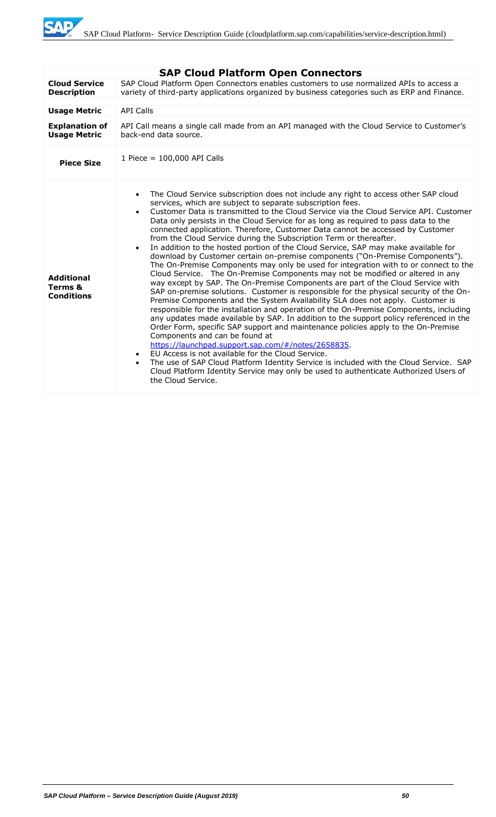SAD

|                                                   | <b>SAP Cloud Platform Open Connectors</b>                                                                                                                                                                                                                                                                                                                                                                                                                                                                                                                                                                                                                                                                                                                                                                                                                                                                                                                                                                                                                                                                                                                                                                                                                                                                                                                                                                                                                                                                                                                                                                                                                                                                                                                                                                |
|---------------------------------------------------|----------------------------------------------------------------------------------------------------------------------------------------------------------------------------------------------------------------------------------------------------------------------------------------------------------------------------------------------------------------------------------------------------------------------------------------------------------------------------------------------------------------------------------------------------------------------------------------------------------------------------------------------------------------------------------------------------------------------------------------------------------------------------------------------------------------------------------------------------------------------------------------------------------------------------------------------------------------------------------------------------------------------------------------------------------------------------------------------------------------------------------------------------------------------------------------------------------------------------------------------------------------------------------------------------------------------------------------------------------------------------------------------------------------------------------------------------------------------------------------------------------------------------------------------------------------------------------------------------------------------------------------------------------------------------------------------------------------------------------------------------------------------------------------------------------|
| <b>Cloud Service</b><br><b>Description</b>        | SAP Cloud Platform Open Connectors enables customers to use normalized APIs to access a<br>variety of third-party applications organized by business categories such as ERP and Finance.                                                                                                                                                                                                                                                                                                                                                                                                                                                                                                                                                                                                                                                                                                                                                                                                                                                                                                                                                                                                                                                                                                                                                                                                                                                                                                                                                                                                                                                                                                                                                                                                                 |
|                                                   |                                                                                                                                                                                                                                                                                                                                                                                                                                                                                                                                                                                                                                                                                                                                                                                                                                                                                                                                                                                                                                                                                                                                                                                                                                                                                                                                                                                                                                                                                                                                                                                                                                                                                                                                                                                                          |
| <b>Usage Metric</b>                               | <b>API Calls</b>                                                                                                                                                                                                                                                                                                                                                                                                                                                                                                                                                                                                                                                                                                                                                                                                                                                                                                                                                                                                                                                                                                                                                                                                                                                                                                                                                                                                                                                                                                                                                                                                                                                                                                                                                                                         |
| <b>Explanation of</b><br><b>Usage Metric</b>      | API Call means a single call made from an API managed with the Cloud Service to Customer's<br>back-end data source.                                                                                                                                                                                                                                                                                                                                                                                                                                                                                                                                                                                                                                                                                                                                                                                                                                                                                                                                                                                                                                                                                                                                                                                                                                                                                                                                                                                                                                                                                                                                                                                                                                                                                      |
| <b>Piece Size</b>                                 | 1 Piece = 100,000 API Calls                                                                                                                                                                                                                                                                                                                                                                                                                                                                                                                                                                                                                                                                                                                                                                                                                                                                                                                                                                                                                                                                                                                                                                                                                                                                                                                                                                                                                                                                                                                                                                                                                                                                                                                                                                              |
| <b>Additional</b><br>Terms &<br><b>Conditions</b> | The Cloud Service subscription does not include any right to access other SAP cloud<br>$\bullet$<br>services, which are subject to separate subscription fees.<br>Customer Data is transmitted to the Cloud Service via the Cloud Service API. Customer<br>$\bullet$<br>Data only persists in the Cloud Service for as long as required to pass data to the<br>connected application. Therefore, Customer Data cannot be accessed by Customer<br>from the Cloud Service during the Subscription Term or thereafter.<br>In addition to the hosted portion of the Cloud Service, SAP may make available for<br>$\bullet$<br>download by Customer certain on-premise components ("On-Premise Components").<br>The On-Premise Components may only be used for integration with to or connect to the<br>Cloud Service. The On-Premise Components may not be modified or altered in any<br>way except by SAP. The On-Premise Components are part of the Cloud Service with<br>SAP on-premise solutions. Customer is responsible for the physical security of the On-<br>Premise Components and the System Availability SLA does not apply. Customer is<br>responsible for the installation and operation of the On-Premise Components, including<br>any updates made available by SAP. In addition to the support policy referenced in the<br>Order Form, specific SAP support and maintenance policies apply to the On-Premise<br>Components and can be found at<br>https://launchpad.support.sap.com/#/notes/2658835.<br>EU Access is not available for the Cloud Service.<br>$\bullet$<br>The use of SAP Cloud Platform Identity Service is included with the Cloud Service. SAP<br>$\bullet$<br>Cloud Platform Identity Service may only be used to authenticate Authorized Users of<br>the Cloud Service. |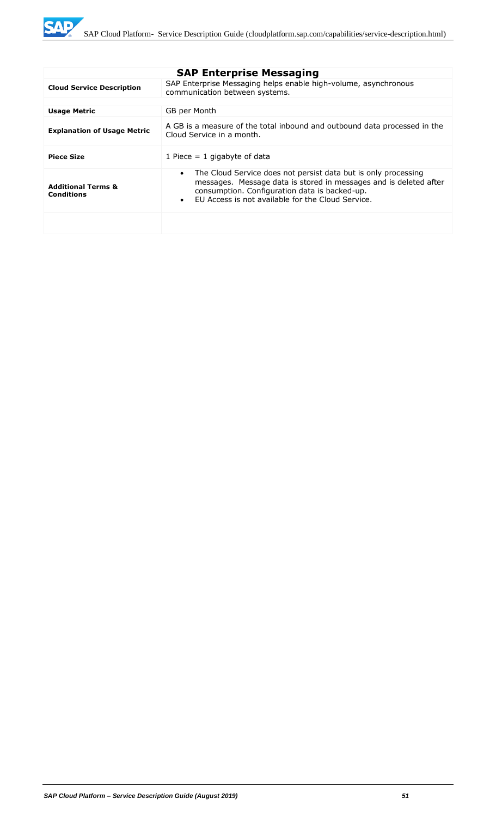|                                                    | <b>SAP Enterprise Messaging</b>                                                                                                                                                                                                                                     |
|----------------------------------------------------|---------------------------------------------------------------------------------------------------------------------------------------------------------------------------------------------------------------------------------------------------------------------|
| <b>Cloud Service Description</b>                   | SAP Enterprise Messaging helps enable high-volume, asynchronous<br>communication between systems.                                                                                                                                                                   |
|                                                    |                                                                                                                                                                                                                                                                     |
| <b>Usage Metric</b>                                | GB per Month                                                                                                                                                                                                                                                        |
| <b>Explanation of Usage Metric</b>                 | A GB is a measure of the total inbound and outbound data processed in the<br>Cloud Service in a month.                                                                                                                                                              |
| <b>Piece Size</b>                                  | 1 Piece $= 1$ gigabyte of data                                                                                                                                                                                                                                      |
| <b>Additional Terms &amp;</b><br><b>Conditions</b> | The Cloud Service does not persist data but is only processing<br>$\bullet$<br>messages. Message data is stored in messages and is deleted after<br>consumption. Configuration data is backed-up.<br>EU Access is not available for the Cloud Service.<br>$\bullet$ |
|                                                    |                                                                                                                                                                                                                                                                     |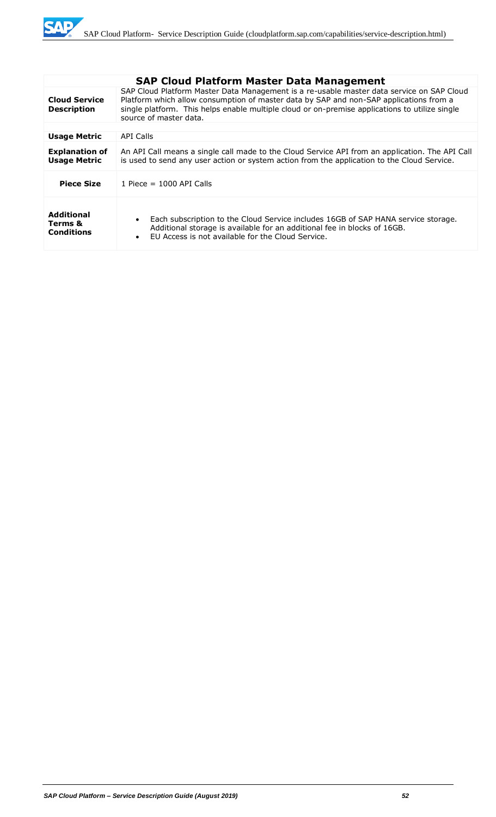

|                                                   | <b>SAP Cloud Platform Master Data Management</b>                                                                                                                                                                                                                                                                |
|---------------------------------------------------|-----------------------------------------------------------------------------------------------------------------------------------------------------------------------------------------------------------------------------------------------------------------------------------------------------------------|
| <b>Cloud Service</b><br><b>Description</b>        | SAP Cloud Platform Master Data Management is a re-usable master data service on SAP Cloud<br>Platform which allow consumption of master data by SAP and non-SAP applications from a<br>single platform. This helps enable multiple cloud or on-premise applications to utilize single<br>source of master data. |
|                                                   |                                                                                                                                                                                                                                                                                                                 |
| <b>Usage Metric</b>                               | API Calls                                                                                                                                                                                                                                                                                                       |
| <b>Explanation of</b><br><b>Usage Metric</b>      | An API Call means a single call made to the Cloud Service API from an application. The API Call<br>is used to send any user action or system action from the application to the Cloud Service.                                                                                                                  |
| <b>Piece Size</b>                                 | 1 Piece = $1000$ API Calls                                                                                                                                                                                                                                                                                      |
| <b>Additional</b><br>Terms &<br><b>Conditions</b> | Each subscription to the Cloud Service includes 16GB of SAP HANA service storage.<br>$\bullet$<br>Additional storage is available for an additional fee in blocks of 16GB.<br>FU Access is not available for the Cloud Service.<br>$\bullet$                                                                    |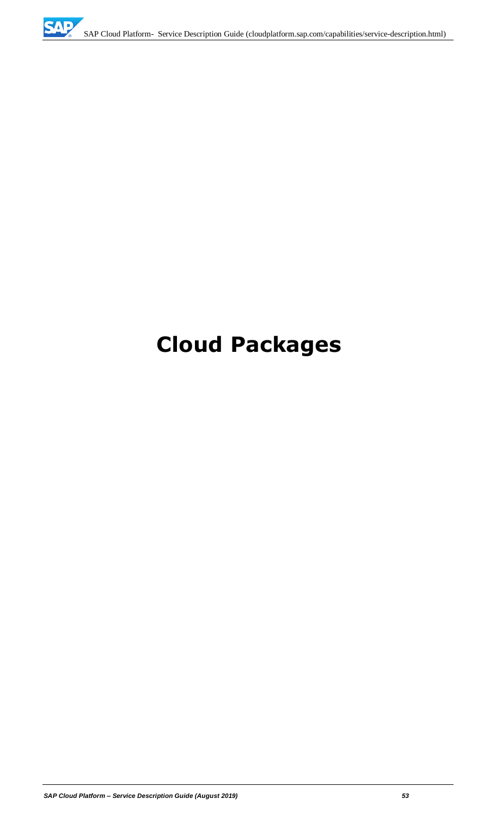# **Cloud Packages**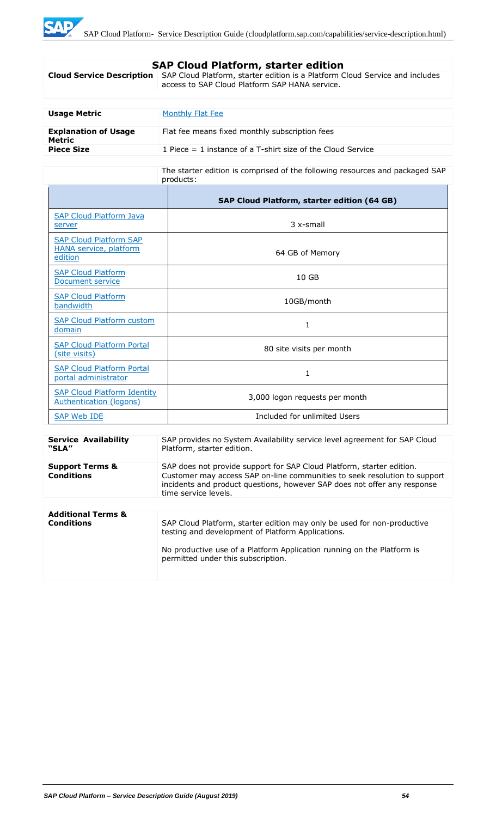|                                                                           | <b>SAP Cloud Platform, starter edition</b>                                                                                                                                                                                                             |  |
|---------------------------------------------------------------------------|--------------------------------------------------------------------------------------------------------------------------------------------------------------------------------------------------------------------------------------------------------|--|
| <b>Cloud Service Description</b>                                          | SAP Cloud Platform, starter edition is a Platform Cloud Service and includes<br>access to SAP Cloud Platform SAP HANA service.                                                                                                                         |  |
|                                                                           |                                                                                                                                                                                                                                                        |  |
|                                                                           |                                                                                                                                                                                                                                                        |  |
| <b>Usage Metric</b>                                                       | <b>Monthly Flat Fee</b>                                                                                                                                                                                                                                |  |
| <b>Explanation of Usage</b><br><b>Metric</b>                              | Flat fee means fixed monthly subscription fees                                                                                                                                                                                                         |  |
| <b>Piece Size</b>                                                         | 1 Piece $=$ 1 instance of a T-shirt size of the Cloud Service                                                                                                                                                                                          |  |
|                                                                           | The starter edition is comprised of the following resources and packaged SAP<br>products:                                                                                                                                                              |  |
|                                                                           | SAP Cloud Platform, starter edition (64 GB)                                                                                                                                                                                                            |  |
| <b>SAP Cloud Platform Java</b><br>server                                  | 3 x-small                                                                                                                                                                                                                                              |  |
| <b>SAP Cloud Platform SAP</b><br><b>HANA service, platform</b><br>edition | 64 GB of Memory                                                                                                                                                                                                                                        |  |
| <b>SAP Cloud Platform</b><br>Document service                             | 10 GB                                                                                                                                                                                                                                                  |  |
| <b>SAP Cloud Platform</b><br>bandwidth                                    | 10GB/month                                                                                                                                                                                                                                             |  |
| <b>SAP Cloud Platform custom</b><br>domain                                | 1                                                                                                                                                                                                                                                      |  |
| <b>SAP Cloud Platform Portal</b><br>(site visits)                         | 80 site visits per month                                                                                                                                                                                                                               |  |
| <b>SAP Cloud Platform Portal</b><br>portal administrator                  | 1                                                                                                                                                                                                                                                      |  |
| <b>SAP Cloud Platform Identity</b><br>Authentication (logons)             | 3,000 logon requests per month                                                                                                                                                                                                                         |  |
| <b>SAP Web IDE</b>                                                        | Included for unlimited Users                                                                                                                                                                                                                           |  |
| <b>Service Availability</b><br>"SLA"                                      | SAP provides no System Availability service level agreement for SAP Cloud<br>Platform, starter edition.                                                                                                                                                |  |
| <b>Support Terms &amp;</b><br><b>Conditions</b>                           | SAP does not provide support for SAP Cloud Platform, starter edition.<br>Customer may access SAP on-line communities to seek resolution to support<br>incidents and product questions, however SAP does not offer any response<br>time service levels. |  |
|                                                                           |                                                                                                                                                                                                                                                        |  |
| <b>Additional Terms &amp;</b><br><b>Conditions</b>                        | SAP Cloud Platform, starter edition may only be used for non-productive<br>testing and development of Platform Applications.<br>No productive use of a Platform Application running on the Platform is<br>permitted under this subscription.           |  |
|                                                                           |                                                                                                                                                                                                                                                        |  |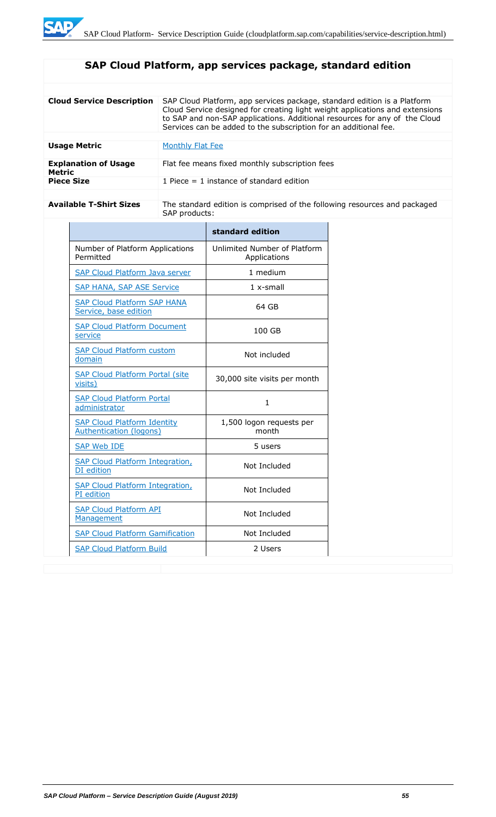# **SAP Cloud Platform, app services package, standard edition**

| <b>Cloud Service Description</b>      | SAP Cloud Platform, app services package, standard edition is a Platform<br>Cloud Service designed for creating light weight applications and extensions<br>to SAP and non-SAP applications. Additional resources for any of the Cloud<br>Services can be added to the subscription for an additional fee. |
|---------------------------------------|------------------------------------------------------------------------------------------------------------------------------------------------------------------------------------------------------------------------------------------------------------------------------------------------------------|
|                                       |                                                                                                                                                                                                                                                                                                            |
| <b>Usage Metric</b>                   | Monthly Flat Fee                                                                                                                                                                                                                                                                                           |
| <b>Explanation of Usage</b><br>Metric | Flat fee means fixed monthly subscription fees                                                                                                                                                                                                                                                             |
| <b>Piece Size</b>                     | 1 Piece $=$ 1 instance of standard edition                                                                                                                                                                                                                                                                 |
|                                       |                                                                                                                                                                                                                                                                                                            |

Available T-Shirt Sizes **The standard edition is comprised of the following resources and packaged** SAP products:

|                                                                      | standard edition                             |
|----------------------------------------------------------------------|----------------------------------------------|
| Number of Platform Applications<br>Permitted                         | Unlimited Number of Platform<br>Applications |
| <b>SAP Cloud Platform Java server</b>                                | 1 medium                                     |
| <b>SAP HANA, SAP ASE Service</b>                                     | $1x$ -small                                  |
| <b>SAP Cloud Platform SAP HANA</b><br>Service, base edition          | 64 GB                                        |
| <b>SAP Cloud Platform Document</b><br>service                        | 100 GB                                       |
| <b>SAP Cloud Platform custom</b><br>domain                           | Not included                                 |
| <b>SAP Cloud Platform Portal (site</b><br>visits)                    | 30,000 site visits per month                 |
| <b>SAP Cloud Platform Portal</b><br>administrator                    | 1.                                           |
| <b>SAP Cloud Platform Identity</b><br><b>Authentication (logons)</b> | 1,500 logon requests per<br>month            |
| <b>SAP Web IDE</b>                                                   | 5 users                                      |
| <b>SAP Cloud Platform Integration,</b><br>DI edition                 | Not Included                                 |
| <b>SAP Cloud Platform Integration,</b><br>PI edition                 | Not Included                                 |
| <b>SAP Cloud Platform API</b><br>Management                          | Not Included                                 |
| <b>SAP Cloud Platform Gamification</b>                               | Not Included                                 |
| <b>SAP Cloud Platform Build</b>                                      | 2 Users                                      |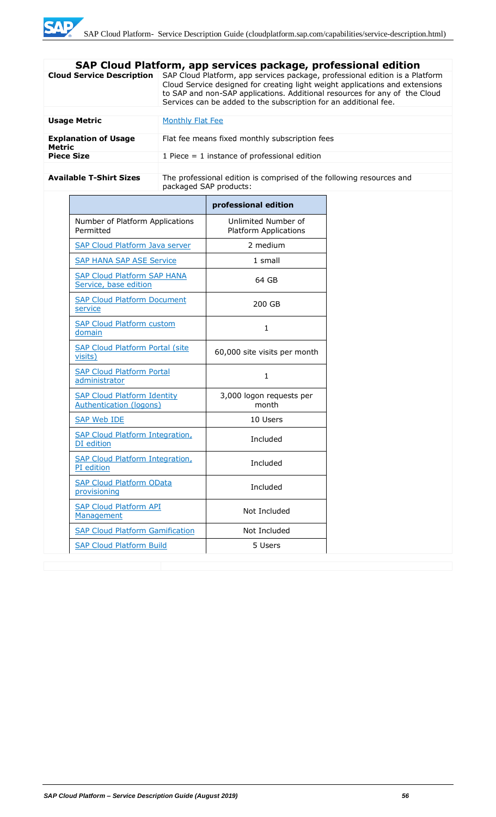| SAP Cloud Platform, app services package, professional edition |                                                                                                                                                                                                                                                                                                                |
|----------------------------------------------------------------|----------------------------------------------------------------------------------------------------------------------------------------------------------------------------------------------------------------------------------------------------------------------------------------------------------------|
| <b>Cloud Service Description</b>                               | SAP Cloud Platform, app services package, professional edition is a Platform<br>Cloud Service designed for creating light weight applications and extensions<br>to SAP and non-SAP applications. Additional resources for any of the Cloud<br>Services can be added to the subscription for an additional fee. |
|                                                                |                                                                                                                                                                                                                                                                                                                |
| <b>Usage Metric</b>                                            | Monthly Flat Fee                                                                                                                                                                                                                                                                                               |
| <b>Explanation of Usage</b><br><b>Metric</b>                   | Flat fee means fixed monthly subscription fees                                                                                                                                                                                                                                                                 |
| <b>Piece Size</b>                                              | 1 Piece $=$ 1 instance of professional edition                                                                                                                                                                                                                                                                 |
|                                                                |                                                                                                                                                                                                                                                                                                                |
| <b>Available T-Shirt Sizes</b>                                 | The professional edition is comprised of the following resources and<br>packaged SAP products:                                                                                                                                                                                                                 |

|                                                               | professional edition                                |
|---------------------------------------------------------------|-----------------------------------------------------|
| Number of Platform Applications<br>Permitted                  | Unlimited Number of<br><b>Platform Applications</b> |
| <b>SAP Cloud Platform Java server</b>                         | 2 medium                                            |
| <b>SAP HANA SAP ASE Service</b>                               | 1 small                                             |
| <b>SAP Cloud Platform SAP HANA</b><br>Service, base edition   | 64 GB                                               |
| <b>SAP Cloud Platform Document</b><br>service                 | 200 GB                                              |
| <b>SAP Cloud Platform custom</b><br>domain                    | 1                                                   |
| <b>SAP Cloud Platform Portal (site</b><br>visits)             | 60,000 site visits per month                        |
| <b>SAP Cloud Platform Portal</b><br>administrator             | 1                                                   |
| <b>SAP Cloud Platform Identity</b><br>Authentication (logons) | 3,000 logon requests per<br>month                   |
| <b>SAP Web IDE</b>                                            | 10 Users                                            |
| <b>SAP Cloud Platform Integration,</b><br>DI edition          | Included                                            |
| <b>SAP Cloud Platform Integration,</b><br>PI edition          | Included                                            |
| <b>SAP Cloud Platform OData</b><br>provisioning               | Included                                            |
| <b>SAP Cloud Platform API</b><br>Management                   | Not Included                                        |
| <b>SAP Cloud Platform Gamification</b>                        | Not Included                                        |
| <b>SAP Cloud Platform Build</b>                               | 5 Users                                             |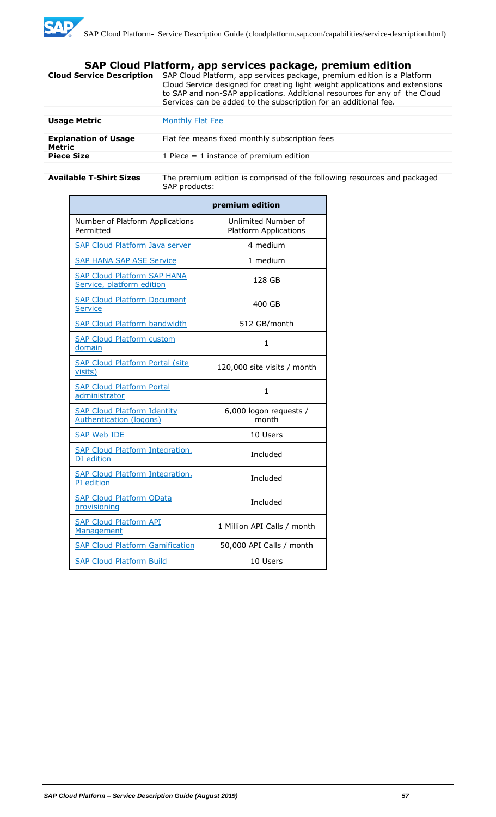| SAP Cloud Platform, app services package, premium edition |                                                                                                                                                                                                                                                                                                           |
|-----------------------------------------------------------|-----------------------------------------------------------------------------------------------------------------------------------------------------------------------------------------------------------------------------------------------------------------------------------------------------------|
| <b>Cloud Service Description</b>                          | SAP Cloud Platform, app services package, premium edition is a Platform<br>Cloud Service designed for creating light weight applications and extensions<br>to SAP and non-SAP applications. Additional resources for any of the Cloud<br>Services can be added to the subscription for an additional fee. |
|                                                           |                                                                                                                                                                                                                                                                                                           |
| <b>Usage Metric</b>                                       | Monthly Flat Fee                                                                                                                                                                                                                                                                                          |
| <b>Explanation of Usage</b><br><b>Metric</b>              | Flat fee means fixed monthly subscription fees                                                                                                                                                                                                                                                            |
| <b>Piece Size</b>                                         | 1 Piece $=$ 1 instance of premium edition                                                                                                                                                                                                                                                                 |
|                                                           |                                                                                                                                                                                                                                                                                                           |
| <b>Available T-Shirt Sizes</b>                            | The premium edition is comprised of the following resources and packaged<br>SAP products:                                                                                                                                                                                                                 |

|                                                                      | premium edition                                     |
|----------------------------------------------------------------------|-----------------------------------------------------|
| Number of Platform Applications<br>Permitted                         | Unlimited Number of<br><b>Platform Applications</b> |
| <b>SAP Cloud Platform Java server</b>                                | 4 medium                                            |
| <b>SAP HANA SAP ASE Service</b>                                      | 1 medium                                            |
| <b>SAP Cloud Platform SAP HANA</b><br>Service, platform edition      | 128 GB                                              |
| <b>SAP Cloud Platform Document</b><br>Service                        | 400 GB                                              |
| <b>SAP Cloud Platform bandwidth</b>                                  | 512 GB/month                                        |
| <b>SAP Cloud Platform custom</b><br>domain                           | $\mathbf{1}$                                        |
| <b>SAP Cloud Platform Portal (site</b><br>visits)                    | 120,000 site visits / month                         |
| <b>SAP Cloud Platform Portal</b><br>administrator                    | 1.                                                  |
| <b>SAP Cloud Platform Identity</b><br><b>Authentication (logons)</b> | 6,000 logon requests /<br>month                     |
| <b>SAP Web IDE</b>                                                   | 10 Users                                            |
| <b>SAP Cloud Platform Integration,</b><br>DI edition                 | Included                                            |
| <b>SAP Cloud Platform Integration,</b><br>PI edition                 | Included                                            |
| <b>SAP Cloud Platform OData</b><br>provisioning                      | Included                                            |
| <b>SAP Cloud Platform API</b><br>Management                          | 1 Million API Calls / month                         |
| <b>SAP Cloud Platform Gamification</b>                               | 50,000 API Calls / month                            |
| <b>SAP Cloud Platform Build</b>                                      | 10 Users                                            |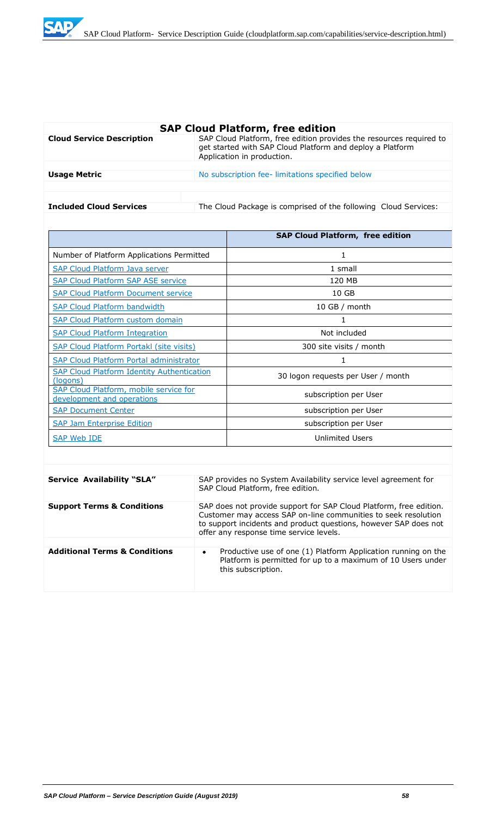

| <b>SAP Cloud Platform, free edition</b> |                                                                                                                                                                |
|-----------------------------------------|----------------------------------------------------------------------------------------------------------------------------------------------------------------|
| <b>Cloud Service Description</b>        | SAP Cloud Platform, free edition provides the resources required to<br>get started with SAP Cloud Platform and deploy a Platform<br>Application in production. |
|                                         |                                                                                                                                                                |
| <b>Usage Metric</b>                     | No subscription fee-limitations specified below                                                                                                                |
|                                         |                                                                                                                                                                |
|                                         |                                                                                                                                                                |
| <b>Included Cloud Services</b>          | The Cloud Package is comprised of the following Cloud Services:                                                                                                |

|                                                                      | <b>SAP Cloud Platform, free edition</b> |
|----------------------------------------------------------------------|-----------------------------------------|
| Number of Platform Applications Permitted                            | 1                                       |
| SAP Cloud Platform Java server                                       | 1 small                                 |
| <b>SAP Cloud Platform SAP ASE service</b>                            | 120 MB                                  |
| <b>SAP Cloud Platform Document service</b>                           | 10 <sub>GB</sub>                        |
| <b>SAP Cloud Platform bandwidth</b>                                  | $10$ GB / month                         |
| <b>SAP Cloud Platform custom domain</b>                              | 1                                       |
| <b>SAP Cloud Platform Integration</b>                                | Not included                            |
| <b>SAP Cloud Platform Portakl (site visits)</b>                      | 300 site visits / month                 |
| <b>SAP Cloud Platform Portal administrator</b>                       | 1                                       |
| <b>SAP Cloud Platform Identity Authentication</b><br>(logons)        | 30 logon requests per User / month      |
| SAP Cloud Platform, mobile service for<br>development and operations | subscription per User                   |
| <b>SAP Document Center</b>                                           | subscription per User                   |
| <b>SAP Jam Enterprise Edition</b>                                    | subscription per User                   |
| SAP Web IDE                                                          | <b>Unlimited Users</b>                  |

| <b>Service Availability "SLA"</b>        | SAP provides no System Availability service level agreement for<br>SAP Cloud Platform, free edition.                                                                                                                                                |
|------------------------------------------|-----------------------------------------------------------------------------------------------------------------------------------------------------------------------------------------------------------------------------------------------------|
| <b>Support Terms &amp; Conditions</b>    | SAP does not provide support for SAP Cloud Platform, free edition.<br>Customer may access SAP on-line communities to seek resolution<br>to support incidents and product questions, however SAP does not<br>offer any response time service levels. |
|                                          |                                                                                                                                                                                                                                                     |
| <b>Additional Terms &amp; Conditions</b> | Productive use of one (1) Platform Application running on the<br>$\bullet$<br>Platform is permitted for up to a maximum of 10 Users under<br>this subscription.                                                                                     |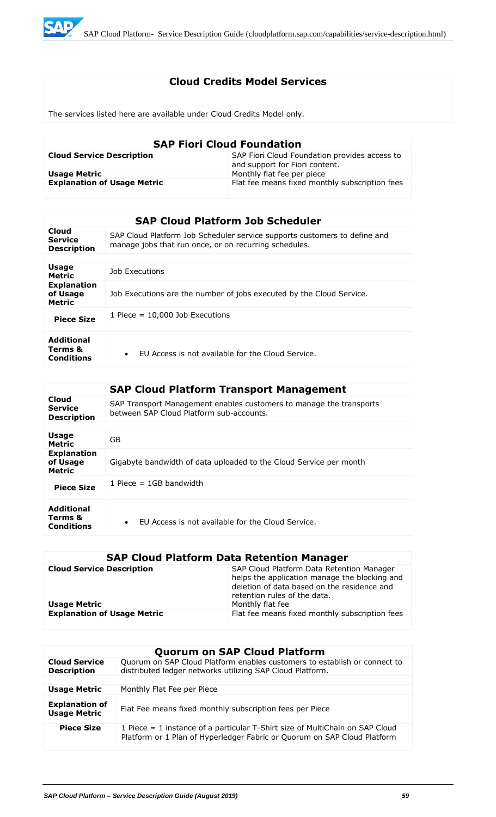

# **Cloud Credits Model Services**

The services listed here are available under Cloud Credits Model only.

| <b>SAP Fiori Cloud Foundation</b>  |                                                                                 |
|------------------------------------|---------------------------------------------------------------------------------|
| <b>Cloud Service Description</b>   | SAP Fiori Cloud Foundation provides access to<br>and support for Fiori content. |
| <b>Usage Metric</b>                | Monthly flat fee per piece                                                      |
| <b>Explanation of Usage Metric</b> | Flat fee means fixed monthly subscription fees                                  |

|                                                 | <b>SAP Cloud Platform Job Scheduler</b>                                                                                            |
|-------------------------------------------------|------------------------------------------------------------------------------------------------------------------------------------|
| Cloud<br><b>Service</b><br><b>Description</b>   | SAP Cloud Platform Job Scheduler service supports customers to define and<br>manage jobs that run once, or on recurring schedules. |
|                                                 |                                                                                                                                    |
| <b>Usage</b><br><b>Metric</b>                   | Job Executions                                                                                                                     |
| <b>Explanation</b><br>of Usage<br><b>Metric</b> | Job Executions are the number of jobs executed by the Cloud Service.                                                               |
| <b>Piece Size</b>                               | 1 Piece $= 10,000$ Job Executions                                                                                                  |
| <b>Additional</b><br>Terms &<br>Conditions      | FU Access is not available for the Cloud Service.<br>$\bullet$                                                                     |

|                                                   | <b>SAP Cloud Platform Transport Management</b>                                                                  |
|---------------------------------------------------|-----------------------------------------------------------------------------------------------------------------|
| Cloud<br><b>Service</b><br><b>Description</b>     | SAP Transport Management enables customers to manage the transports<br>between SAP Cloud Platform sub-accounts. |
|                                                   |                                                                                                                 |
| Usage<br><b>Metric</b>                            | GB                                                                                                              |
| <b>Explanation</b><br>of Usage<br><b>Metric</b>   | Gigabyte bandwidth of data uploaded to the Cloud Service per month                                              |
| <b>Piece Size</b>                                 | 1 Piece $=$ 1GB bandwidth                                                                                       |
| <b>Additional</b><br>Terms &<br><b>Conditions</b> | FU Access is not available for the Cloud Service.<br>$\bullet$                                                  |

# **SAP Cloud Platform Data Retention Manager**

| <b>Cloud Service Description</b>   | SAP Cloud Platform Data Retention Manager<br>helps the application manage the blocking and<br>deletion of data based on the residence and<br>retention rules of the data. |
|------------------------------------|---------------------------------------------------------------------------------------------------------------------------------------------------------------------------|
| <b>Usage Metric</b>                | Monthly flat fee                                                                                                                                                          |
| <b>Explanation of Usage Metric</b> | Flat fee means fixed monthly subscription fees                                                                                                                            |

|                                              | <b>Quorum on SAP Cloud Platform</b>                                                                                                                      |
|----------------------------------------------|----------------------------------------------------------------------------------------------------------------------------------------------------------|
| <b>Cloud Service</b><br><b>Description</b>   | Quorum on SAP Cloud Platform enables customers to establish or connect to<br>distributed ledger networks utilizing SAP Cloud Platform.                   |
|                                              |                                                                                                                                                          |
| <b>Usage Metric</b>                          | Monthly Flat Fee per Piece                                                                                                                               |
| <b>Explanation of</b><br><b>Usage Metric</b> | Flat Fee means fixed monthly subscription fees per Piece                                                                                                 |
| <b>Piece Size</b>                            | 1 Piece = 1 instance of a particular T-Shirt size of MultiChain on SAP Cloud<br>Platform or 1 Plan of Hyperledger Fabric or Quorum on SAP Cloud Platform |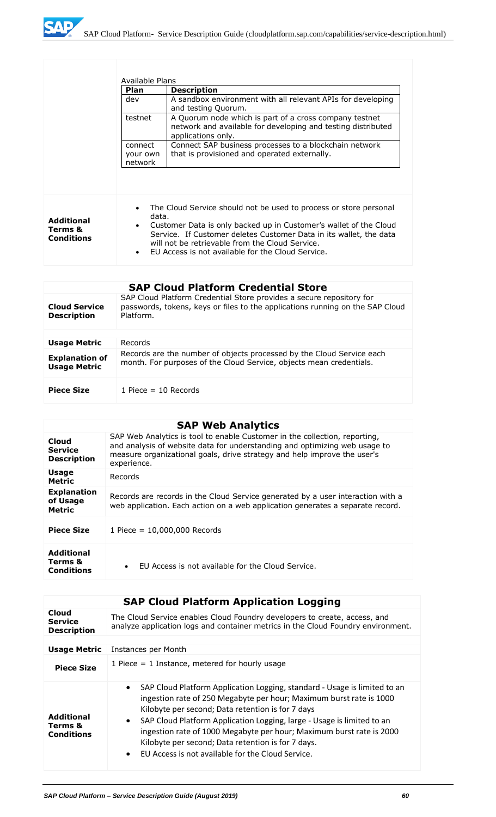

|                                                   | Available Plans                |                                                                                                                                                                                                                                                                                                                      |
|---------------------------------------------------|--------------------------------|----------------------------------------------------------------------------------------------------------------------------------------------------------------------------------------------------------------------------------------------------------------------------------------------------------------------|
|                                                   | Plan                           | <b>Description</b>                                                                                                                                                                                                                                                                                                   |
|                                                   | dev                            | A sandbox environment with all relevant APIs for developing<br>and testing Quorum.                                                                                                                                                                                                                                   |
|                                                   | testnet                        | A Quorum node which is part of a cross company testnet<br>network and available for developing and testing distributed<br>applications only.                                                                                                                                                                         |
|                                                   | connect<br>your own<br>network | Connect SAP business processes to a blockchain network<br>that is provisioned and operated externally.                                                                                                                                                                                                               |
|                                                   |                                |                                                                                                                                                                                                                                                                                                                      |
| <b>Additional</b><br>Terms &<br><b>Conditions</b> | data.<br>$\bullet$             | The Cloud Service should not be used to process or store personal<br>Customer Data is only backed up in Customer's wallet of the Cloud<br>Service. If Customer deletes Customer Data in its wallet, the data<br>will not be retrievable from the Cloud Service.<br>EU Access is not available for the Cloud Service. |

|                                              | <b>SAP Cloud Platform Credential Store</b>                                                                                                                         |
|----------------------------------------------|--------------------------------------------------------------------------------------------------------------------------------------------------------------------|
| <b>Cloud Service</b><br><b>Description</b>   | SAP Cloud Platform Credential Store provides a secure repository for<br>passwords, tokens, keys or files to the applications running on the SAP Cloud<br>Platform. |
|                                              |                                                                                                                                                                    |
| <b>Usage Metric</b>                          | Records                                                                                                                                                            |
| <b>Explanation of</b><br><b>Usage Metric</b> | Records are the number of objects processed by the Cloud Service each<br>month. For purposes of the Cloud Service, objects mean credentials.                       |
| <b>Piece Size</b>                            | 1 Piece $=$ 10 Records                                                                                                                                             |

# **SAP Web Analytics**

| Cloud<br><b>Service</b><br><b>Description</b>     | SAP Web Analytics is tool to enable Customer in the collection, reporting,<br>and analysis of website data for understanding and optimizing web usage to<br>measure organizational goals, drive strategy and help improve the user's<br>experience. |
|---------------------------------------------------|-----------------------------------------------------------------------------------------------------------------------------------------------------------------------------------------------------------------------------------------------------|
| <b>Usage</b><br><b>Metric</b>                     | Records                                                                                                                                                                                                                                             |
| <b>Explanation</b><br>of Usage<br><b>Metric</b>   | Records are records in the Cloud Service generated by a user interaction with a<br>web application. Each action on a web application generates a separate record.                                                                                   |
| <b>Piece Size</b>                                 | 1 Piece = $10,000,000$ Records                                                                                                                                                                                                                      |
| <b>Additional</b><br>Terms &<br><b>Conditions</b> | EU Access is not available for the Cloud Service.<br>$\bullet$                                                                                                                                                                                      |

|                                                   | <b>SAP Cloud Platform Application Logging</b>                                                                                                                                                                                                                                                                                                                                                                                                                                                             |
|---------------------------------------------------|-----------------------------------------------------------------------------------------------------------------------------------------------------------------------------------------------------------------------------------------------------------------------------------------------------------------------------------------------------------------------------------------------------------------------------------------------------------------------------------------------------------|
| Cloud<br><b>Service</b><br><b>Description</b>     | The Cloud Service enables Cloud Foundry developers to create, access, and<br>analyze application logs and container metrics in the Cloud Foundry environment.                                                                                                                                                                                                                                                                                                                                             |
|                                                   |                                                                                                                                                                                                                                                                                                                                                                                                                                                                                                           |
| <b>Usage Metric</b>                               | Instances per Month                                                                                                                                                                                                                                                                                                                                                                                                                                                                                       |
| <b>Piece Size</b>                                 | 1 Piece $=$ 1 Instance, metered for hourly usage                                                                                                                                                                                                                                                                                                                                                                                                                                                          |
| <b>Additional</b><br>Terms &<br><b>Conditions</b> | SAP Cloud Platform Application Logging, standard - Usage is limited to an<br>$\bullet$<br>ingestion rate of 250 Megabyte per hour; Maximum burst rate is 1000<br>Kilobyte per second; Data retention is for 7 days<br>SAP Cloud Platform Application Logging, large - Usage is limited to an<br>$\bullet$<br>ingestion rate of 1000 Megabyte per hour; Maximum burst rate is 2000<br>Kilobyte per second; Data retention is for 7 days.<br>EU Access is not available for the Cloud Service.<br>$\bullet$ |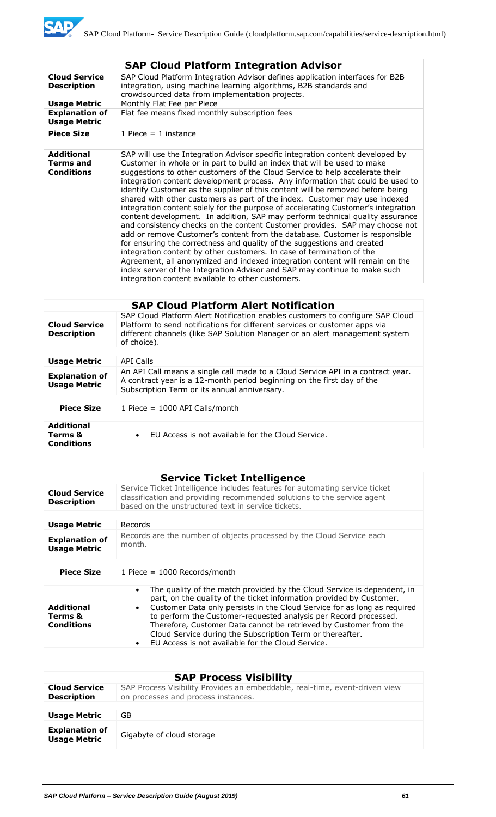| <b>SAP Cloud Platform Integration Advisor</b>              |                                                                                                                                                                                                                                                                                                                                                                                                                                                                                                                                                                                                                                                                                                                                                                                                                                                                                                                                                                                                                                                                                                                                                                                                        |
|------------------------------------------------------------|--------------------------------------------------------------------------------------------------------------------------------------------------------------------------------------------------------------------------------------------------------------------------------------------------------------------------------------------------------------------------------------------------------------------------------------------------------------------------------------------------------------------------------------------------------------------------------------------------------------------------------------------------------------------------------------------------------------------------------------------------------------------------------------------------------------------------------------------------------------------------------------------------------------------------------------------------------------------------------------------------------------------------------------------------------------------------------------------------------------------------------------------------------------------------------------------------------|
| <b>Cloud Service</b><br><b>Description</b>                 | SAP Cloud Platform Integration Advisor defines application interfaces for B2B<br>integration, using machine learning algorithms, B2B standards and<br>crowdsourced data from implementation projects.                                                                                                                                                                                                                                                                                                                                                                                                                                                                                                                                                                                                                                                                                                                                                                                                                                                                                                                                                                                                  |
| <b>Usage Metric</b>                                        | Monthly Flat Fee per Piece                                                                                                                                                                                                                                                                                                                                                                                                                                                                                                                                                                                                                                                                                                                                                                                                                                                                                                                                                                                                                                                                                                                                                                             |
| <b>Explanation of</b><br><b>Usage Metric</b>               | Flat fee means fixed monthly subscription fees                                                                                                                                                                                                                                                                                                                                                                                                                                                                                                                                                                                                                                                                                                                                                                                                                                                                                                                                                                                                                                                                                                                                                         |
| <b>Piece Size</b>                                          | 1 Piece $= 1$ instance                                                                                                                                                                                                                                                                                                                                                                                                                                                                                                                                                                                                                                                                                                                                                                                                                                                                                                                                                                                                                                                                                                                                                                                 |
| <b>Additional</b><br><b>Terms and</b><br><b>Conditions</b> | SAP will use the Integration Advisor specific integration content developed by<br>Customer in whole or in part to build an index that will be used to make<br>suggestions to other customers of the Cloud Service to help accelerate their<br>integration content development process. Any information that could be used to<br>identify Customer as the supplier of this content will be removed before being<br>shared with other customers as part of the index. Customer may use indexed<br>integration content solely for the purpose of accelerating Customer's integration<br>content development. In addition, SAP may perform technical quality assurance<br>and consistency checks on the content Customer provides. SAP may choose not<br>add or remove Customer's content from the database. Customer is responsible<br>for ensuring the correctness and quality of the suggestions and created<br>integration content by other customers. In case of termination of the<br>Agreement, all anonymized and indexed integration content will remain on the<br>index server of the Integration Advisor and SAP may continue to make such<br>integration content available to other customers. |

|                                                   | <b>SAP Cloud Platform Alert Notification</b>                                                                                                                                                                                                               |
|---------------------------------------------------|------------------------------------------------------------------------------------------------------------------------------------------------------------------------------------------------------------------------------------------------------------|
| <b>Cloud Service</b><br><b>Description</b>        | SAP Cloud Platform Alert Notification enables customers to configure SAP Cloud<br>Platform to send notifications for different services or customer apps via<br>different channels (like SAP Solution Manager or an alert management system<br>of choice). |
|                                                   |                                                                                                                                                                                                                                                            |
| <b>Usage Metric</b>                               | <b>API Calls</b>                                                                                                                                                                                                                                           |
| <b>Explanation of</b><br><b>Usage Metric</b>      | An API Call means a single call made to a Cloud Service API in a contract year.<br>A contract year is a 12-month period beginning on the first day of the<br>Subscription Term or its annual anniversary.                                                  |
| <b>Piece Size</b>                                 | 1 Piece $= 1000$ API Calls/month                                                                                                                                                                                                                           |
| <b>Additional</b><br>Terms &<br><b>Conditions</b> | EU Access is not available for the Cloud Service.<br>$\bullet$                                                                                                                                                                                             |

| <b>Service Ticket Intelligence</b>                |                                                                                                                                                                                                                                                                                                                                                                                                                                                                                                                               |  |
|---------------------------------------------------|-------------------------------------------------------------------------------------------------------------------------------------------------------------------------------------------------------------------------------------------------------------------------------------------------------------------------------------------------------------------------------------------------------------------------------------------------------------------------------------------------------------------------------|--|
| <b>Cloud Service</b><br><b>Description</b>        | Service Ticket Intelligence includes features for automating service ticket<br>classification and providing recommended solutions to the service agent<br>based on the unstructured text in service tickets.                                                                                                                                                                                                                                                                                                                  |  |
|                                                   |                                                                                                                                                                                                                                                                                                                                                                                                                                                                                                                               |  |
| <b>Usage Metric</b>                               | Records                                                                                                                                                                                                                                                                                                                                                                                                                                                                                                                       |  |
| <b>Explanation of</b><br><b>Usage Metric</b>      | Records are the number of objects processed by the Cloud Service each<br>month.                                                                                                                                                                                                                                                                                                                                                                                                                                               |  |
| <b>Piece Size</b>                                 | 1 Piece = $1000$ Records/month                                                                                                                                                                                                                                                                                                                                                                                                                                                                                                |  |
| <b>Additional</b><br>Terms &<br><b>Conditions</b> | The quality of the match provided by the Cloud Service is dependent, in<br>$\bullet$<br>part, on the quality of the ticket information provided by Customer.<br>Customer Data only persists in the Cloud Service for as long as required<br>$\bullet$<br>to perform the Customer-requested analysis per Record processed.<br>Therefore, Customer Data cannot be retrieved by Customer from the<br>Cloud Service during the Subscription Term or thereafter.<br>EU Access is not available for the Cloud Service.<br>$\bullet$ |  |

#### **SAP Process Visibility Cloud Service Description**  SAP Process Visibility Provides an embeddable, real-time, event-driven view on processes and process instances. **Usage Metric** GB **Explanation of**  Gigabyte of cloud storage